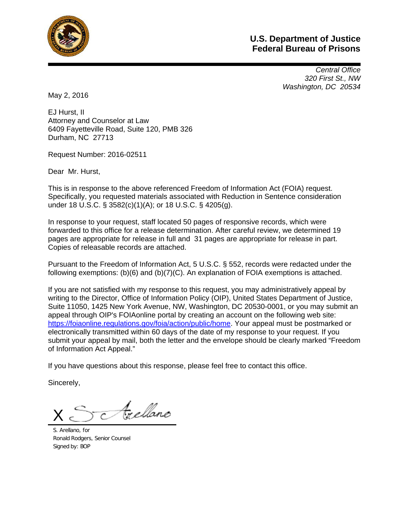

# **U.S. Department of Justice Federal Bureau of Prisons**

 *Central Office 320 First St., NW Washington, DC 20534* 

May 2, 2016

EJ Hurst, II Attorney and Counselor at Law 6409 Fayetteville Road, Suite 120, PMB 326 Durham, NC 27713

Request Number: 2016-02511

Dear Mr. Hurst,

This is in response to the above referenced Freedom of Information Act (FOIA) request. Specifically, you requested materials associated with Reduction in Sentence consideration under 18 U.S.C. § 3582(c)(1)(A); or 18 U.S.C. § 4205(g).

In response to your request, staff located 50 pages of responsive records, which were forwarded to this office for a release determination. After careful review, we determined 19 pages are appropriate for release in full and 31 pages are appropriate for release in part. Copies of releasable records are attached.

Pursuant to the Freedom of Information Act, 5 U.S.C. § 552, records were redacted under the following exemptions: (b)(6) and (b)(7)(C). An explanation of FOIA exemptions is attached.

If you are not satisfied with my response to this request, you may administratively appeal by writing to the Director, Office of Information Policy (OIP), United States Department of Justice, Suite 11050, 1425 New York Avenue, NW, Washington, DC 20530-0001, or you may submit an appeal through OIP's FOIAonline portal by creating an account on the following web site: https://foiaonline.regulations.gov/foia/action/public/home. Your appeal must be postmarked or electronically transmitted within 60 days of the date of my response to your request. If you submit your appeal by mail, both the letter and the envelope should be clearly marked "Freedom of Information Act Appeal."

If you have questions about this response, please feel free to contact this office.

Sincerely,

Arellanc X

S. Arellano, for Ronald Rodgers, Senior Counsel Signed by: BOP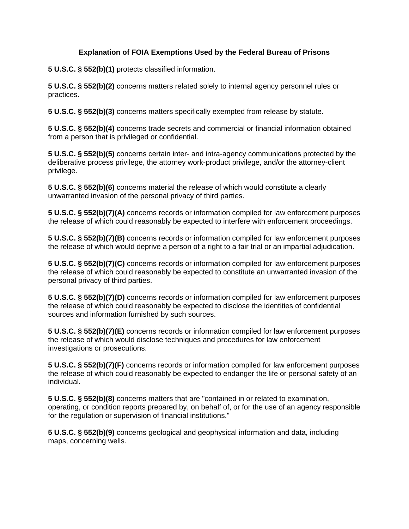#### **Explanation of FOIA Exemptions Used by the Federal Bureau of Prisons**

**5 U.S.C. § 552(b)(1)** protects classified information.

**5 U.S.C. § 552(b)(2)** concerns matters related solely to internal agency personnel rules or practices.

**5 U.S.C. § 552(b)(3)** concerns matters specifically exempted from release by statute.

**5 U.S.C. § 552(b)(4)** concerns trade secrets and commercial or financial information obtained from a person that is privileged or confidential.

**5 U.S.C. § 552(b)(5)** concerns certain inter- and intra-agency communications protected by the deliberative process privilege, the attorney work-product privilege, and/or the attorney-client privilege.

**5 U.S.C. § 552(b)(6)** concerns material the release of which would constitute a clearly unwarranted invasion of the personal privacy of third parties.

**5 U.S.C. § 552(b)(7)(A)** concerns records or information compiled for law enforcement purposes the release of which could reasonably be expected to interfere with enforcement proceedings.

**5 U.S.C. § 552(b)(7)(B)** concerns records or information compiled for law enforcement purposes the release of which would deprive a person of a right to a fair trial or an impartial adjudication.

**5 U.S.C. § 552(b)(7)(C)** concerns records or information compiled for law enforcement purposes the release of which could reasonably be expected to constitute an unwarranted invasion of the personal privacy of third parties.

**5 U.S.C. § 552(b)(7)(D)** concerns records or information compiled for law enforcement purposes the release of which could reasonably be expected to disclose the identities of confidential sources and information furnished by such sources.

**5 U.S.C. § 552(b)(7)(E)** concerns records or information compiled for law enforcement purposes the release of which would disclose techniques and procedures for law enforcement investigations or prosecutions.

**5 U.S.C. § 552(b)(7)(F)** concerns records or information compiled for law enforcement purposes the release of which could reasonably be expected to endanger the life or personal safety of an individual.

**5 U.S.C. § 552(b)(8)** concerns matters that are "contained in or related to examination, operating, or condition reports prepared by, on behalf of, or for the use of an agency responsible for the regulation or supervision of financial institutions."

**5 U.S.C. § 552(b)(9)** concerns geological and geophysical information and data, including maps, concerning wells.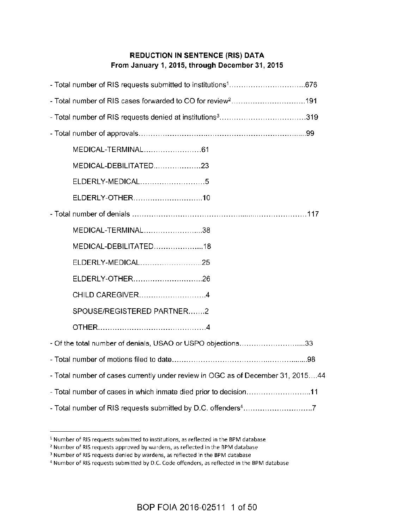## **REDUCTION IN SENTENCE (RIS) DATA** From January 1, 2015, through December 31, 2015

| - Total number of RIS cases forwarded to CO for review <sup>2</sup> 191         |  |
|---------------------------------------------------------------------------------|--|
|                                                                                 |  |
|                                                                                 |  |
|                                                                                 |  |
| MEDICAL-DEBILITATED23                                                           |  |
| ELDERLY-MEDICAL5                                                                |  |
| ELDERLY-OTHER10                                                                 |  |
|                                                                                 |  |
| MEDICAL-TERMINAL38                                                              |  |
| MEDICAL-DEBILITATED18                                                           |  |
| ELDERLY-MEDICAL25                                                               |  |
| ELDERLY-OTHER26                                                                 |  |
| CHILD CAREGIVER4                                                                |  |
| SPOUSE/REGISTERED PARTNER2                                                      |  |
|                                                                                 |  |
| - Of the total number of denials, USAO or USPO objections33                     |  |
|                                                                                 |  |
| - Total number of cases currently under review in OGC as of December 31, 201544 |  |
| - Total number of cases in which inmate died prior to decision11                |  |
| - Total number of RIS requests submitted by D.C. offenders <sup>4</sup> 7       |  |

<sup>&</sup>lt;sup>1</sup> Number of RIS requests submitted to institutions, as reflected in the BPM database

<sup>&</sup>lt;sup>2</sup> Number of RIS requests approved by wardens, as reflected in the BPM database

<sup>&</sup>lt;sup>3</sup> Number of RIS requests denied by wardens, as reflected in the BPM database

<sup>&</sup>lt;sup>4</sup> Number of RIS requests submitted by D.C. Code offenders, as reflected in the BPM database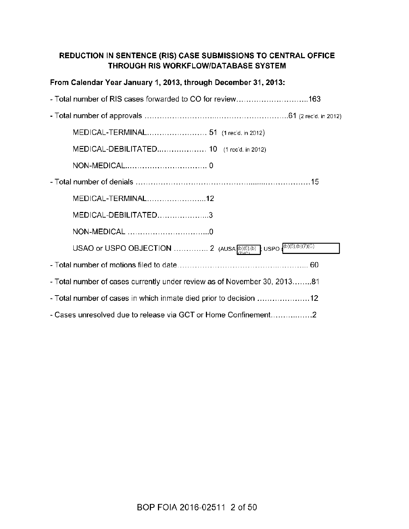# REDUCTION IN SENTENCE (RIS) CASE SUBMISSIONS TO CENTRAL OFFICE THROUGH RIS WORKFLOW/DATABASE SYSTEM

| From Calendar Year January 1, 2013, through December 31, 2013:           |
|--------------------------------------------------------------------------|
|                                                                          |
|                                                                          |
| MEDICAL-TERMINAL 51 (1 rec'd. in 2012)                                   |
| MEDICAL-DEBILITATED 10 (1 rec'd. in 2012)                                |
|                                                                          |
|                                                                          |
| MEDICAL-TERMINAL12                                                       |
| MEDICAL-DEBILITATED3                                                     |
|                                                                          |
|                                                                          |
|                                                                          |
| - Total number of cases currently under review as of November 30, 201381 |
|                                                                          |
| - Cases unresolved due to release via GCT or Home Confinement2           |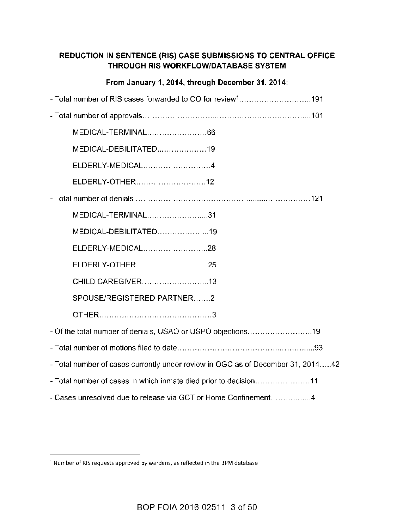# REDUCTION IN SENTENCE (RIS) CASE SUBMISSIONS TO CENTRAL OFFICE THROUGH RIS WORKFLOW/DATABASE SYSTEM

### From January 1, 2014, through December 31, 2014:

| - Total number of RIS cases forwarded to CO for review <sup>1</sup> 191         |
|---------------------------------------------------------------------------------|
|                                                                                 |
| MEDICAL-TERMINAL66                                                              |
| MEDICAL-DEBILITATED19                                                           |
| ELDERLY-MEDICAL4                                                                |
| ELDERLY-OTHER12                                                                 |
|                                                                                 |
| MEDICAL-TERMINAL31                                                              |
| MEDICAL-DEBILITATED19                                                           |
| ELDERLY-MEDICAL28                                                               |
| ELDERLY-OTHER25                                                                 |
| CHILD CAREGIVER13                                                               |
| SPOUSE/REGISTERED PARTNER2                                                      |
|                                                                                 |
| - Of the total number of denials, USAO or USPO objections19                     |
|                                                                                 |
| - Total number of cases currently under review in OGC as of December 31, 201442 |
| - Total number of cases in which inmate died prior to decision11                |
| - Cases unresolved due to release via GCT or Home Confinement4                  |

<sup>&</sup>lt;sup>1</sup> Number of RIS requests approved by wardens, as reflected in the BPM database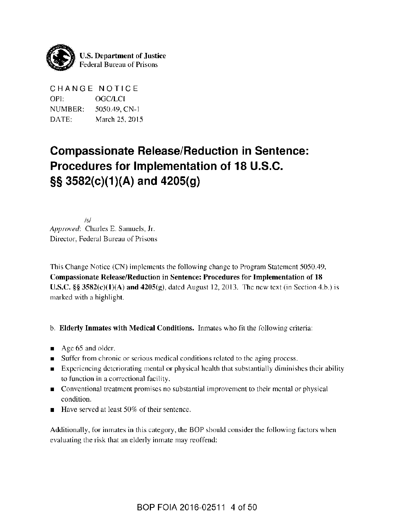

CHANGE NOTICE OPI: OGC/LCI NUMBER: 5050.49, CN-1 DATE: March 25, 2015

# **Compassionate Release/Reduction in Sentence:** Procedures for Implementation of 18 U.S.C. §§ 3582(c)(1)(A) and 4205(g)

 $/s/$ Approved: Charles E. Samuels, Jr. Director, Federal Bureau of Prisons

This Change Notice (CN) implements the following change to Program Statement 5050.49, Compassionate Release/Reduction in Sentence: Procedures for Implementation of 18 U.S.C.  $\S$ § 3582(c)(1)(A) and 4205(g), dated August 12, 2013. The new text (in Section 4.b.) is marked with a highlight.

### b. Elderly Inmates with Medical Conditions. Inmates who fit the following criteria:

- $\blacksquare$  Age 65 and older.
- Suffer from chronic or serious medical conditions related to the aging process.  $\blacksquare$
- **Experiencing deteriorating mental or physical health that substantially diminishes their ability** to function in a correctional facility.
- Conventional treatment promises no substantial improvement to their mental or physical condition.
- Have served at least 50% of their sentence.

Additionally, for inmates in this category, the BOP should consider the following factors when evaluating the risk that an elderly inmate may reoffend: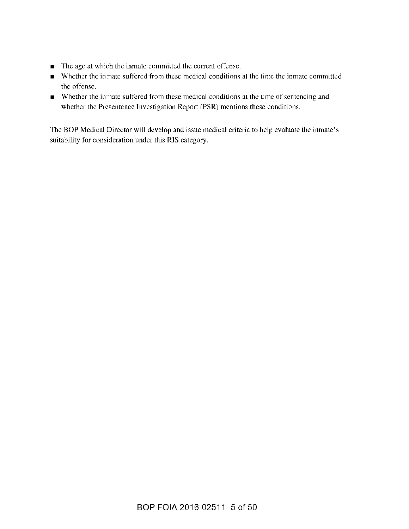- The age at which the inmate committed the current offense.
- Whether the inmate suffered from these medical conditions at the time the inmate committed the offense.
- Whether the inmate suffered from these medical conditions at the time of sentencing and whether the Presentence Investigation Report (PSR) mentions these conditions.

The BOP Medical Director will develop and issue medical criteria to help evaluate the inmate's suitability for consideration under this RIS category.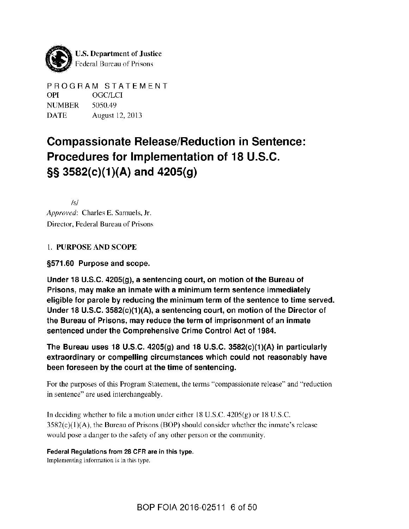

PROGRAM STATEMENT **OPI OGC/LCI** NUMBER 5050.49 **DATE** August 12, 2013

# **Compassionate Release/Reduction in Sentence:** Procedures for Implementation of 18 U.S.C.  $\S$ \$ 3582(c)(1)(A) and 4205(g)

 $/s/$ Approved: Charles E. Samuels, Jr. Director, Federal Bureau of Prisons

### 1. PURPOSE AND SCOPE

### §571.60 Purpose and scope.

Under 18 U.S.C. 4205(g), a sentencing court, on motion of the Bureau of Prisons, may make an inmate with a minimum term sentence immediately eligible for parole by reducing the minimum term of the sentence to time served. Under 18 U.S.C.  $3582(c)(1)(A)$ , a sentencing court, on motion of the Director of the Bureau of Prisons, may reduce the term of imprisonment of an inmate sentenced under the Comprehensive Crime Control Act of 1984.

The Bureau uses 18 U.S.C. 4205(g) and 18 U.S.C. 3582(c)(1)(A) in particularly extraordinary or compelling circumstances which could not reasonably have been foreseen by the court at the time of sentencing.

For the purposes of this Program Statement, the terms "compassionate release" and "reduction in sentence" are used interchangeably.

In deciding whether to file a motion under either  $18$  U.S.C.  $4205(g)$  or  $18$  U.S.C.  $3582(c)(1)(A)$ , the Bureau of Prisons (BOP) should consider whether the inmate's release would pose a danger to the safety of any other person or the community.

#### Federal Regulations from 28 CFR are in this type.

Implementing information is in this type.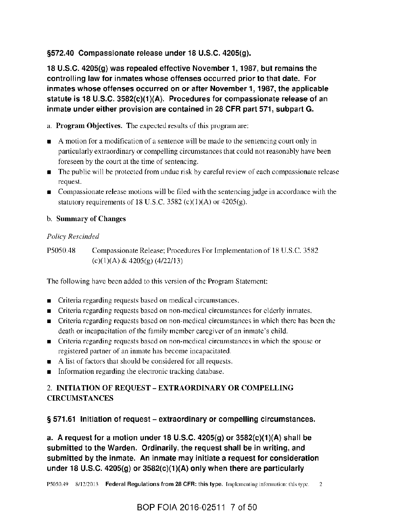### §572.40 Compassionate release under 18 U.S.C. 4205(g).

18 U.S.C. 4205(g) was repealed effective November 1, 1987, but remains the controlling law for inmates whose offenses occurred prior to that date. For inmates whose offenses occurred on or after November 1, 1987, the applicable statute is 18 U.S.C. 3582(c)(1)(A). Procedures for compassionate release of an inmate under either provision are contained in 28 CFR part 571, subpart G.

a. Program Objectives. The expected results of this program are:

- A motion for a modification of a sentence will be made to the sentencing court only in particularly extraordinary or compelling circumstances that could not reasonably have been foreseen by the court at the time of sentencing.
- The public will be protected from undue risk by careful review of each compassionate release request.
- Compassionate release motions will be filed with the sentencing judge in accordance with the statutory requirements of 18 U.S.C. 3582 (c)(1)(A) or 4205(g).

## b. Summary of Changes

### **Policy Rescinded**

P5050.48 Compassionate Release; Procedures For Implementation of 18 U.S.C. 3582  $(c)(1)(A) & 4205(g) (4/22/13)$ 

The following have been added to this version of the Program Statement:

- Criteria regarding requests based on medical circumstances.
- Criteria regarding requests based on non-medical circumstances for elderly inmates,
- Criteria regarding requests based on non-medical circumstances in which there has been the death or incapacitation of the family member caregiver of an inmate's child.
- Criteria regarding requests based on non-medical circumstances in which the spouse or registered partner of an inmate has become incapacitated.
- A list of factors that should be considered for all requests.
- Information regarding the electronic tracking database.  $\blacksquare$

# 2. INITIATION OF REQUEST – EXTRAORDINARY OR COMPELLING **CIRCUMSTANCES**

# § 571.61 Initiation of request – extraordinary or compelling circumstances.

a. A request for a motion under 18 U.S.C. 4205(g) or  $3582(c)(1)(A)$  shall be submitted to the Warden. Ordinarily, the request shall be in writing, and submitted by the inmate. An inmate may initiate a request for consideration under 18 U.S.C. 4205(g) or  $3582(c)(1)(A)$  only when there are particularly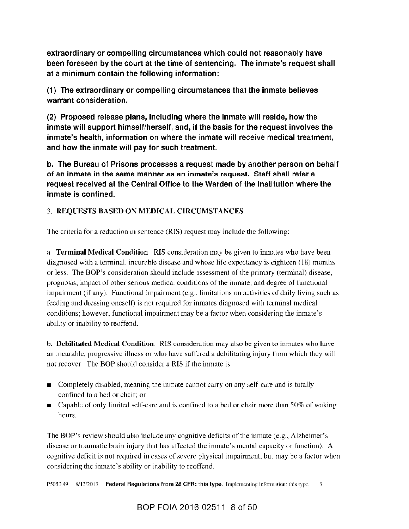extraordinary or compelling circumstances which could not reasonably have been foreseen by the court at the time of sentencing. The inmate's request shall at a minimum contain the following information:

(1) The extraordinary or compelling circumstances that the inmate believes warrant consideration.

(2) Proposed release plans, including where the inmate will reside, how the inmate will support himself/herself, and, if the basis for the request involves the inmate's health, information on where the inmate will receive medical treatment, and how the inmate will pay for such treatment.

b. The Bureau of Prisons processes a request made by another person on behalf of an inmate in the same manner as an inmate's request. Staff shall refer a request received at the Central Office to the Warden of the institution where the inmate is confined.

# 3. REQUESTS BASED ON MEDICAL CIRCUMSTANCES

The criteria for a reduction in sentence (RIS) request may include the following:

a. **Terminal Medical Condition.** RIS consideration may be given to inmates who have been diagnosed with a terminal, incurable disease and whose life expectancy is eighteen (18) months or less. The BOP's consideration should include assessment of the primary (terminal) disease, prognosis, impact of other serious medical conditions of the inmate, and degree of functional impairment (if any). Functional impairment (e.g., limitations on activities of daily living such as feeding and dressing oneself) is not required for inmates diagnosed with terminal medical conditions; however, functional impairment may be a factor when considering the inmate's ability or inability to reoffend.

b. Debilitated Medical Condition. RIS consideration may also be given to inmates who have an incurable, progressive illness or who have suffered a debilitating injury from which they will not recover. The BOP should consider a RIS if the inmate is:

- Completely disabled, meaning the inmate cannot carry on any self-care and is totally confined to a bed or chair; or
- **Example 2** Capable of only limited self-care and is confined to a bed or chair more than  $50\%$  of waking hours.

The BOP's review should also include any cognitive deficits of the inmate (e.g., Alzheimer's disease or traumatic brain injury that has affected the inmate's mental capacity or function). A cognitive deficit is not required in cases of severe physical impairment, but may be a factor when considering the inmate's ability or inability to reoffend.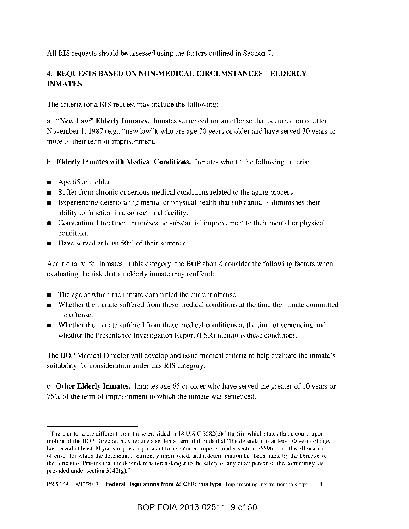All RIS requests should be assessed using the factors outlined in Section 7.

# 4. REQUESTS BASED ON NON-MEDICAL CIRCUMSTANCES - ELDERLY **INMATES**

The criteria for a RIS request may include the following:

a. "New Law" Elderly Inmates. Inmates sentenced for an offense that occurred on or after November 1, 1987 (e.g., "new law"), who are age 70 years or older and have served 30 years or more of their term of imprisonment.<sup>1</sup>

- b. Elderly Inmates with Medical Conditions. Inmates who fit the following criteria:
- Age 65 and older.  $\blacksquare$
- Suffer from chronic or serious medical conditions related to the aging process.
- Experiencing deteriorating mental or physical health that substantially diminishes their ability to function in a correctional facility.
- Conventional treatment promises no substantial improvement to their mental or physical condition.
- Have served at least 50% of their sentence.

Additionally, for inmates in this category, the BOP should consider the following factors when evaluating the risk that an elderly inmate may reoffend:

- The age at which the inmate committed the current offense.
- Whether the inmate suffered from these medical conditions at the time the inmate committed the offense.
- Whether the inmate suffered from these medical conditions at the time of sentencing and whether the Presentence Investigation Report (PSR) mentions these conditions.

The BOP Medical Director will develop and issue medical criteria to help evaluate the inmate's suitability for consideration under this RIS category.

c. Other Elderly Inmates. Inmates age 65 or older who have served the greater of 10 years or 75% of the term of imprisonment to which the inmate was sentenced.

<sup>&</sup>lt;sup>1</sup> These criteria are different from those provided in 18 U.S.C 3582(c)(1)(a)(ii), which states that a court, upon motion of the BOP Director, may reduce a sentence term if it finds that "the defendant is at least 70 years of age, has served at least 30 years in prison, pursuant to a sentence imposed under section 3559(c), for the offense or offenses for which the defendant is currently imprisoned, and a determination has been made by the Director of the Bureau of Prisons that the defendant is not a danger to the safety of any other person or the community, as provided under section  $3142(g)$ ."

P5050.49 8/12/2013 Federal Regulations from 28 CFR: this type. Implementing information: this type.  $\overline{4}$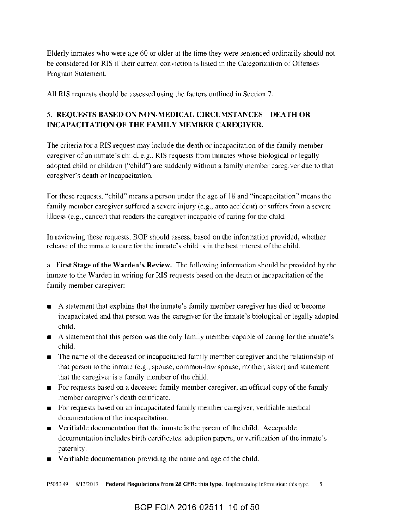Elderly inmates who were age 60 or older at the time they were sentenced ordinarily should not be considered for RIS if their current conviction is listed in the Categorization of Offenses Program Statement.

All RIS requests should be assessed using the factors outlined in Section 7.

# 5. REQUESTS BASED ON NON-MEDICAL CIRCUMSTANCES - DEATH OR **INCAPACITATION OF THE FAMILY MEMBER CAREGIVER.**

The criteria for a RIS request may include the death or incapacitation of the family member caregiver of an inmate's child, e.g., RIS requests from inmates whose biological or legally adopted child or children ("child") are suddenly without a family member caregiver due to that caregiver's death or incapacitation.

For these requests, "child" means a person under the age of 18 and "incapacitation" means the family member caregiver suffered a severe injury (e.g., auto accident) or suffers from a severe illness (e.g., cancer) that renders the caregiver incapable of caring for the child.

In reviewing these requests, BOP should assess, based on the information provided, whether release of the inmate to care for the inmate's child is in the best interest of the child.

a. First Stage of the Warden's Review. The following information should be provided by the inmate to the Warden in writing for RIS requests based on the death or incapacitation of the family member caregiver:

- A statement that explains that the inmate's family member caregiver has died or become incapacitated and that person was the caregiver for the inmate's biological or legally adopted child.
- A statement that this person was the only family member capable of caring for the inmate's child.
- The name of the deceased or incapacitated family member caregiver and the relationship of that person to the inmate (e.g., spouse, common-law spouse, mother, sister) and statement that the caregiver is a family member of the child.
- For requests based on a deceased family member caregiver, an official copy of the family member caregiver's death certificate.
- For requests based on an incapacitated family member caregiver, verifiable medical documentation of the incapacitation.
- Verifiable documentation that the inmate is the parent of the child. Acceptable documentation includes birth certificates, adoption papers, or verification of the inmate's paternity.
- Verifiable documentation providing the name and age of the child.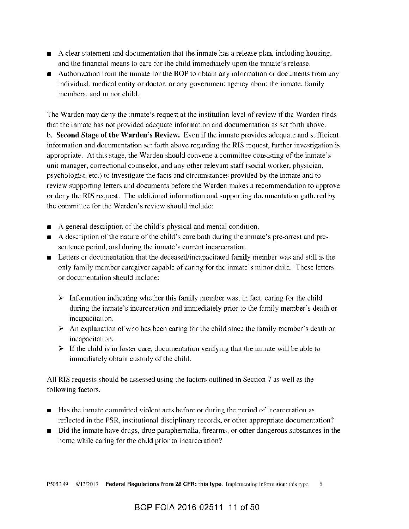- A clear statement and documentation that the inmate has a release plan, including housing, and the financial means to care for the child immediately upon the inmate's release.
- Authorization from the inmate for the BOP to obtain any information or documents from any individual, medical entity or doctor, or any government agency about the inmate, family members, and minor child.

The Warden may deny the inmate's request at the institution level of review if the Warden finds that the inmate has not provided adequate information and documentation as set forth above. b. Second Stage of the Warden's Review. Even if the inmate provides adequate and sufficient information and documentation set forth above regarding the RIS request, further investigation is appropriate. At this stage, the Warden should convene a committee consisting of the inmate's unit manager, correctional counselor, and any other relevant staff (social worker, physician, psychologist, etc.) to investigate the facts and circumstances provided by the inmate and to review supporting letters and documents before the Warden makes a recommendation to approve or deny the RIS request. The additional information and supporting documentation gathered by the committee for the Warden's review should include:

- A general description of the child's physical and mental condition.
- A description of the nature of the child's care both during the inmate's pre-arrest and pre- $\blacksquare$ sentence period, and during the inmate's current incarceration.
- Letters or documentation that the deceased/incapacitated family member was and still is the only family member caregiver capable of caring for the inmate's minor child. These letters or documentation should include:
	- $\triangleright$  Information indicating whether this family member was, in fact, caring for the child during the inmate's incarceration and immediately prior to the family member's death or incapacitation.
	- $\triangleright$  An explanation of who has been caring for the child since the family member's death or incapacitation.
	- $\triangleright$  If the child is in foster care, documentation verifying that the inmate will be able to immediately obtain custody of the child.

All RIS requests should be assessed using the factors outlined in Section 7 as well as the following factors.

- Has the inmate committed violent acts before or during the period of incarceration as  $\blacksquare$ reflected in the PSR, institutional disciplinary records, or other appropriate documentation?
- Did the inmate have drugs, drug paraphernalia, firearms, or other dangerous substances in the  $\blacksquare$ home while caring for the child prior to incarceration?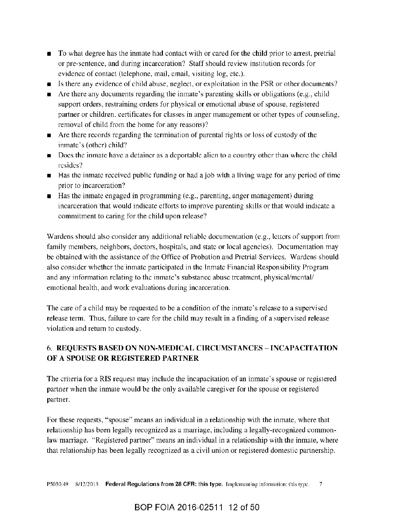- To what degree has the inmate had contact with or cared for the child prior to arrest, pretrial or pre-sentence, and during incarceration? Staff should review institution records for evidence of contact (telephone, mail, email, visiting log, etc.).
- Is there any evidence of child abuse, neglect, or exploitation in the PSR or other documents?
- Are there any documents regarding the inmate's parenting skills or obligations (e.g., child  $\blacksquare$ support orders, restraining orders for physical or emotional abuse of spouse, registered partner or children, certificates for classes in anger management or other types of counseling, removal of child from the home for any reasons)?
- $\blacksquare$  Are there records regarding the termination of parental rights or loss of custody of the inmate's (other) child?
- Does the inmate have a detainer as a deportable alien to a country other than where the child resides?
- Has the inmate received public funding or had a job with a living wage for any period of time prior to incarceration?
- Has the inmate engaged in programming (e.g., parenting, anger management) during incarceration that would indicate efforts to improve parenting skills or that would indicate a commitment to caring for the child upon release?

Wardens should also consider any additional reliable documentation (e.g., letters of support from family members, neighbors, doctors, hospitals, and state or local agencies). Documentation may be obtained with the assistance of the Office of Probation and Pretrial Services. Wardens should also consider whether the inmate participated in the Inmate Financial Responsibility Program and any information relating to the inmate's substance abuse treatment, physical/mental/ emotional health, and work evaluations during incarceration.

The care of a child may be requested to be a condition of the inmate's release to a supervised release term. Thus, failure to care for the child may result in a finding of a supervised release violation and return to custody.

# 6. REQUESTS BASED ON NON-MEDICAL CIRCUMSTANCES - INCAPACITATION OF A SPOUSE OR REGISTERED PARTNER

The criteria for a RIS request may include the incapacitation of an inmate's spouse or registered partner when the inmate would be the only available caregiver for the spouse or registered partner.

For these requests, "spouse" means an individual in a relationship with the inmate, where that relationship has been legally recognized as a marriage, including a legally-recognized commonlaw marriage. "Registered partner" means an individual in a relationship with the inmate, where that relationship has been legally recognized as a civil union or registered domestic partnership.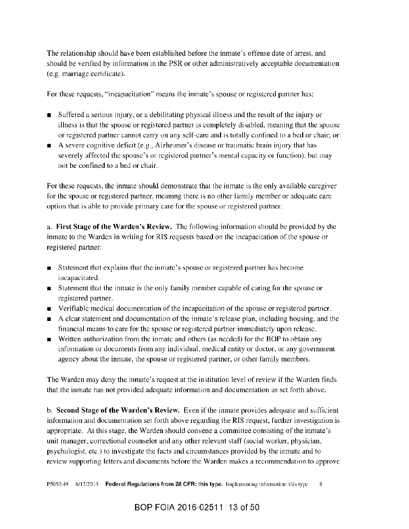The relationship should have been established before the inmate's offense date of arrest, and should be verified by information in the PSR or other administratively acceptable documentation (e.g. marriage certificate).

For these requests, "incapacitation" means the inmate's spouse or registered partner has:

- Suffered a serious injury, or a debilitating physical illness and the result of the injury or illness is that the spouse or registered partner is completely disabled, meaning that the spouse or registered partner cannot carry on any self-care and is totally confined to a bed or chair; or
- A severe cognitive deficit (e.g., Alzheimer's disease or traumatic brain injury that has severely affected the spouse's or registered partner's mental capacity or function), but may not be confined to a bed or chair.

For these requests, the inmate should demonstrate that the inmate is the only available caregiver for the spouse or registered partner, meaning there is no other family member or adequate care option that is able to provide primary care for the spouse or registered partner.

a. First Stage of the Warden's Review. The following information should be provided by the inmate to the Warden in writing for RIS requests based on the incapacitation of the spouse or registered partner:

- Statement that explains that the inmate's spouse or registered partner has become incapacitated.
- Statement that the inmate is the only family member capable of caring for the spouse or registered partner.
- Verifiable medical documentation of the incapacitation of the spouse or registered partner.
- A clear statement and documentation of the inmate's release plan, including housing, and the financial means to care for the spouse or registered partner immediately upon release.
- Written authorization from the inmate and others (as needed) for the BOP to obtain any information or documents from any individual, medical entity or doctor, or any government agency about the inmate, the spouse or registered partner, or other family members.

The Warden may deny the inmate's request at the institution level of review if the Warden finds that the inmate has not provided adequate information and documentation as set forth above.

b. Second Stage of the Warden's Review. Even if the inmate provides adequate and sufficient information and documentation set forth above regarding the RIS request, further investigation is appropriate. At this stage, the Warden should convene a committee consisting of the inmate's unit manager, correctional counselor and any other relevant staff (social worker, physician, psychologist, etc.) to investigate the facts and circumstances provided by the inmate and to review supporting letters and documents before the Warden makes a recommendation to approve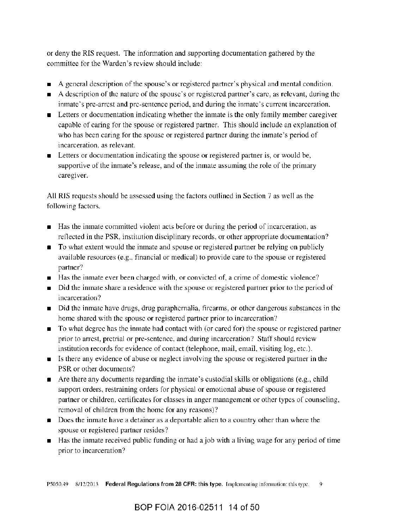or deny the RIS request. The information and supporting documentation gathered by the committee for the Warden's review should include:

- A general description of the spouse's or registered partner's physical and mental condition.
- A description of the nature of the spouse's or registered partner's care, as relevant, during the inmate's pre-arrest and pre-sentence period, and during the inmate's current incarceration.
- **Example 1** Letters or documentation indicating whether the inmate is the only family member caregiver capable of caring for the spouse or registered partner. This should include an explanation of who has been caring for the spouse or registered partner during the inmate's period of incarceration, as relevant.
- **Example 1** Letters or documentation indicating the spouse or registered partner is, or would be, supportive of the inmate's release, and of the inmate assuming the role of the primary caregiver.

All RIS requests should be assessed using the factors outlined in Section 7 as well as the following factors.

- Has the inmate committed violent acts before or during the period of incarceration, as reflected in the PSR, institution disciplinary records, or other appropriate documentation?
- To what extent would the inmate and spouse or registered partner be relying on publicly available resources (e.g., financial or medical) to provide care to the spouse or registered partner?
- Has the inmate ever been charged with, or convicted of, a crime of domestic violence?
- Did the inmate share a residence with the spouse or registered partner prior to the period of incarceration?
- Did the inmate have drugs, drug paraphernalia, firearms, or other dangerous substances in the home shared with the spouse or registered partner prior to incarceration?
- To what degree has the inmate had contact with (or cared for) the spouse or registered partner prior to arrest, pretrial or pre-sentence, and during incarceration? Staff should review institution records for evidence of contact (telephone, mail, email, visiting log, etc.).
- Is there any evidence of abuse or neglect involving the spouse or registered partner in the PSR or other documents?
- $\blacksquare$  Are there any documents regarding the inmate's custodial skills or obligations (e.g., child support orders, restraining orders for physical or emotional abuse of spouse or registered partner or children, certificates for classes in anger management or other types of counseling, removal of children from the home for any reasons)?
- Does the inmate have a detainer as a deportable alien to a country other than where the spouse or registered partner resides?
- Has the inmate received public funding or had a job with a living wage for any period of time prior to incarceration?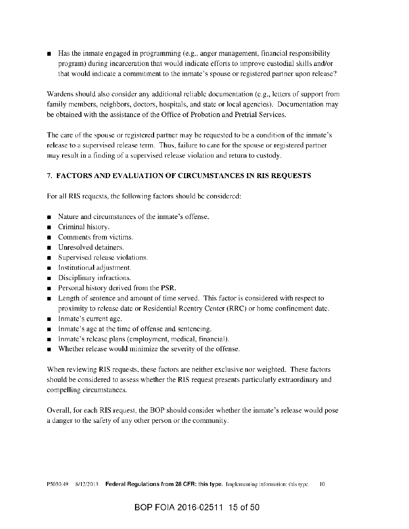Has the inmate engaged in programming (e.g., anger management, financial responsibility  $\blacksquare$ program) during incarceration that would indicate efforts to improve custodial skills and/or that would indicate a commitment to the inmate's spouse or registered partner upon release?

Wardens should also consider any additional reliable documentation (e.g., letters of support from family members, neighbors, doctors, hospitals, and state or local agencies). Documentation may be obtained with the assistance of the Office of Probation and Pretrial Services.

The care of the spouse or registered partner may be requested to be a condition of the inmate's release to a supervised release term. Thus, failure to care for the spouse or registered partner may result in a finding of a supervised release violation and return to custody.

#### 7. FACTORS AND EVALUATION OF CIRCUMSTANCES IN RIS REQUESTS

For all RIS requests, the following factors should be considered:

- Nature and circumstances of the inmate's offense.
- Criminal history.
- $\blacksquare$  Comments from victims.
- **Intervalue Unresolved detainers.**
- Supervised release violations.
- **n** Institutional adjustment.
- Disciplinary infractions.
- **Personal history derived from the PSR.**
- Length of sentence and amount of time served. This factor is considered with respect to proximity to release date or Residential Reentry Center (RRC) or home confinement date.
- Inmate's current age.
- Inmate's age at the time of offense and sentencing.
- Inmate's release plans (employment, medical, financial).
- Whether release would minimize the severity of the offense.

When reviewing RIS requests, these factors are neither exclusive nor weighted. These factors should be considered to assess whether the RIS request presents particularly extraordinary and compelling circumstances.

Overall, for each RIS request, the BOP should consider whether the inmate's release would pose a danger to the safety of any other person or the community.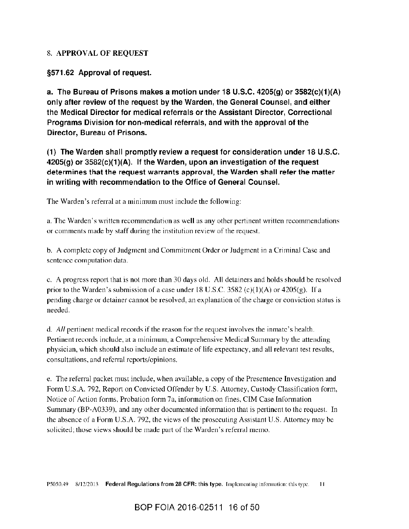#### 8. APPROVAL OF REQUEST

§571.62 Approval of request.

a. The Bureau of Prisons makes a motion under 18 U.S.C. 4205(g) or  $3582(c)(1)(A)$ only after review of the request by the Warden, the General Counsel, and either the Medical Director for medical referrals or the Assistant Director, Correctional Programs Division for non-medical referrals, and with the approval of the Director, Bureau of Prisons.

(1) The Warden shall promptly review a request for consideration under 18 U.S.C.  $4205(g)$  or  $3582(c)(1)(A)$ . If the Warden, upon an investigation of the request determines that the request warrants approval, the Warden shall refer the matter in writing with recommendation to the Office of General Counsel.

The Warden's referral at a minimum must include the following:

a. The Warden's written recommendation as well as any other pertinent written recommendations or comments made by staff during the institution review of the request.

b. A complete copy of Judgment and Commitment Order or Judgment in a Criminal Case and sentence computation data.

c. A progress report that is not more than 30 days old. All detainers and holds should be resolved prior to the Warden's submission of a case under 18 U.S.C. 3582 (c)(1)(A) or 4205(g). If a pending charge or detainer cannot be resolved, an explanation of the charge or conviction status is needed.

d. All pertinent medical records if the reason for the request involves the inmate's health. Pertinent records include, at a minimum, a Comprehensive Medical Summary by the attending physician, which should also include an estimate of life expectancy, and all relevant test results, consultations, and referral reports/opinions.

e. The referral packet must include, when available, a copy of the Presentence Investigation and Form U.S.A. 792, Report on Convicted Offender by U.S. Attorney, Custody Classification form, Notice of Action forms, Probation form 7a, information on fines, CIM Case Information Summary (BP-A0339), and any other documented information that is pertinent to the request. In the absence of a Form U.S.A. 792, the views of the prosecuting Assistant U.S. Attorney may be solicited; those views should be made part of the Warden's referral memo.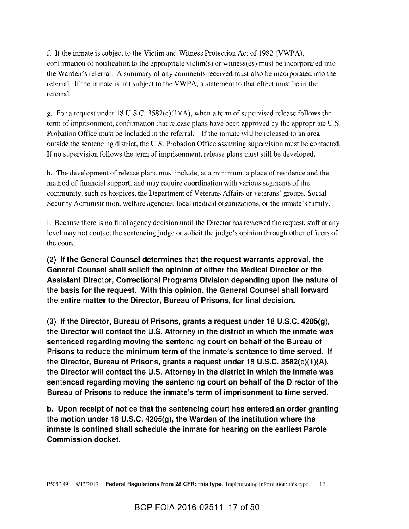f. If the inmate is subject to the Victim and Witness Protection Act of 1982 (VWPA), confirmation of notification to the appropriate victim( $s$ ) or witness( $es$ ) must be incorporated into the Warden's referral. A summary of any comments received must also be incorporated into the referral. If the inmate is not subject to the VWPA, a statement to that effect must be in the referral

g. For a request under 18 U.S.C.  $3582(c)(1)(A)$ , when a term of supervised release follows the term of imprisonment, confirmation that release plans have been approved by the appropriate U.S. Probation Office must be included in the referral. If the inmate will be released to an area outside the sentencing district, the U.S. Probation Office assuming supervision must be contacted. If no supervision follows the term of imprisonment, release plans must still be developed.

h. The development of release plans must include, at a minimum, a place of residence and the method of financial support, and may require coordination with various segments of the community, such as hospices, the Department of Veterans Affairs or veterans' groups, Social Security Administration, welfare agencies, local medical organizations, or the inmate's family.

i. Because there is no final agency decision until the Director has reviewed the request, staff at any level may not contact the sentencing judge or solicit the judge's opinion through other officers of the court.

(2) If the General Counsel determines that the request warrants approval, the General Counsel shall solicit the opinion of either the Medical Director or the Assistant Director, Correctional Programs Division depending upon the nature of the basis for the request. With this opinion, the General Counsel shall forward the entire matter to the Director, Bureau of Prisons, for final decision.

(3) If the Director, Bureau of Prisons, grants a request under 18 U.S.C. 4205(g), the Director will contact the U.S. Attorney in the district in which the inmate was sentenced regarding moving the sentencing court on behalf of the Bureau of Prisons to reduce the minimum term of the inmate's sentence to time served. If the Director, Bureau of Prisons, grants a request under 18 U.S.C. 3582(c)(1)(A), the Director will contact the U.S. Attorney in the district in which the inmate was sentenced regarding moving the sentencing court on behalf of the Director of the Bureau of Prisons to reduce the inmate's term of imprisonment to time served.

b. Upon receipt of notice that the sentencing court has entered an order granting the motion under 18 U.S.C.  $4205(g)$ , the Warden of the institution where the inmate is confined shall schedule the inmate for hearing on the earliest Parole Commission docket.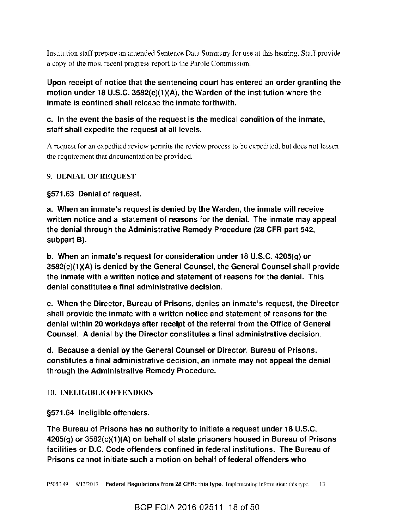Institution staff prepare an amended Sentence Data Summary for use at this hearing. Staff provide a copy of the most recent progress report to the Parole Commission.

Upon receipt of notice that the sentencing court has entered an order granting the motion under 18 U.S.C. 3582(c)(1)(A), the Warden of the institution where the inmate is confined shall release the inmate forthwith.

# c. In the event the basis of the request is the medical condition of the inmate, staff shall expedite the request at all levels.

A request for an expedited review permits the review process to be expedited, but does not lessen the requirement that documentation be provided.

## 9. DENIAL OF REQUEST

## §571.63 Denial of request.

a. When an inmate's request is denied by the Warden, the inmate will receive written notice and a statement of reasons for the denial. The inmate may appeal the denial through the Administrative Remedy Procedure (28 CFR part 542, subpart B).

b. When an inmate's request for consideration under 18 U.S.C. 4205(g) or 3582(c)(1)(A) is denied by the General Counsel, the General Counsel shall provide the inmate with a written notice and statement of reasons for the denial. This denial constitutes a final administrative decision.

c. When the Director, Bureau of Prisons, denies an inmate's request, the Director shall provide the inmate with a written notice and statement of reasons for the denial within 20 workdays after receipt of the referral from the Office of General Counsel. A denial by the Director constitutes a final administrative decision.

d. Because a denial by the General Counsel or Director, Bureau of Prisons, constitutes a final administrative decision, an inmate may not appeal the denial through the Administrative Remedy Procedure.

### 10. INELIGIBLE OFFENDERS

§571.64 Ineligible offenders.

The Bureau of Prisons has no authority to initiate a request under 18 U.S.C. 4205(g) or 3582(c)(1)(A) on behalf of state prisoners housed in Bureau of Prisons facilities or D.C. Code offenders confined in federal institutions. The Bureau of Prisons cannot initiate such a motion on behalf of federal offenders who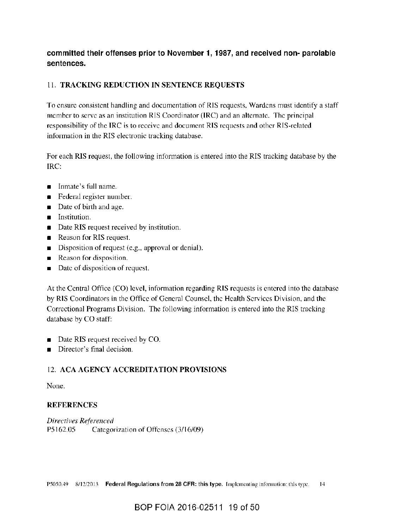## committed their offenses prior to November 1, 1987, and received non-parolable sentences.

## 11. TRACKING REDUCTION IN SENTENCE REQUESTS

To ensure consistent handling and documentation of RIS requests, Wardens must identify a staff member to serve as an institution RIS Coordinator (IRC) and an alternate. The principal responsibility of the IRC is to receive and document RIS requests and other RIS-related information in the RIS electronic tracking database.

For each RIS request, the following information is entered into the RIS tracking database by the IRC:

- Inmate's full name.
- Federal register number.  $\blacksquare$
- Date of birth and age.
- **n** Institution.
- Date RIS request received by institution.  $\blacksquare$
- Reason for RIS request.
- Disposition of request (e.g., approval or denial).  $\blacksquare$
- Reason for disposition.
- Date of disposition of request.  $\blacksquare$

At the Central Office (CO) level, information regarding RIS requests is entered into the database by RIS Coordinators in the Office of General Counsel, the Health Services Division, and the Correctional Programs Division. The following information is entered into the RIS tracking database by CO staff:

- Date RIS request received by CO.
- Director's final decision.

# **12. ACA AGENCY ACCREDITATION PROVISIONS**

None.

### **REFERENCES**

Directives Referenced P5162.05 Categorization of Offenses (3/16/09)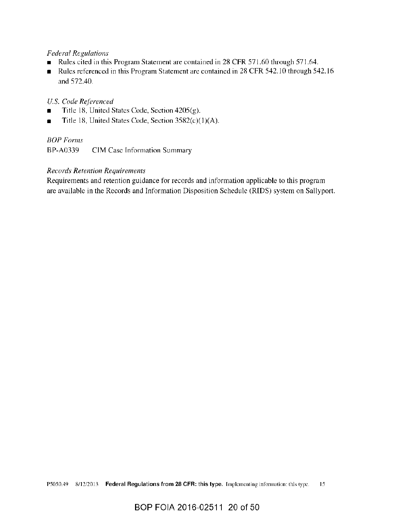#### **Federal Regulations**

- Rules cited in this Program Statement are contained in 28 CFR 571.60 through 571.64.  $\blacksquare$
- Rules referenced in this Program Statement are contained in 28 CFR 542.10 through 542.16  $\blacksquare$ and 572.40.

#### U.S. Code Referenced

- Title 18, United States Code, Section 4205(g).
- Title 18, United States Code, Section 3582(c)(1)(A).

#### **BOP** Forms

BP-A0339 CIM Case Information Summary

#### **Records Retention Requirements**

Requirements and retention guidance for records and information applicable to this program are available in the Records and Information Disposition Schedule (RIDS) system on Sallyport.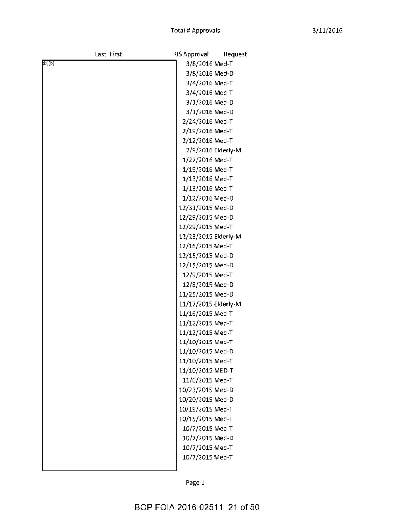| Last, First | RIS Approval<br>Request |
|-------------|-------------------------|
| (b)(6)      | 3/8/2016 Med-T          |
|             | 3/8/2016 Med-D          |
|             | 3/4/2016 Med-T          |
|             | 3/4/2016 Med-T          |
|             | 3/1/2016 Med-D          |
|             | 3/1/2016 Med-D          |
|             | 2/24/2016 Med-T         |
|             | 2/19/2016 Med-T         |
|             | 2/12/2016 Med-T         |
|             | 2/9/2016 Elderly-M      |
|             | 1/27/2016 Med-T         |
|             | 1/19/2016 Med-T         |
|             | 1/13/2016 Med-T         |
|             | 1/13/2016 Med-T         |
|             | 1/12/2016 Med-D         |
|             | 12/31/2015 Med-D        |
|             | 12/29/2015 Med-D        |
|             | 12/29/2015 Med-T        |
|             | 12/23/2015 Elderly-M    |
|             | 12/16/2015 Med-T        |
|             | 12/15/2015 Med-D        |
|             | 12/15/2015 Med-D        |
|             | 12/9/2015 Med-T         |
|             | 12/8/2015 Med-D         |
|             | 11/25/2015 Med-D        |
|             | 11/17/2015 Elderly-M    |
|             | 11/16/2015 Med-T        |
|             | 11/12/2015 Med-T        |
|             | 11/12/2015 Med-T        |
|             | 11/10/2015 Med-T        |
|             | 11/10/2015 Med-D        |
|             | 11/10/2015 Med-T        |
|             | 11/10/2015 MED-T        |
|             | 11/6/2015 Med-T         |
|             | 10/23/2015 Med-D        |
|             | 10/20/2015 Med-D        |
|             | 10/19/2015 Med-T        |
|             | 10/15/2015 Med-T        |
|             | 10/7/2015 Med-T         |
|             | 10/7/2015 Med-D         |
|             | 10/7/2015 Med-T         |
|             | 10/7/2015 Med-T         |
|             |                         |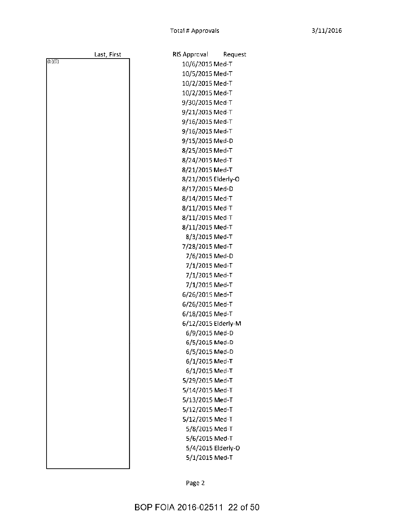Request

|        | Last, First | RIS Approval        | Reque              |
|--------|-------------|---------------------|--------------------|
| (b)(6) |             | 10/6/2015 Med-T     |                    |
|        |             | 10/5/2015 Med-T     |                    |
|        |             | 10/2/2015 Med-T     |                    |
|        |             | 10/2/2015 Med-T     |                    |
|        |             | 9/30/2015 Med-T     |                    |
|        |             | 9/21/2015 Med-T     |                    |
|        |             | 9/16/2015 Med-T     |                    |
|        |             | 9/16/2015 Med-T     |                    |
|        |             | 9/15/2015 Med-D     |                    |
|        |             | 8/25/2015 Med-T     |                    |
|        |             | 8/24/2015 Med-T     |                    |
|        |             | 8/21/2015 Med-T     |                    |
|        |             | 8/21/2015 Elderly-O |                    |
|        |             | 8/17/2015 Med-D     |                    |
|        |             | 8/14/2015 Med-T     |                    |
|        |             | 8/11/2015 Med-T     |                    |
|        |             | 8/11/2015 Med-T     |                    |
|        |             | 8/11/2015 Med-T     |                    |
|        |             | 8/3/2015 Med-T      |                    |
|        |             | 7/28/2015 Med-T     |                    |
|        |             | 7/6/2015 Med-D      |                    |
|        |             | 7/1/2015 Med-T      |                    |
|        |             | 7/1/2015 Med-T      |                    |
|        |             | 7/1/2015 Med-T      |                    |
|        |             | 6/26/2015 Med-T     |                    |
|        |             | 6/26/2015 Med-T     |                    |
|        |             | 6/18/2015 Med-T     |                    |
|        |             | 6/12/2015 Elderly-M |                    |
|        |             | 6/9/2015 Med-D      |                    |
|        |             | 6/5/2015 Med-D      |                    |
|        |             | 6/5/2015 Med-D      |                    |
|        |             | 6/1/2015 Med-T      |                    |
|        |             | 6/1/2015 Med-T      |                    |
|        |             | 5/29/2015 Med-T     |                    |
|        |             | 5/14/2015 Med-T     |                    |
|        |             | 5/13/2015 Med-T     |                    |
|        |             | 5/12/2015 Med-T     |                    |
|        |             | 5/12/2015 Med-T     |                    |
|        |             | 5/8/2015 Med-T      |                    |
|        |             | 5/6/2015 Med-T      |                    |
|        |             |                     | 5/4/2015 Elderly-O |
|        |             | 5/1/2015 Med-T      |                    |
|        |             |                     |                    |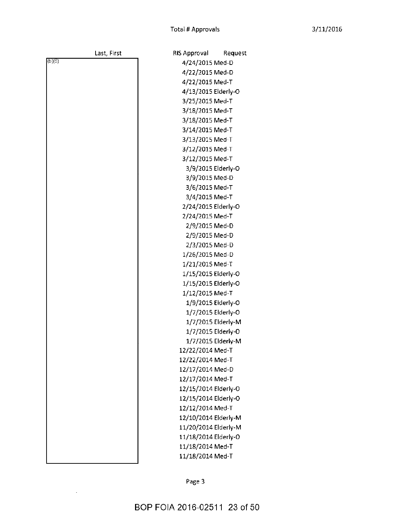Request

| Last, First | RIS Approval         | Reque              |
|-------------|----------------------|--------------------|
| (b)(6)      | 4/24/2015 Med-D      |                    |
|             | 4/22/2015 Med-D      |                    |
|             | 4/22/2015 Med-T      |                    |
|             | 4/13/2015 Elderly-O  |                    |
|             | 3/25/2015 Med-T      |                    |
|             | 3/18/2015 Med-T      |                    |
|             | 3/18/2015 Med-T      |                    |
|             | 3/14/2015 Med-T      |                    |
|             | 3/13/2015 Med-T      |                    |
|             | 3/12/2015 Med-T      |                    |
|             | 3/12/2015 Med-T      |                    |
|             |                      | 3/9/2015 Elderly-O |
|             | 3/9/2015 Med-D       |                    |
|             | 3/6/2015 Med-T       |                    |
|             | 3/4/2015 Med-T       |                    |
|             | 2/24/2015 Elderly-O  |                    |
|             | 2/24/2015 Med-T      |                    |
|             | 2/9/2015 Med-D       |                    |
|             | 2/9/2015 Med-D       |                    |
|             | 2/3/2015 Med-D       |                    |
|             | 1/26/2015 Med-D      |                    |
|             | 1/21/2015 Med-T      |                    |
|             | 1/15/2015 Elderly-O  |                    |
|             | 1/15/2015 Elderly-O  |                    |
|             | 1/12/2015 Med-T      |                    |
|             |                      | 1/9/2015 Elderly-O |
|             |                      | 1/7/2015 Elderly-O |
|             |                      | 1/7/2015 Elderly-M |
|             |                      | 1/7/2015 Elderly-O |
|             |                      | 1/7/2015 Elderly-M |
|             | 12/22/2014 Med-T     |                    |
|             | 12/22/2014 Med-T     |                    |
|             | 12/17/2014 Med-D     |                    |
|             | 12/17/2014 Med-T     |                    |
|             | 12/15/2014 Elderly-O |                    |
|             | 12/15/2014 Elderly-O |                    |
|             | 12/12/2014 Med-T     |                    |
|             | 12/10/2014 Elderly-M |                    |
|             | 11/20/2014 Elderly-M |                    |
|             | 11/18/2014 Elderly-O |                    |
|             | 11/18/2014 Med-T     |                    |
|             | 11/18/2014 Med-T     |                    |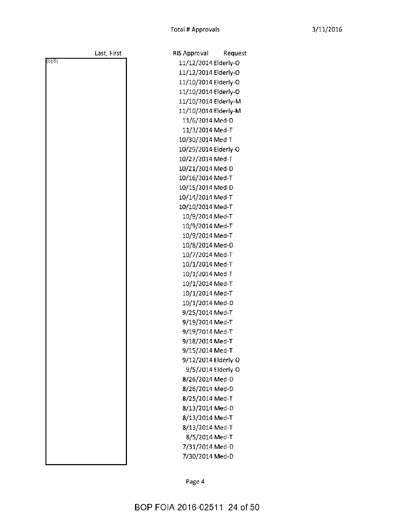Request

|        | Last, First | <b>RIS Approval</b>  | Reque              |
|--------|-------------|----------------------|--------------------|
| (b)(6) |             | 11/12/2014 Elderly-O |                    |
|        |             | 11/12/2014 Elderly-O |                    |
|        |             | 11/10/2014 Elderly-O |                    |
|        |             | 11/10/2014 Elderly-O |                    |
|        |             | 11/10/2014 Elderly-M |                    |
|        |             | 11/10/2014 Elderly-M |                    |
|        |             | 11/6/2014 Med-D      |                    |
|        |             | 11/3/2014 Med-T      |                    |
|        |             | 10/30/2014 Med-T     |                    |
|        |             | 10/29/2014 Elderly-O |                    |
|        |             | 10/27/2014 Med-T     |                    |
|        |             | 10/21/2014 Med-D     |                    |
|        |             | 10/16/2014 Med-T     |                    |
|        |             | 10/15/2014 Med-D     |                    |
|        |             | 10/14/2014 Med-T     |                    |
|        |             | 10/10/2014 Med-T     |                    |
|        |             | 10/9/2014 Med-T      |                    |
|        |             | 10/9/2014 Med-T      |                    |
|        |             | 10/9/2014 Med-T      |                    |
|        |             | 10/8/2014 Med-D      |                    |
|        |             | 10/7/2014 Med-T      |                    |
|        |             | 10/1/2014 Med-T      |                    |
|        |             | 10/1/2014 Med-T      |                    |
|        |             | 10/1/2014 Med-T      |                    |
|        |             | 10/1/2014 Med-T      |                    |
|        |             | 10/1/2014 Med-D      |                    |
|        |             | 9/25/2014 Med-T      |                    |
|        |             | 9/19/2014 Med-T      |                    |
|        |             | 9/19/2014 Med-T      |                    |
|        |             | 9/18/2014 Med-T      |                    |
|        |             | 9/15/2014 Med-T      |                    |
|        |             | 9/12/2014 Elderly-O  |                    |
|        |             |                      | 9/5/2014 Elderly-O |
|        |             | 8/26/2014 Med-D      |                    |
|        |             | 8/26/2014 Med-D      |                    |
|        |             | 8/25/2014 Med-T      |                    |
|        |             | 8/13/2014 Med-D      |                    |
|        |             | 8/13/2014 Med-T      |                    |
|        |             | 8/13/2014 Med-T      |                    |
|        |             | 8/5/2014 Med-T       |                    |
|        |             | 7/31/2014 Med-D      |                    |
|        |             | 7/30/2014 Med-D      |                    |
|        |             |                      |                    |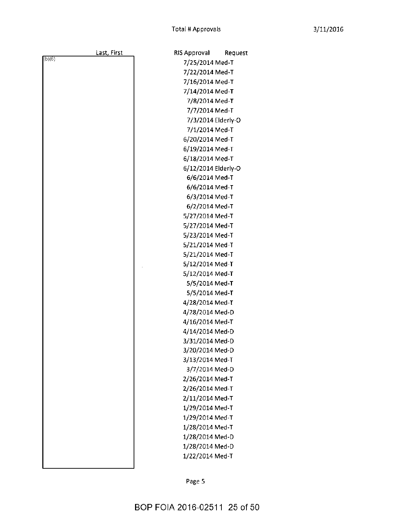Request

|        | Last, First | RIS Approval        | Reque |
|--------|-------------|---------------------|-------|
| (b)(6) |             | 7/25/2014 Med-T     |       |
|        |             | 7/22/2014 Med-T     |       |
|        |             | 7/16/2014 Med-T     |       |
|        |             | 7/14/2014 Med-T     |       |
|        |             | 7/8/2014 Med-T      |       |
|        |             | 7/7/2014 Med-T      |       |
|        |             | 7/3/2014 Elderly-O  |       |
|        |             | 7/1/2014 Med-T      |       |
|        |             | 6/20/2014 Med-T     |       |
|        |             | 6/19/2014 Med-T     |       |
|        |             | 6/18/2014 Med-T     |       |
|        |             | 6/12/2014 Elderly-O |       |
|        |             | 6/6/2014 Med-T      |       |
|        |             | 6/6/2014 Med-T      |       |
|        |             | 6/3/2014 Med-T      |       |
|        |             | 6/2/2014 Med-T      |       |
|        |             | 5/27/2014 Med-T     |       |
|        |             | 5/27/2014 Med-T     |       |
|        |             | 5/23/2014 Med-T     |       |
|        |             | 5/21/2014 Med-T     |       |
|        |             | 5/21/2014 Med-T     |       |
|        |             | 5/12/2014 Med-T     |       |
|        |             | 5/12/2014 Med-T     |       |
|        |             | 5/5/2014 Med-T      |       |
|        |             | 5/5/2014 Med-T      |       |
|        |             | 4/28/2014 Med-T     |       |
|        |             | 4/28/2014 Med-D     |       |
|        |             | 4/16/2014 Med-T     |       |
|        |             | 4/14/2014 Med-D     |       |
|        |             | 3/31/2014 Med-D     |       |
|        |             | 3/20/2014 Med-D     |       |
|        |             | 3/13/2014 Med-T     |       |
|        |             | 3/7/2014 Med-D      |       |
|        |             | 2/26/2014 Med-T     |       |
|        |             | 2/26/2014 Med-T     |       |
|        |             | 2/11/2014 Med-T     |       |
|        |             | 1/29/2014 Med-T     |       |
|        |             | 1/29/2014 Med-T     |       |
|        |             | 1/28/2014 Med-T     |       |
|        |             | 1/28/2014 Med-D     |       |
|        |             | 1/28/2014 Med-D     |       |
|        |             | 1/22/2014 Med-T     |       |
|        |             |                     |       |

Page 5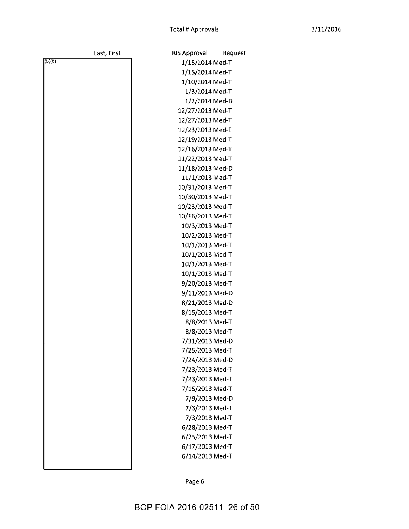Request

|        | Last, First | <b>RIS Approval</b> | Req |
|--------|-------------|---------------------|-----|
| (b)(6) |             | 1/15/2014 Med-T     |     |
|        |             | 1/15/2014 Med-T     |     |
|        |             | 1/10/2014 Med-T     |     |
|        |             | 1/3/2014 Med-T      |     |
|        |             | 1/2/2014 Med-D      |     |
|        |             | 12/27/2013 Med-T    |     |
|        |             | 12/27/2013 Med-T    |     |
|        |             | 12/23/2013 Med-T    |     |
|        |             | 12/19/2013 Med-T    |     |
|        |             | 12/16/2013 Med-T    |     |
|        |             | 11/22/2013 Med-T    |     |
|        |             | 11/18/2013 Med-D    |     |
|        |             | 11/1/2013 Med-T     |     |
|        |             | 10/31/2013 Med-T    |     |
|        |             | 10/30/2013 Med-T    |     |
|        |             | 10/23/2013 Med-T    |     |
|        |             | 10/16/2013 Med-T    |     |
|        |             | 10/3/2013 Med-T     |     |
|        |             | 10/2/2013 Med-T     |     |
|        |             | 10/1/2013 Med-T     |     |
|        |             | 10/1/2013 Med-T     |     |
|        |             | 10/1/2013 Med-T     |     |
|        |             | 10/1/2013 Med-T     |     |
|        |             | 9/20/2013 Med-T     |     |
|        |             | 9/11/2013 Med-D     |     |
|        |             | 8/21/2013 Med-D     |     |
|        |             | 8/15/2013 Med-T     |     |
|        |             | 8/8/2013 Med-T      |     |
|        |             | 8/8/2013 Med-T      |     |
|        |             | 7/31/2013 Med-D     |     |
|        |             | 7/25/2013 Med-T     |     |
|        |             | 7/24/2013 Med-D     |     |
|        |             | 7/23/2013 Med-T     |     |
|        |             | 7/23/2013 Med-T     |     |
|        |             | 7/15/2013 Med-T     |     |
|        |             | 7/9/2013 Med-D      |     |
|        |             | 7/3/2013 Med-T      |     |
|        |             | 7/3/2013 Med-T      |     |
|        |             | 6/28/2013 Med-T     |     |
|        |             | 6/25/2013 Med-T     |     |
|        |             | 6/17/2013 Med-T     |     |
|        |             | 6/14/2013 Med-T     |     |
|        |             |                     |     |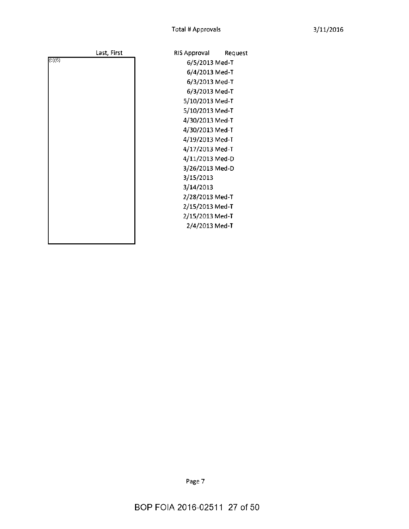| Last, First | RIS Approval<br>Request |
|-------------|-------------------------|
| (b)(6)      | 6/5/2013 Med-T          |
|             | 6/4/2013 Med-T          |
|             | 6/3/2013 Med-T          |
|             | 6/3/2013 Med-T          |
|             | 5/10/2013 Med-T         |
|             | 5/10/2013 Med-T         |
|             | 4/30/2013 Med-T         |
|             | 4/30/2013 Med-T         |
|             | 4/19/2013 Med-T         |
|             | 4/17/2013 Med-T         |
|             | 4/11/2013 Med-D         |
|             | 3/26/2013 Med-D         |
|             | 3/15/2013               |
|             | 3/14/2013               |
|             | 2/28/2013 Med-T         |
|             | 2/15/2013 Med-T         |
|             | 2/15/2013 Med-T         |
|             | 2/4/2013 Med-T          |
|             |                         |
|             |                         |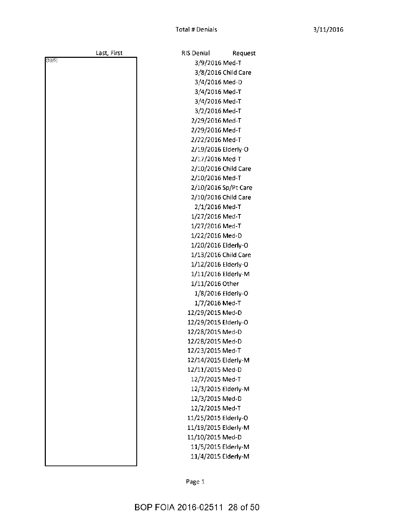Request

| Last, First | <b>RIS Denial</b>    | Reques              |
|-------------|----------------------|---------------------|
| (b)(6)      | 3/9/2016 Med-T       |                     |
|             |                      | 3/8/2016 Child Care |
|             | 3/4/2016 Med-D       |                     |
|             | 3/4/2016 Med-T       |                     |
|             | 3/4/2016 Med-T       |                     |
|             | 3/2/2016 Med-T       |                     |
|             | 2/29/2016 Med-T      |                     |
|             | 2/29/2016 Med-T      |                     |
|             | 2/22/2016 Med-T      |                     |
|             | 2/19/2016 Elderly-O  |                     |
|             | 2/17/2016 Med-T      |                     |
|             | 2/10/2016 Child Care |                     |
|             | 2/10/2016 Med-T      |                     |
|             | 2/10/2016 Sp/Pt Care |                     |
|             | 2/10/2016 Child Care |                     |
|             | 2/1/2016 Med-T       |                     |
|             | 1/27/2016 Med-T      |                     |
|             | 1/27/2016 Med-T      |                     |
|             | 1/22/2016 Med-D      |                     |
|             | 1/20/2016 Elderly-O  |                     |
|             | 1/13/2016 Child Care |                     |
|             | 1/12/2016 Elderly-O  |                     |
|             | 1/11/2016 Elderly-M  |                     |
|             | 1/11/2016 Other      |                     |
|             | 1/8/2016 Elderly-O   |                     |
|             | 1/7/2016 Med-T       |                     |
|             | 12/29/2015 Med-D     |                     |
|             | 12/29/2015 Elderly-O |                     |
|             | 12/28/2015 Med-D     |                     |
|             | 12/28/2015 Med-D     |                     |
|             | 12/23/2015 Med-T     |                     |
|             | 12/14/2015 Elderly-M |                     |
|             | 12/11/2015 Med-D     |                     |
|             | 12/7/2015 Med-T      |                     |
|             | 12/3/2015 Elderly-M  |                     |
|             | 12/3/2015 Med-D      |                     |
|             | 12/2/2015 Med-T      |                     |
|             | 11/25/2015 Elderly-O |                     |
|             | 11/19/2015 Elderly-M |                     |
|             | 11/10/2015 Med-D     |                     |
|             | 11/5/2015 Elderly-M  |                     |
|             | 11/4/2015 Elderly-M  |                     |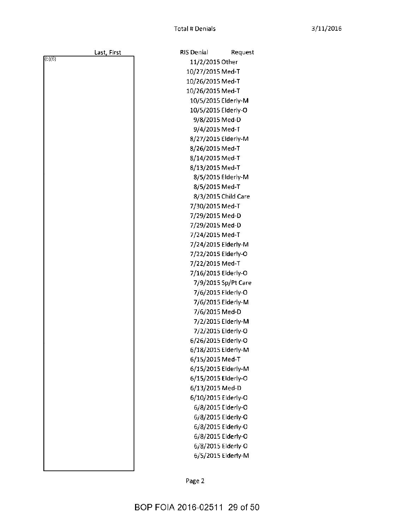RIS Denial

11/2/2015 Other

Request

|       | Last, First |  |
|-------|-------------|--|
| (b)(6 |             |  |
|       |             |  |
|       |             |  |
|       |             |  |
|       |             |  |
|       |             |  |
|       |             |  |
|       |             |  |
|       |             |  |
|       |             |  |
|       |             |  |
|       |             |  |
|       |             |  |
|       |             |  |
|       |             |  |
|       |             |  |
|       |             |  |
|       |             |  |
|       |             |  |
|       |             |  |
|       |             |  |
|       |             |  |
|       |             |  |
|       |             |  |
|       |             |  |
|       |             |  |
|       |             |  |
|       |             |  |
|       |             |  |
|       |             |  |
|       |             |  |
|       |             |  |
|       |             |  |
|       |             |  |
|       |             |  |
|       |             |  |
|       |             |  |
|       |             |  |
|       |             |  |
|       |             |  |
|       |             |  |
|       |             |  |
|       |             |  |

10/27/2015 Med-T 10/26/2015 Med-T 10/26/2015 Med-T 10/5/2015 Elderly-M 10/5/2015 Elderly-O 9/8/2015 Med-D 9/4/2015 Med-T 8/27/2015 Elderly-M 8/26/2015 Med-T 8/14/2015 Med-T 8/13/2015 Med-T 8/5/2015 Elderly-M 8/5/2015 Med-T 8/3/2015 Child Care 7/30/2015 Med-T 7/29/2015 Med-D 7/29/2015 Med-D 7/24/2015 Med-T 7/24/2015 Elderly-M 7/22/2015 Elderly-O 7/22/2015 Med-T 7/16/2015 Elderly-O 7/9/2015 Sp/Pt Care 7/6/2015 Elderly-O 7/6/2015 Elderly-M 7/6/2015 Med-D 7/2/2015 Elderly-M 7/2/2015 Elderly-O 6/26/2015 Elderly-O 6/18/2015 Elderly-M 6/15/2015 Med-T 6/15/2015 Elderly-M 6/15/2015 Elderly-O 6/13/2015 Med-D 6/10/2015 Elderly-O 6/8/2015 Elderly-O 6/8/2015 Elderly-O 6/8/2015 Elderly-O 6/8/2015 Elderly-O 6/8/2015 Elderly-O 6/5/2015 Elderly-M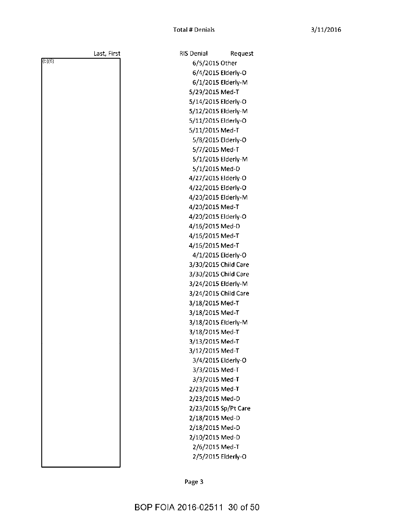| Last, First | <b>RIS Denial</b><br>Request |
|-------------|------------------------------|
| (b)(6)      | 6/5/2015 Other               |
|             | 6/4/2015 Elderly-O           |
|             | 6/1/2015 Elderly-M           |
|             | 5/29/2015 Med-T              |
|             | 5/14/2015 Elderly-O          |
|             | 5/12/2015 Elderly-M          |
|             | 5/11/2015 Elderly-O          |
|             | 5/11/2015 Med-T              |
|             | 5/8/2015 Elderly-O           |
|             | 5/7/2015 Med-T               |
|             | 5/1/2015 Elderly-M           |
|             | 5/1/2015 Med-D               |
|             | 4/27/2015 Elderly-O          |
|             | 4/22/2015 Elderly-O          |
|             | 4/20/2015 Elderly-M          |
|             | 4/20/2015 Med-T              |
|             | 4/20/2015 Elderly-O          |
|             | 4/16/2015 Med-D              |
|             | 4/15/2015 Med-T              |
|             | 4/16/2015 Med-T              |
|             | 4/1/2015 Elderly-O           |
|             | 3/30/2015 Child Care         |
|             | 3/30/2015 Child Care         |
|             | 3/24/2015 Elderly-M          |
|             | 3/24/2015 Child Care         |
|             | 3/18/2015 Med-T              |
|             | 3/18/2015 Med-T              |
|             | 3/18/2015 Elderly-M          |
|             | 3/18/2015 Med-T              |
|             | 3/13/2015 Med-T              |
|             | 3/12/2015 Med-T              |
|             | 3/4/2015 Elderly-O           |
|             | 3/3/2015 Med-T               |
|             | 3/3/2015 Med-T               |
|             | 2/23/2015 Med-T              |
|             | 2/23/2015 Med-D              |
|             | 2/23/2015 Sp/Pt Care         |
|             | 2/18/2015 Med-D              |
|             | 2/18/2015 Med-D              |
|             | 2/10/2015 Med-D              |
|             | 2/6/2015 Med-T               |
|             | 2/5/2015 Elderly-O           |
|             |                              |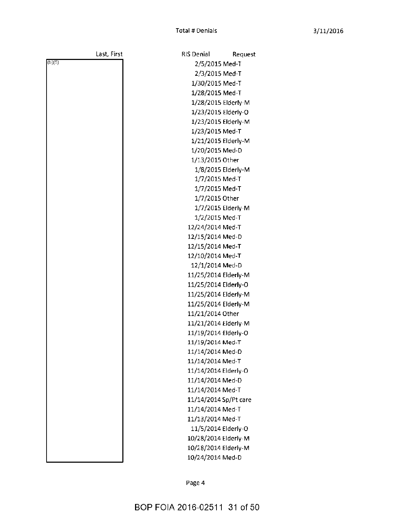**RIS Denial** 

2/5/2015 Med-T 2/3/2015 Med-T

Request

|        | Last, First |
|--------|-------------|
| (b)(6) |             |
|        |             |
|        |             |
|        |             |
|        |             |
|        |             |
|        |             |
|        |             |
|        |             |
|        |             |
|        |             |
|        |             |
|        |             |
|        |             |
|        |             |
|        |             |
|        |             |
|        |             |
|        |             |
|        |             |
|        |             |
|        |             |
|        |             |
|        |             |
|        |             |
|        |             |
|        |             |
|        |             |
|        |             |
|        |             |
|        |             |
|        |             |
|        |             |
|        |             |
|        |             |
|        |             |
|        |             |
|        |             |

1/30/2015 Med-T 1/28/2015 Med-T 1/28/2015 Elderly-M 1/23/2015 Elderly-O 1/23/2015 Elderly-M 1/23/2015 Med-T 1/21/2015 Elderly-M 1/20/2015 Med-D 1/13/2015 Other 1/8/2015 Elderly-M 1/7/2015 Med-T 1/7/2015 Med-T 1/7/2015 Other 1/7/2015 Elderly-M 1/2/2015 Med-T 12/24/2014 Med-T 12/15/2014 Med-D 12/15/2014 Med-T 12/10/2014 Med-T 12/1/2014 Med-D 11/25/2014 Elderly-M 11/25/2014 Elderly-O 11/25/2014 Elderly-M 11/25/2014 Elderly-M 11/21/2014 Other 11/21/2014 Elderly-M 11/19/2014 Elderly-O 11/19/2014 Med-T 11/14/2014 Med-D 11/14/2014 Med-T 11/14/2014 Elderly-O 11/14/2014 Med-D 11/14/2014 Med-T 11/14/2014 Sp/Pt care 11/14/2014 Med-T 11/13/2014 Med-T 11/5/2014 Elderly-O 10/28/2014 Elderly-M 10/28/2014 Elderly-M 10/24/2014 Med-D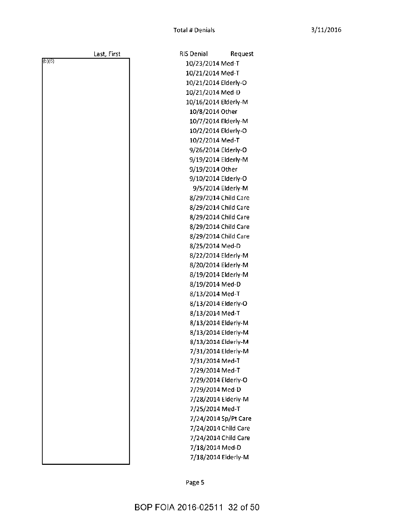Request

| Last, First | RIS Denial                                 | <b>Reques</b>        |
|-------------|--------------------------------------------|----------------------|
| (b)(6)      | 10/23/2014 Med-T                           |                      |
|             | 10/21/2014 Med-T                           |                      |
|             | 10/21/2014 Elderly-O                       |                      |
|             | 10/21/2014 Med-D                           |                      |
|             | 10/16/2014 Elderly-M                       |                      |
|             | 10/8/2014 Other                            |                      |
|             | 10/7/2014 Elderly-M                        |                      |
|             | 10/2/2014 Elderly-O                        |                      |
|             | 10/2/2014 Med-T                            |                      |
|             | 9/26/2014 Elderly-O                        |                      |
|             | 9/19/2014 Elderly-M                        |                      |
|             | 9/19/2014 Other                            |                      |
|             | 9/10/2014 Elderly-O                        |                      |
|             |                                            | 9/5/2014 Elderly-M   |
|             | 8/29/2014 Child Care                       |                      |
|             | 8/29/2014 Child Care                       |                      |
|             | 8/29/2014 Child Care                       |                      |
|             | 8/29/2014 Child Care                       |                      |
|             | 8/29/2014 Child Care                       |                      |
|             | 8/25/2014 Med-D                            |                      |
|             | 8/22/2014 Elderly-M                        |                      |
|             | 8/20/2014 Elderly-M                        |                      |
|             | 8/19/2014 Elderly-M                        |                      |
|             | 8/19/2014 Med-D                            |                      |
|             | 8/13/2014 Med-T                            |                      |
|             | 8/13/2014 Elderly-O                        |                      |
|             | 8/13/2014 Med-T                            |                      |
|             | 8/13/2014 Elderly-M                        |                      |
|             | 8/13/2014 Elderly-M                        |                      |
|             | 8/13/2014 Elderly-M<br>7/31/2014 Elderly-M |                      |
|             | 7/31/2014 Med-T                            |                      |
|             | 7/29/2014 Med-T                            |                      |
|             | 7/29/2014 Elderly-O                        |                      |
|             | 7/29/2014 Med-D                            |                      |
|             | 7/28/2014 Elderly-M                        |                      |
|             | 7/25/2014 Med-T                            |                      |
|             |                                            | 7/24/2014 Sp/Pt Care |
|             |                                            | 7/24/2014 Child Care |
|             |                                            | 7/24/2014 Child Care |
|             | 7/18/2014 Med-D                            |                      |
|             |                                            | 7/18/2014 Elderly-M  |
|             |                                            |                      |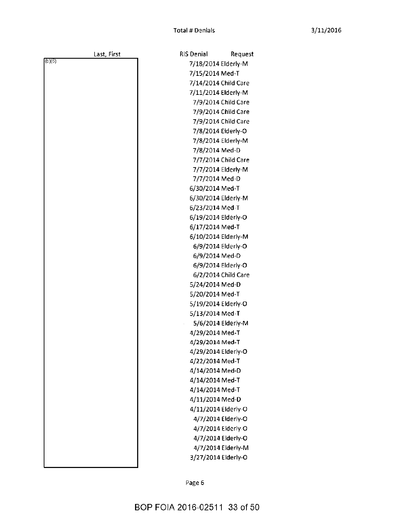Request

| Last, First | <b>RIS Denial</b>    | Reques              |
|-------------|----------------------|---------------------|
| (b)(6)      | 7/18/2014 Elderly-M  |                     |
|             | 7/15/2014 Med-T      |                     |
|             | 7/14/2014 Child Care |                     |
|             | 7/11/2014 Elderly-M  |                     |
|             |                      | 7/9/2014 Child Care |
|             |                      | 7/9/2014 Child Care |
|             |                      | 7/9/2014 Child Care |
|             |                      | 7/8/2014 Eiderly-O  |
|             |                      | 7/8/2014 Elderly-M  |
|             | 7/8/2014 Med-D       |                     |
|             |                      | 7/7/2014 Child Care |
|             |                      | 7/7/2014 Elderly-M  |
|             | 7/7/2014 Med-D       |                     |
|             | 6/30/2014 Med-T      |                     |
|             | 6/30/2014 Elderly-M  |                     |
|             | 6/23/2014 Med-T      |                     |
|             | 6/19/2014 Elderly-O  |                     |
|             | 6/17/2014 Med-T      |                     |
|             | 6/10/2014 Elderly-M  |                     |
|             |                      | 6/9/2014 Elderly-O  |
|             | 6/9/2014 Med-D       |                     |
|             |                      | 6/9/2014 Elderly-O  |
|             |                      | 6/2/2014 Child Care |
|             | 5/24/2014 Med-D      |                     |
|             | 5/20/2014 Med-T      |                     |
|             | 5/19/2014 Elderly-O  |                     |
|             | 5/13/2014 Med-T      |                     |
|             |                      | 5/6/2014 Elderly-M  |
|             | 4/29/2014 Med-T      |                     |
|             | 4/29/2014 Med-T      |                     |
|             | 4/29/2014 Elderly-O  |                     |
|             | 4/22/2014 Med-T      |                     |
|             | 4/14/2014 Med-D      |                     |
|             | 4/14/2014 Med-T      |                     |
|             | 4/14/2014 Med-T      |                     |
|             | 4/11/2014 Med-D      |                     |
|             | 4/11/2014 Elderly-O  |                     |
|             |                      | 4/7/2014 Elderly-O  |
|             |                      | 4/7/2014 Elderly-O  |
|             |                      | 4/7/2014 Elderly-O  |
|             |                      | 4/7/2014 Elderly-M  |
|             | 3/27/2014 Elderly-O  |                     |
|             |                      |                     |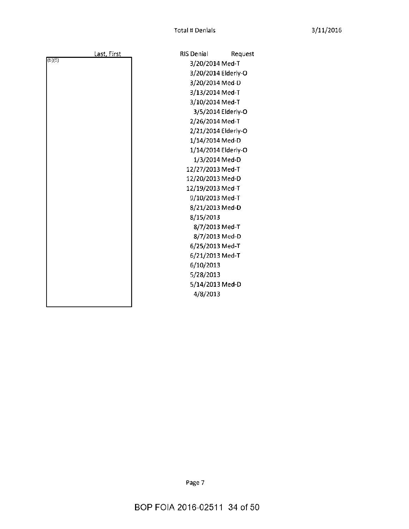Request

|        | <u>Last, First</u> | <b>RIS Denial</b>   | Reque |
|--------|--------------------|---------------------|-------|
| (b)(6) |                    | 3/20/2014 Med-T     |       |
|        |                    | 3/20/2014 Elderly-O |       |
|        |                    | 3/20/2014 Med-D     |       |
|        |                    | 3/13/2014 Med-T     |       |
|        |                    | 3/10/2014 Med-T     |       |
|        |                    | 3/5/2014 Elderly-O  |       |
|        |                    | 2/26/2014 Med-T     |       |
|        |                    | 2/21/2014 Elderly-O |       |
|        |                    | 1/14/2014 Med-D     |       |
|        |                    | 1/14/2014 Elderly-O |       |
|        |                    | 1/3/2014 Med-D      |       |
|        |                    | 12/27/2013 Med-T    |       |
|        |                    | 12/20/2013 Med-D    |       |
|        |                    | 12/19/2013 Med-T    |       |
|        |                    | 9/10/2013 Med-T     |       |
|        |                    | 8/21/2013 Med-D     |       |
|        |                    | 8/15/2013           |       |
|        |                    | 8/7/2013 Med-T      |       |
|        |                    | 8/7/2013 Med-D      |       |
|        |                    | 6/25/2013 Med-T     |       |
|        |                    | 6/21/2013 Med-T     |       |
|        |                    | 6/10/2013           |       |
|        |                    | 5/28/2013           |       |
|        |                    | 5/14/2013 Med-D     |       |
|        |                    | 4/8/2013            |       |
|        |                    |                     |       |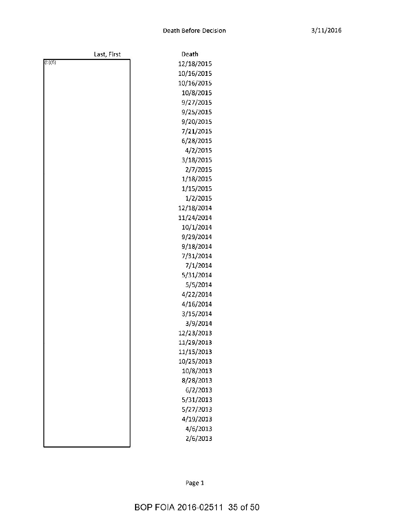|        | Last, First | Death      |
|--------|-------------|------------|
| (b)(6) |             | 12/18/2015 |
|        |             | 10/16/2015 |
|        |             | 10/16/2015 |
|        |             | 10/8/2015  |
|        |             | 9/27/2015  |
|        |             | 9/25/2015  |
|        |             | 9/20/2015  |
|        |             | 7/21/2015  |
|        |             | 6/28/2015  |
|        |             | 4/2/2015   |
|        |             | 3/18/2015  |
|        |             | 2/7/2015   |
|        |             | 1/18/2015  |
|        |             | 1/15/2015  |
|        |             | 1/2/2015   |
|        |             | 12/18/2014 |
|        |             | 11/24/2014 |
|        |             | 10/1/2014  |
|        |             | 9/29/2014  |
|        |             | 9/18/2014  |
|        |             | 7/31/2014  |
|        |             | 7/1/2014   |
|        |             | 5/31/2014  |
|        |             | 5/5/2014   |
|        |             | 4/22/2014  |
|        |             | 4/16/2014  |
|        |             | 3/15/2014  |
|        |             | 3/9/2014   |
|        |             | 12/23/2013 |
|        |             | 11/29/2013 |
|        |             | 11/15/2013 |
|        |             | 10/25/2013 |
|        |             | 10/8/2013  |
|        |             | 8/28/2013  |
|        |             | 6/2/2013   |
|        |             | 5/31/2013  |
|        |             | 5/27/2013  |
|        |             | 4/19/2013  |
|        |             | 4/6/2013   |
|        |             | 2/6/2013   |
|        |             |            |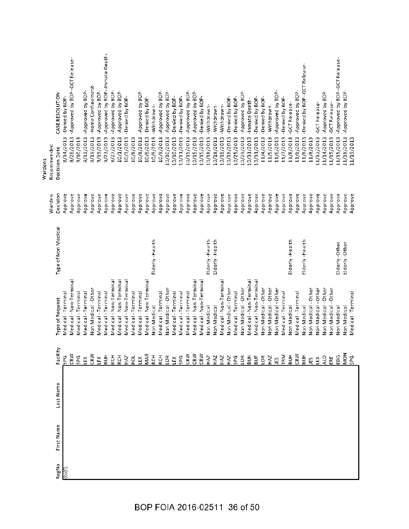| First Name<br>RegNo<br>(b)(6) | Last Name | Facility<br>CRW<br>CRW<br>CRW<br>CRW<br>MAR<br>CRW<br>CRW<br>TRM<br>BUH<br>មិន<br>ក្នុង<br>E E E E E E E<br>$\Sigma$ $\frac{1}{2}$ $\Sigma$ $\Sigma$ $\Sigma$ $\Sigma$ $\Sigma$ $\Sigma$<br>$\begin{array}{c} 77.7 \\ 77.7 \\ 77.7 \\ \hline \end{array}$<br>28533552<br>SPG<br>SPG<br>LEX<br>ΈŚ | Medical - Non-Terminal<br>Medical - Non-Terminal<br>Medical - Non-Terminal<br>Medical - Non-Terminal<br>Medical - Non-Terminal<br>Medical - Non-Terminal<br>Medical - Non-Terminal<br>Medical - Non-Terminal<br>Medical - Non-Terminal<br>Medical - Non-Termina<br>Non Medical - Other<br>Non Medical - Other<br>Non Medical - Other<br>Non Medical - Other<br>Non Medical - Other<br>Non Medical - Other<br>Non Medical - Other<br>Non Medical - Other<br>Medical - Terminal<br>Medical - Terminal<br>Medical - Terminal<br>Medical - Terminal<br>Medical-Terminal<br>Medical - Terminal<br>Medical - Terminal<br>Medical - Terminal<br>Medical - Terminal<br>Medical - Terminal<br>Medical - Terminal<br>Medical - Terminal<br>Medical - Terminal<br>Medical - Terminal<br>Type of Request<br>Non Medical<br>Non Medical<br>Non Medical<br>Non Medical<br>Non Medical | Type of Non Medical<br>Eiderly-Health<br>Elderly -Health<br>Eiderly-Health<br>Elderly-Health<br>Elderly-Health | Decision<br>Approve<br>Approve<br>Approve<br>Approve<br>Approve<br>Approve<br>Approve<br>Approve<br>Approve<br>Approve<br>Approve<br>Approve<br>Approve<br>Approve<br>Approve<br>Approve<br>Approve<br>Approve<br>Approve<br>Approve<br>Approve<br>Approve<br>Approve<br>Approve<br>Approve<br>Approve<br>Approve<br>Approve<br>Approve<br>Approve<br>Approve<br>Approve<br>Approve<br>Approve<br>Approve<br>Approve<br>Approve<br>Warden | -Approved by BOP--Inmate Death-<br>-Approved by BOP--GCT Release-<br>-Denied by BOP-GCT Release-<br>-Home Confinement-<br>-Approved by BOP-<br>-Approved by BOP-<br>-Approved by BOP-<br>Approved by BOP-<br>-Approved by BOP-<br>-Approved by BOP-<br>-Approved by BOP-<br>Approved by BOP-<br>Approved by BOP-<br>-Approved by BOP-<br>-Approved by BOP-<br>-Approved by BOP-<br>CASE RESOLUTION<br>-Denied by BOP-<br>-Denied by BOP-<br>-Denied by BOP-<br>-Denied by BOP-<br>-Denied by BOP-<br>-Denied by BOP-<br>-Denied by BOP-<br>-Denied by BOP-<br>-Denied by BOP-<br>-Denied by BOP-<br>-Denied by BOP-<br>-Inmate Death-<br>-GCT Release-<br>-Withdrawn-<br>-Withdrawn-<br>withdrawn-<br>-Withdrawn-<br>-withdrawn-<br>10/1/2013<br>9/23/2013<br>10/10/2013<br>10/29/2013<br>8/28/2013<br>9/13/2013<br>9/27/2013<br>10/18/2013<br>10/18/2013<br>11/4/2013<br>9/19/2013<br>9/19/2013<br>10/3/2013<br>10/8/2013<br>10/8/2013<br>10/9/2013<br>10/9/2013<br>10/10/2013<br>10/15/2013<br>10/18/2013<br>10/18/2013<br>10/25/2013<br>11/6/2013<br>11/8/2013<br>11/8/2013<br>10/11/2013<br>10/15/2013<br>10/15/2013<br>10/31/2013<br>10/31/2013<br>11/5/2013<br>11/7/2013<br>11/8/2013<br>8/14/2013<br>9/10/2013<br>10/8/2013<br>11/8/2013<br>Recommended<br>Decision Date<br>Wardens |
|-------------------------------|-----------|--------------------------------------------------------------------------------------------------------------------------------------------------------------------------------------------------------------------------------------------------------------------------------------------------|-------------------------------------------------------------------------------------------------------------------------------------------------------------------------------------------------------------------------------------------------------------------------------------------------------------------------------------------------------------------------------------------------------------------------------------------------------------------------------------------------------------------------------------------------------------------------------------------------------------------------------------------------------------------------------------------------------------------------------------------------------------------------------------------------------------------------------------------------------------------------|----------------------------------------------------------------------------------------------------------------|-------------------------------------------------------------------------------------------------------------------------------------------------------------------------------------------------------------------------------------------------------------------------------------------------------------------------------------------------------------------------------------------------------------------------------------------|--------------------------------------------------------------------------------------------------------------------------------------------------------------------------------------------------------------------------------------------------------------------------------------------------------------------------------------------------------------------------------------------------------------------------------------------------------------------------------------------------------------------------------------------------------------------------------------------------------------------------------------------------------------------------------------------------------------------------------------------------------------------------------------------------------------------------------------------------------------------------------------------------------------------------------------------------------------------------------------------------------------------------------------------------------------------------------------------------------------------------------------------------------------------------------------------------------------------------------------------------------------------------------------------|
|                               |           | <b>MON</b><br>EDG.<br>ALD<br><b>SPG</b><br>ERE<br>ĽĚ                                                                                                                                                                                                                                             | Non Medical - Other<br>Non Medical - Other<br>Non Medical - Other<br>Medical - Terminal<br>Non Medical<br>Non Medical                                                                                                                                                                                                                                                                                                                                                                                                                                                                                                                                                                                                                                                                                                                                                   | Elderly-Other<br>Elderly-Other                                                                                 | Approve<br>Approve<br>Approve<br>Approve<br>Approve<br>Approve                                                                                                                                                                                                                                                                                                                                                                            | -Approved by BOP--GCT Release-<br>-Approved by BOP-<br>-Approved by BOP-<br>-GCT Release-<br>GCT Release<br>11/15/2013<br>11/18/2013<br>11/12/2013<br>11/14/2013<br>11/15/2013<br>11/19/2013                                                                                                                                                                                                                                                                                                                                                                                                                                                                                                                                                                                                                                                                                                                                                                                                                                                                                                                                                                                                                                                                                               |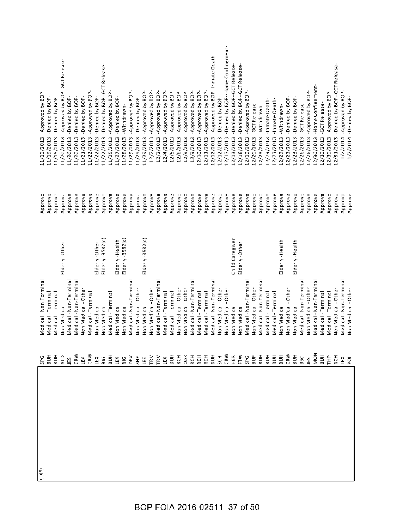| $\frac{1}{(b)(6)}$ | Medical - Non-Terminal<br><b>SPG</b>                                                                                                                                                                                                                                                                                                      |                     | Approve | -Approved by BOP-<br>11/19/2013                 |
|--------------------|-------------------------------------------------------------------------------------------------------------------------------------------------------------------------------------------------------------------------------------------------------------------------------------------------------------------------------------------|---------------------|---------|-------------------------------------------------|
|                    | Medical - Termina                                                                                                                                                                                                                                                                                                                         |                     | Approve | -Denied by BOP-<br>11/19/2013                   |
|                    | Medical - Terminal                                                                                                                                                                                                                                                                                                                        |                     | Approve | -Denied by BOP-<br>11/19/2013                   |
|                    | Non Medical                                                                                                                                                                                                                                                                                                                               | Elderly-Other       | Approve | -Approved by BOP--GCT Release-<br>11/20/2013    |
|                    | Medical - Non-Terminal                                                                                                                                                                                                                                                                                                                    |                     | Approve | -Denied by BOP-<br>11/20/2013                   |
|                    | Medical - Non-Terminal                                                                                                                                                                                                                                                                                                                    |                     | Approve | -Denied by BOP-<br>11/20/2013                   |
|                    | Non Medical - Other                                                                                                                                                                                                                                                                                                                       |                     | Approve | -Denied by BOP-<br>11/21/2013                   |
|                    | Medical - Terminal                                                                                                                                                                                                                                                                                                                        |                     | Approve | -Approved by BOP-<br>11/22/2013                 |
|                    | Non Medical                                                                                                                                                                                                                                                                                                                               | Elderly-Other       | Approve | -Denied by BOP-<br>11/22/2013                   |
|                    | Non Medical                                                                                                                                                                                                                                                                                                                               | Elderly-3582(c)     | Approve | -Denied by BOP-GCT Release-<br>11/22/2013       |
|                    | Medical - Terminal<br>$\frac{1}{2}$ $\frac{1}{2}$ $\frac{1}{2}$ $\frac{1}{2}$ $\frac{1}{2}$ $\frac{1}{2}$ $\frac{1}{2}$ $\frac{1}{2}$ $\frac{1}{2}$ $\frac{1}{2}$ $\frac{1}{2}$ $\frac{1}{2}$ $\frac{1}{2}$ $\frac{1}{2}$ $\frac{1}{2}$ $\frac{1}{2}$ $\frac{1}{2}$ $\frac{1}{2}$ $\frac{1}{2}$ $\frac{1}{2}$ $\frac{1}{2}$ $\frac{1}{2}$ |                     | Approve | Approved by BOP.<br>11/25/2013                  |
|                    | Non Medical                                                                                                                                                                                                                                                                                                                               | Elderly-Health      | Approve | -Denied by BOP-<br>11/27/2013                   |
|                    | Non Medical                                                                                                                                                                                                                                                                                                                               | Elderly-3582(c)     | Approve | -Withdrawn-<br>11/28/2013                       |
|                    | Medical - Non-Terminal                                                                                                                                                                                                                                                                                                                    |                     | Approve | Approved by BOP-<br>11/29/2013                  |
|                    | Non Medical - Other                                                                                                                                                                                                                                                                                                                       |                     | Approve | -Denied by BOP-<br>11/29/2013                   |
|                    | Non Medical                                                                                                                                                                                                                                                                                                                               | $E$ lderly -3582(c) | Approve | -Approved by BOP-<br>11/29/2013                 |
|                    | Non Medical - Other                                                                                                                                                                                                                                                                                                                       |                     | Approve | Approved by BOP-<br>12/2/2013                   |
|                    | Medical - Non-Terminal                                                                                                                                                                                                                                                                                                                    |                     | Approve | -Approved by BOP-<br>12/2/2013                  |
|                    | Medical - Terminal                                                                                                                                                                                                                                                                                                                        |                     | Approve | -Approved by BOP-<br>12/4/2013                  |
|                    | Medical - Terminal                                                                                                                                                                                                                                                                                                                        |                     | Approve | -Approved by BOP-<br>12/5/2013                  |
|                    | Non Medical - Other                                                                                                                                                                                                                                                                                                                       |                     | Approve | -Approved by BOP-<br>12/6/2013                  |
|                    | Non Medical - Other                                                                                                                                                                                                                                                                                                                       |                     | Approve | -Approved by BOP-<br>12/9/2013                  |
|                    | Medical - Non-Terminal                                                                                                                                                                                                                                                                                                                    |                     | Approve | -Approved by BOP-<br>12/9/2013                  |
|                    | Medical - Terminal                                                                                                                                                                                                                                                                                                                        |                     | Approve | -Approved by BOP-<br>12/10/2013                 |
|                    | Medical - Terminal                                                                                                                                                                                                                                                                                                                        |                     | Approve | Approved by BOP-<br>12/11/2013                  |
|                    | Medical - Non-Terminal                                                                                                                                                                                                                                                                                                                    |                     | Approve | -Approved by BOP--Inmate Death-<br>12/12/2013   |
|                    | Non Medical - Other                                                                                                                                                                                                                                                                                                                       |                     | Approve | -Denied by BOP-<br>12/12/2013                   |
|                    | Non Medical - Other                                                                                                                                                                                                                                                                                                                       |                     | Approve | -Denied by BOP--Home Confinement-<br>12/13/2013 |
|                    | Non Medical                                                                                                                                                                                                                                                                                                                               | Child Caregiver     | Approve | -Denied by BOP-GCT Release-<br>12/13/2013       |
|                    | Non Medical                                                                                                                                                                                                                                                                                                                               | Elderly-Other       | Approve | -Denied by BOP--GCT Release-<br>12/18/2013      |
|                    | Medical - Non-Terminal                                                                                                                                                                                                                                                                                                                    |                     | Approve | Approved by BOP-<br>12/19/2013                  |
|                    | Non Medical - Other                                                                                                                                                                                                                                                                                                                       |                     | Approve | -GCT Release-<br>12/20/2013                     |
|                    | Medical - Non-Terminal                                                                                                                                                                                                                                                                                                                    |                     | Approve | -Withdrawn-<br>12/23/2013                       |
|                    | Medical - Terminal                                                                                                                                                                                                                                                                                                                        |                     | Approve | -Inmate Death-<br>12/23/2013                    |
|                    | Medical - Terminal                                                                                                                                                                                                                                                                                                                        |                     | Approve | -Inmate Death-<br>12/23/2013                    |
|                    | Non Medical                                                                                                                                                                                                                                                                                                                               | Elderly-Health      | Approve | -withdrawn-<br>12/23/2013                       |
|                    | Non Medical - Other                                                                                                                                                                                                                                                                                                                       |                     | Approve | -Denied by BOP-<br>12/23/2013                   |
|                    | Non Medical                                                                                                                                                                                                                                                                                                                               | Eiderly-Health      | Approve | -Denied by BOP-<br>12/23/2013                   |
|                    | Medical - Non-Termina                                                                                                                                                                                                                                                                                                                     |                     | Approve | -GCT Release-<br>12/26/2013                     |
|                    | Non Medical - Other                                                                                                                                                                                                                                                                                                                       |                     | Approve | -Approved by BOP-<br>12/26/2013                 |
|                    | Medical - Non-Terminal<br>MON                                                                                                                                                                                                                                                                                                             |                     | Approve | -Home Confinement-<br>12/30/2013                |
|                    | Medical - Terminal<br>$\frac{1}{2}$ $\frac{1}{2}$ $\frac{1}{2}$ $\frac{1}{2}$                                                                                                                                                                                                                                                             |                     | Approve | -GCT Release-<br>12/30/2013                     |
|                    | Medical-Terminal                                                                                                                                                                                                                                                                                                                          |                     | Approve | -Approved by BOP-<br>12/30/2013                 |
|                    | Non Medical - Other                                                                                                                                                                                                                                                                                                                       |                     | Approve | -Denied by BOP-GCT Release-<br>12/31/2013       |
|                    | Medical - Non-Terminal<br>当<br>[2]                                                                                                                                                                                                                                                                                                        |                     | Approve | Approved by BOP-<br>1/2/2014                    |
|                    | Non Medical - Other                                                                                                                                                                                                                                                                                                                       |                     | Approve | -Denied by BOP-<br>1/2/2014                     |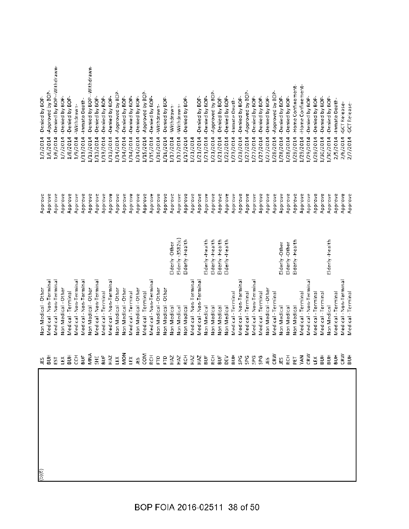| (D)(6) |                                                                                                                                                                                                                                                                                                                     | Non Medical - Other    |                  | Approve | -Denied by BOP-<br>1/3/2014             |
|--------|---------------------------------------------------------------------------------------------------------------------------------------------------------------------------------------------------------------------------------------------------------------------------------------------------------------------|------------------------|------------------|---------|-----------------------------------------|
|        |                                                                                                                                                                                                                                                                                                                     | Medical - Non-Terminal |                  | Approve | -Approved by BOP-<br>1/6/2014           |
|        |                                                                                                                                                                                                                                                                                                                     | Medical - Non-Terminal |                  | Approve | -Denied by BOP--Withdrawn-<br>1/6/2014  |
|        |                                                                                                                                                                                                                                                                                                                     | Non Medical - Other    |                  | Approve | -Denied by BOP-<br>1/7/2014             |
|        |                                                                                                                                                                                                                                                                                                                     | Medical - Terminal     |                  | Approve | -Denied by BOP-<br>1/8/2014             |
|        |                                                                                                                                                                                                                                                                                                                     | Medical - Non-Terminal |                  | Approve | -Withdrawn-<br>1/9/2014                 |
|        |                                                                                                                                                                                                                                                                                                                     | Medical - Non-Terminal |                  | Approve | -Inmate Death-<br>1/13/2014             |
|        |                                                                                                                                                                                                                                                                                                                     | Non Medical - Other    |                  | Approve | -Denied by BOP--Withdrawn-<br>1/13/2014 |
|        |                                                                                                                                                                                                                                                                                                                     | Medical - Non-Terminal |                  | Approve | -Denied by BOP-<br>1/13/2014            |
|        |                                                                                                                                                                                                                                                                                                                     | Medical - Terminal     |                  | Approve | -Denied by BOP-<br>1/13/2014            |
|        | E S E S S S S S H S R S                                                                                                                                                                                                                                                                                             | Medical - Non-Terminal |                  | Approve | Denied by BOP-<br>1/13/2014             |
|        |                                                                                                                                                                                                                                                                                                                     | Non Medical - Other    |                  | Approve | -Approved by BOP-<br>1/14/2014          |
|        |                                                                                                                                                                                                                                                                                                                     | Non Medical - Other    |                  | Approve | -Denied by BOP-<br>1/14/2014            |
|        |                                                                                                                                                                                                                                                                                                                     | Medical - Terminal     |                  | Approve | -Denied by BOP-<br>1/14/2014            |
|        |                                                                                                                                                                                                                                                                                                                     | Non Medical - Other    |                  | Approve | -Denied by BOP-<br>1/14/2014            |
|        |                                                                                                                                                                                                                                                                                                                     | Medical - Terminal     |                  | Approve | -Approved by BOP-<br>1/15/2014          |
|        |                                                                                                                                                                                                                                                                                                                     | Medical - Non-Terminal |                  | Approve | Denied by BOP-<br>1/15/2014             |
|        |                                                                                                                                                                                                                                                                                                                     | Non Medical - Other    |                  | Approve | -Withdrawn-<br>1/16/2014                |
|        |                                                                                                                                                                                                                                                                                                                     | Non Medical - Other    |                  | Approve | -Denied by BOP<br>1/16/2014             |
|        | $\frac{1}{2}$ $\frac{1}{2}$ $\frac{1}{2}$ $\frac{1}{2}$ $\frac{1}{2}$ $\frac{1}{2}$ $\frac{1}{2}$ $\frac{1}{2}$ $\frac{1}{2}$ $\frac{1}{2}$ $\frac{1}{2}$ $\frac{1}{2}$ $\frac{1}{2}$ $\frac{1}{2}$ $\frac{1}{2}$ $\frac{1}{2}$ $\frac{1}{2}$ $\frac{1}{2}$ $\frac{1}{2}$ $\frac{1}{2}$ $\frac{1}{2}$ $\frac{1}{2}$ | Non Medical            | Elderly-Other    | Approve | Withdrawn-<br>1/17/2014                 |
|        |                                                                                                                                                                                                                                                                                                                     | Non Medical            | Elderly-3582(c)  | Approve | -Withdrawn-<br>1/17/2014                |
|        |                                                                                                                                                                                                                                                                                                                     | Non Medical            | Elderly-Health   | Approve | -Denied by BOP-<br>1/17/2014            |
|        |                                                                                                                                                                                                                                                                                                                     | Medical - Non-Terminal |                  | Approve | 1/21/2014                               |
|        |                                                                                                                                                                                                                                                                                                                     | Medical - Non-Termina  |                  | Approve | -Denied by BOP-<br>1/21/2014            |
|        |                                                                                                                                                                                                                                                                                                                     | Non Medica             | Elderly-Health   | Approve | -Denied by BOP-<br>1/21/2014            |
|        |                                                                                                                                                                                                                                                                                                                     | Non Medical            | Elderly - Health | Approve | -Approved by BOP-<br>1/21/2014          |
|        |                                                                                                                                                                                                                                                                                                                     | Non Medical            | Elderly-Health   | Approve | -Denied by BOP-<br>1/21/2014            |
|        |                                                                                                                                                                                                                                                                                                                     | Non Medical            | Elderly - Health | Approve | -Denied by BOP-<br>1/22/2014            |
|        |                                                                                                                                                                                                                                                                                                                     | Medical - Terminal     |                  | Approve | -Inmate Death-<br>1/23/2014             |
|        |                                                                                                                                                                                                                                                                                                                     | Medical - Non-Terminal |                  | Approve | -Denied by BOP-<br>1/23/2014            |
|        |                                                                                                                                                                                                                                                                                                                     | Medical - Terminal     |                  | Approve | Approved by BOP<br>1/27/2014            |
|        |                                                                                                                                                                                                                                                                                                                     | Medical - Non-Terminal |                  | Approve | -Denied by BOP-<br>1/27/2014            |
|        |                                                                                                                                                                                                                                                                                                                     | Medical - Terminal     |                  | Approve | -Denied by BOP-<br>1/27/2014            |
|        |                                                                                                                                                                                                                                                                                                                     | Non Medical - Other    |                  | Approve | -Denied by BOP-<br>1/27/2014            |
|        |                                                                                                                                                                                                                                                                                                                     | Medical - Terminal     |                  | Approve | -Approved by BOP-<br>1/28/2014          |
|        |                                                                                                                                                                                                                                                                                                                     | Non Medical            | Elderly-Other    | Approve | -Denied by BOP-<br>1/28/2014            |
|        |                                                                                                                                                                                                                                                                                                                     | Non Medical            | Elderly-Other    | Approve | -Denied by BOP-<br>1/28/2014            |
|        |                                                                                                                                                                                                                                                                                                                     | Non Medical            | Elderly-Health   | Approve | -Home Confinement-<br>1/29/2014         |
|        |                                                                                                                                                                                                                                                                                                                     | Medical - Terminal     |                  | Approve | -Home Confinement-<br>1/29/2014         |
|        |                                                                                                                                                                                                                                                                                                                     | Medical - Non-Terminal |                  | Approve | -Denied by BOP-<br>1/29/2014            |
|        |                                                                                                                                                                                                                                                                                                                     | Medical - Terminal     |                  | Approve | -Denied by BOP-<br>1/29/2014            |
|        |                                                                                                                                                                                                                                                                                                                     | Medical - Termina      |                  | Approve | -Denied by BOP-<br>1/30/2014            |
|        |                                                                                                                                                                                                                                                                                                                     | Non Medical            | Elderly-Health   | Approve | -Denied by BOP-<br>1/30/2014            |
|        |                                                                                                                                                                                                                                                                                                                     | Medical - Terminal     |                  | Approve | -Inmate Death-<br>2/5/2014              |
|        |                                                                                                                                                                                                                                                                                                                     | Medical - Non-Terminal |                  | Approve | -GCT Release-<br>2/6/2014               |
|        |                                                                                                                                                                                                                                                                                                                     | Medical - Terminal     |                  | Approve | -GCT Release-<br>2/7/2014               |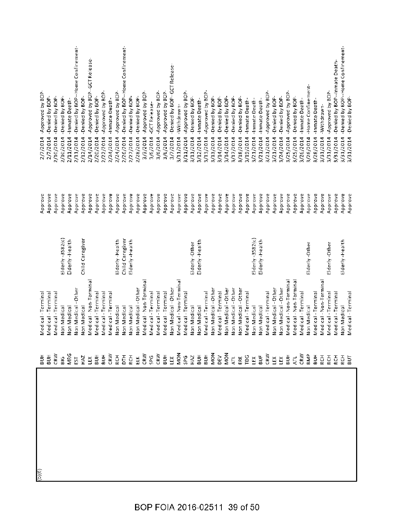| (9)(q) | Medical - Termina       |                    | Approve | 2/7/2014  | -Approved by BOP-                 |
|--------|-------------------------|--------------------|---------|-----------|-----------------------------------|
|        | Medical - Termina       |                    | Approve | 2/7/2014  | -Denied by BOP-                   |
|        | Medical - Terminal      |                    | Approve | 2/10/2014 | -Denied by BOP-                   |
|        | Non Medical             | $E$ Iderly-3582(c) | Approve | 2/10/2014 | -Denied by BOP-                   |
|        | Non Medical             | Elderly-Health     | Approve | 2/11/2014 | -Inmate Death-                    |
|        | Non Medical - Other     |                    | Approve | 2/11/2014 | -Denied by BOP-Home Confinement-  |
|        | Non Medical             | Child Caregiver    | Approve | 2/12/2014 | -Denied by BOP-                   |
|        | Medical - Non-Terminal  |                    | Approve | 2/14/2014 | -Approved by BOP-GCT Release      |
|        | Medical - Terminal      |                    | Approve | 2/20/2014 | -Denied by BOP-                   |
|        | Medical - Terminal      |                    | Approve | 2/22/2014 | -Approved by BOP-                 |
|        | Medical - Terminal      |                    | Approve | 2/24/2014 | -Inmate Death-                    |
|        | Non Medical             | Elderly-Health     | Approve | 2/24/2014 | -Approved by BOP-                 |
|        | Non Medical             | Child Caregiver    | Approve | 2/26/2014 | -Denied by BOP--Home Confinement- |
|        | Non Medical             | Elderly - Health   | Approve | 2/27/2014 | -Denied by BOP-                   |
|        | Non Medical - Other     |                    | Approve | 2/28/2014 | -Denied by BOP-                   |
|        | Vledical - Non-Terminal |                    | Approve | 3/3/2014  | -Approved by BOP-                 |
|        | Medical - Terminal      |                    | Approve | 3/6/2014  | -GCT Release-                     |
|        | Medical - Terminal      |                    | Approve | 3/6/2014  | -Approved by BOP-                 |
|        | Medical - Terminal      |                    | Approve | 3/6/2014  | -Approved by BOP-                 |
|        | Non Medical - Other     |                    | Approve | 3/7/2014  | -Denied by BOP-GCT Release-       |
|        | Medical - Non-Terminal  |                    | Approve | 3/11/2014 | -Withdrawn-                       |
|        | Medical - Terminal      |                    | Approve | 3/11/2014 | -Approved by BOP-                 |
|        | Non Medical             | Elderly-Other      | Approve | 3/11/2014 | -Denied by BOP-                   |
|        | Non Medical             | Elderly-Health     | Approve | 3/12/2014 | -Inmate Death-                    |
|        | Medical - Terminal      |                    | Approve | 3/13/2014 | Approved by BOP-                  |
|        | Non Medical - Other     |                    | Approve | 3/13/2014 | -Denied by BOP-                   |
|        | Medical-Terminal        |                    | Approve | 3/14/2014 | -Denied by BOP-                   |
|        | Non Medical - Other     |                    | Approve | 3/14/2014 | -Denied by BOP-                   |
|        | Non Medical - Other     |                    | Approve | 3/17/2014 | -Denied by BOP-                   |
|        | Non Medical - Other     |                    | Approve | 3/18/2014 | -Denied by BOP-                   |
|        | Medical - Terminal      |                    | Approve | 3/19/2014 | -Inmate Death-                    |
|        | Non Medical             | $E$ lderly-3582(c) | Approve | 3/21/2014 | -Inmate Death-                    |
|        | Non Medical             | Elderly-Health     | Approve | 3/21/2014 | -Inmate Death-                    |
|        | Medical - Terminal      |                    | Approve | 3/21/2014 | -Approved by BOP-                 |
|        | Non Medical - Other     |                    | Approve | 3/21/2014 | -Denied by BOP-                   |
|        | Non Medical - Other     |                    | Approve | 3/24/2014 | -Denied by BOP-                   |
|        | Medical - Non-Terminal  |                    | Approve | 3/25/2014 | -Approved by BOP-                 |
|        | Medical - Non-Terminal  |                    | Approve | 3/25/2014 | -Denied by BOP-                   |
|        | Medical - Terminal      |                    | Approve | 3/26/2014 | -Inmate Death-                    |
|        | Non Medical             | Elderly-Other      | Approve | 3/26/2014 | -Home Confinement-                |
|        | Medical - Terminal      |                    | Approve | 3/28/2014 | -Inmate Death-                    |
|        | Medical - Non-Terminal  |                    | Approve | 3/31/2014 | -Withdrawn-                       |
|        | Medical - Terminal      | Elderly-Other      | Approve | 3/31/2014 | -Approved by BOP-                 |
|        | Medical - Termina       |                    | Approve | 3/31/2014 | -Denied by BOP--Inmate Death-     |
|        | Non Medical             | Elderly - Health   | Approve | 3/31/2014 | -Denied by BOP--Home Confinement- |
|        | Medical - Terminal      |                    | Approve | 3/31/2014 | -Denied by BOP-                   |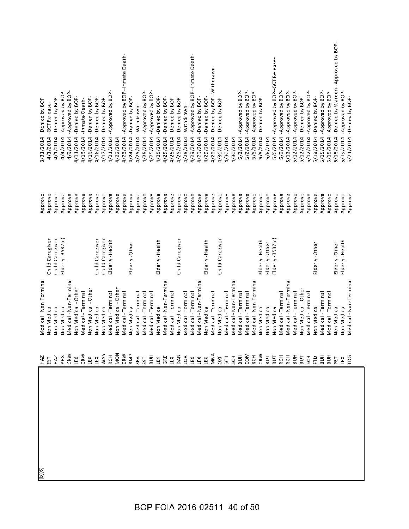| (D)(6) | Medical - Non-Terminal |                    | Approve | -Denied by BOP<br>3/31/2014                      |
|--------|------------------------|--------------------|---------|--------------------------------------------------|
|        | Non Medical            | Child Caregiver    | Approve | -GCT Release-<br>4/1/2014                        |
|        | Von Medical            | Child Caregiver    | Approve | -Denied by BOP-<br>4/1/2014                      |
|        | Non Medical            | $E$ Iderly-3582(c) | Approve | -Approved by BOP-<br>4/4/2014                    |
|        | Medical - Non-Terminal |                    | Approve | -Approved by BOP-<br>4/9/2014                    |
|        | Non Medical - Other    |                    | Approve | -Denied by BOP-<br>4/11/2014                     |
|        | Medical-Terminal       |                    | Approve | -Inmate Death-<br>4/16/2014                      |
|        | Non Medical - Other    |                    | Approve | -Denied by BOP-<br>4/16/2014                     |
|        | Non Medical            | Child Caregiver    | Approve | -Denied by BOP-<br>4/16/2014                     |
|        | Non Medical            | Child Caregiver    | Approve | -Denied by BOP-<br>4/17/2014                     |
|        | Medical - Terminal     | Elderly-Health     | Approve | Approved by BOP-<br>4/21/2014                    |
|        | Non Medical - Other    |                    | Approve | 4/22/2014                                        |
|        | Medical - Terminal     |                    | Approve | -Approved by BOP--Inmate Death-<br>4/23/2014     |
|        | Non Medical            | Elderly-Other      | Approve | -Denied by BOP-<br>4/24/2014                     |
|        | Medical-Terminal       |                    | Approve | -Withdrawn-<br>4/25/2014                         |
|        | Medical - Termina      |                    | Approve | -Approved by BOP-<br>4/25/2014                   |
|        | Medical - Terminal     |                    | Approve | Approved by BOP-<br>4/25/2014                    |
|        | Non Medical            | Elderly-Health     | Approve | -Denied by BOP-<br>4/25/2014                     |
|        | Medical - Non-Terminal |                    | Approve | -Denied by BOP-<br>4/25/2014                     |
|        | Medical - Terminal     |                    | Approve | -Denied by BOP-<br>4/25/2014                     |
|        | Non Medical            | Child Caregiver    | Approve | -Denied by BOP-<br>4/25/2014                     |
|        | Medical - Terminal     |                    | Approve | -withdrawn-<br>4/28/2014                         |
|        | Medical - Terminal     |                    | Approve | -Approved by BOP--Inmate Death-<br>4/29/2014     |
|        | Medical - Non-Terminal |                    | Approve | -Denied by BOP-<br>4/29/2014                     |
|        | Non Medical            | Elderly-Health     | Approve | -Denied by BOP-<br>4/29/2014                     |
|        | Medical - Terminal     |                    | Approve | -Denied by BOP--Withdrawn-<br>4/29/2014          |
|        | Non Medical            | Child Caregiver    | Approve | -Denied by BOP<br>4/30/2014                      |
|        | Medical - Terminal     |                    | Approve | 4/30/2014                                        |
|        | Medical - Non-Terminal |                    | Approve | 4/30/2014                                        |
|        | Medical - Terminal     |                    | Approve | -Approved by BOP-<br>5/2/2014                    |
|        | Medical - Terminal     |                    | Approve | Approved by BOP-<br>5/2/2014                     |
|        | Medical - Non-Terminal |                    | Approve | -Approved by BOP-<br>5/5/2014                    |
|        | Non Medical            | Elderly-Health     | Approve | -Denied by BOP-<br>5/5/2014                      |
|        | Non Medical            | Elderly-Other      | Approve | 5/6/2014                                         |
|        | Non Medical            | Elderly-3582(c)    | Approve | -Approved by BOP--GCT Release-<br>5/6/2014       |
|        | Medical - Terminal     |                    | Approve | -Approved by BOP-<br>5/9/2014                    |
|        | Medical - Non-Terminal |                    | Approve | -Approved by BOP-<br>5/12/2014                   |
|        | Medical-Terminal       |                    | Approve | -Approved by BOP-<br>5/12/2014                   |
|        | Non Medical - Other    |                    | Approve | -Denied by BOP-<br>5/12/2014                     |
|        | Medical - Terminal     |                    | Approve | -Approved by BOP-<br>5/12/2014                   |
|        | Non Medical            | Elderly-Other      | Approve | -Denied by BOP-<br>5/13/2014                     |
|        | Medical - Terminal     |                    | Approve | Approved by BOP-<br>5/15/2014                    |
|        | Medical - Terminal     |                    | Approve | -Approved by BOP-<br>5/15/2014                   |
|        | Non Medical            | Elderly-Other      | Approve | -Denied by Warden--Approved by BOP-<br>5/16/2014 |
|        | Non Medical            | Elderly-Health     | Approve | Approved by BOP-<br>5/19/2014                    |
|        | Medical - Non-Terminal |                    | Approve | -Denied by BOP-<br>5/21/2014                     |
|        |                        |                    |         |                                                  |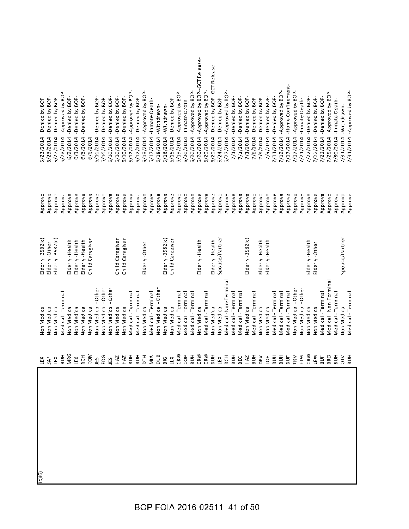| $\frac{1}{\frac{1}{2}}$ | ĚX              | Non Medica             | $E$ lderly-3582 $(c)$ | Approve | -Denied by BOP-<br>5/23/2014                |
|-------------------------|-----------------|------------------------|-----------------------|---------|---------------------------------------------|
|                         | SAF             | Non Medical            | Elderly-Other         | Approve | Denied by BOP<br>5/23/2014                  |
|                         | ĽŘ              | Non Medical            | Elderly-3582(c)       | Approve | -Denied by BOP-<br>5/27/2014                |
|                         | HUB             | Medical - Terminal     |                       | Approve | -Approved by BOP-<br>5/28/2014              |
|                         | MRG             | Non Medical            | Elderly-Health        | Approve | -Denied by BOP-<br>6/2/2014                 |
|                         | ĚX              | Non Medical            | Elderly-Health        | Approve | -Denied by BOP-<br>6/3/2014                 |
|                         | <b>RCH</b>      | Non Medical            | Eiderly-Health        | Approve | -Denied by BOP-<br>6/3/2014                 |
|                         | ξ               | Non Medical            | Child Caregiver       | Approve | 6/6/2014                                    |
|                         | JES             | Non Medical - Other    |                       | Approve | -Denied by BOP-<br>6/10/2014                |
|                         | 50g             | Non Medical - Other    |                       | Approve | -Denied by BOP-<br>6/10/2014                |
|                         | $\overline{15}$ | Non Medical - Other    |                       | Approve | -Denied by BOP-<br>6/10/2014                |
|                         | HAZ             | Non Medical            | Child Caregiver       | Approve | -Denied by BOP-<br>6/10/2014                |
|                         | HAZ             | Non Medical            | Child Caregiver       | Approve | -Denied by BOP-<br>6/10/2014                |
|                         | $\frac{1}{2}$   | Medical - Termina      |                       | Approve | Approved by BOP-<br>6/12/2014               |
|                         | HOB             | Medical - Terminal     |                       | Approve | -Denied by BOP-<br>5/12/2014                |
|                         | ĔΕ              | Non Medical            | Elderly-Other         | Approve | -Approved by BOP-<br>6/13/2014              |
|                         | ŃЮ              | Medical - Terminal     |                       | Approve | Inmate Death-<br>6/17/2014                  |
|                         | <b>BUB</b>      | Non Medical - Other    |                       | Approve | -Withdrawn-<br>5/18/2014                    |
|                         | 816             | Non Medical            | Elderly-3582(c)       | Approve | -Withdrawn-<br>6/18/2014                    |
|                         | Ľ               | Non Medical            | Child Caregiver       | Approve | -Denied by BOP<br>5/18/2014                 |
|                         | CRW             | Medical - Terminal     |                       | Approve | -Approved by BOP-<br>6/19/2014              |
|                         | e<br>S          | Medical - Terminal     |                       | Approve | -Inmate Death-<br>6/20/2014                 |
|                         | ĦБ              | Medical - Terminal     |                       | Approve | -Approved by BOP-<br>6/20/2014              |
|                         | CRW             | Non Medical            | Eiderly-Health        | Approve | -Approved by BOP--GCT Release-<br>6/20/2014 |
|                         | CRW             | Medical - Terminal     |                       | Approve | Approved by BOP-<br>6/20/2014               |
|                         | БH              | Non Medical            | Elderly - Health      | Approve | -Denied by BOP-GCT Release-<br>6/20/2014    |
|                         | ĚX              | Non Medical            | Spouse/Partner        | Approve | -Denied by BOP-<br>6/24/2014                |
|                         | <b>RCH</b>      | Medical - Non-Terminal |                       | Approve | Approved by BOP-<br>6/27/2014               |
|                         | БUН             | Medical - Termina      |                       | Approve | -Denied by BOP-<br>7/1/2014                 |
|                         | BEC             | Medical - Termina      |                       | Approve | -Denied by BOP-<br>7/1/2014                 |
|                         | HAZ             | Non Medical            | $E$  derly-3582(c)    | Approve | -Denied by BOP-<br>7/1/2014                 |
|                         | БH              | Medical - Terminal     |                       | Approve | -Denied by BOP-<br>7/6/2014                 |
|                         | DEV             | Non Medical            | Elderly-Health        | Approve | -Denied by BOP-<br>7/9/2014                 |
|                         | $\overline{O}$  | Non Medical            | Elderly-Health        | Approve | -Denied by BOP-<br>7/9/2014                 |
|                         | ĦП              | Medical - Terminal     |                       | Approve | -Denied by BOP-<br>7/11/2014                |
|                         | $\frac{1}{2}$   | Medical - Terminal     |                       | Approve | -Approved by BOP-<br>7/12/2014              |
|                         | BUF             | Medical - Terminal     |                       | Approve | -Home Confinement-<br>7/17/2014             |
|                         | TRM             | Non Medical - Other    |                       | Approve | -Approved by BOP-<br>7/17/2014              |
|                         | Ě               | Non Medical - Other    |                       | Approve | -Inmate Death-<br>7/21/2014                 |
|                         | CRW             | Non Medical            | Elderly-Health        | Approve | -Denied by BOP-<br>7/22/2014                |
|                         | LEW             | Non Medical            | Elderly-Other         | Approve | -Denied by BOP-<br>7/22/2014                |
|                         | $\frac{1}{2}$   | Medical - Terminal     |                       | Approve | -Denied by BOP-<br>7/23/2014                |
|                         | BRO             | Medical - Non-Terminal |                       | Approve | -Approved by BOP-<br>7/25/2014              |
|                         | $\frac{1}{5}$   | Medical - Termina      |                       | Approve | -Inmate Death-<br>7/30/2014                 |
|                         | ξ,              | Non Medical            | Spouse/Partner        | Approve | -Withdrawn-<br>7/31/2014                    |
|                         | BUH             | Medical - Terminal     |                       | Approve | 7/31/2014 - Approved by BOP-                |
|                         |                 |                        |                       |         |                                             |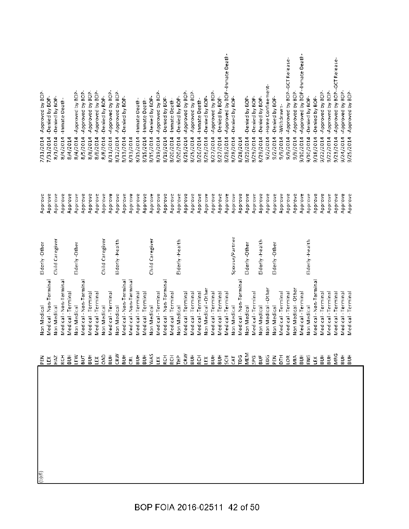| 도<br>모                                                                                |                        |                 |         |                                              |
|---------------------------------------------------------------------------------------|------------------------|-----------------|---------|----------------------------------------------|
|                                                                                       | Medical - Non-Terminal |                 | Approve | -Denied by BOP-<br>7/31/2014                 |
| HAZ                                                                                   | Non Medical            | Child Caregiver | Approve | -Denied by BOP-<br>8/1/2014                  |
| <b>RCH</b>                                                                            | Medical - Non-Termina  |                 | Approve | -Inmate Death-<br>8/4/2014                   |
| $\frac{\pi}{2}$                                                                       | Medical - Terminal     |                 | Approve | 8/4/2014                                     |
| LEW<br>BUT                                                                            | Non Medical            | Elderly-Other   | Approve | -Approved by BOP-<br>8/4/2014                |
|                                                                                       | Medical - Non-Terminal |                 | Approve | -Approved by BOP-<br>8/5/2014                |
| $\frac{\pi}{2}$ $\cong$                                                               | Medical - Terminal     |                 | Approve | -Approved by BOP-<br>8/8/2014                |
|                                                                                       | Medical - Terminal     |                 | Approve | -Approved by BOP-<br>8/8/2014                |
| OAD                                                                                   | Non Medical            | Child Caregiver | Approve | -Denied by BOP-<br>8/8/2014                  |
| $\frac{1}{2}$                                                                         | Medical - Terminal     |                 | Approve | Approved by BOP-<br>8/11/2014                |
| CRW                                                                                   | Non Medical            | Elderly-Health  | Approve | -Approved by BOP-<br>8/12/2014               |
| $\frac{1}{2}$                                                                         | Medical - Non-Termina  |                 | Approve | -Denied by BOP-<br>8/13/2014                 |
| <b>GRL</b>                                                                            | Medical - Non-Terminal |                 | Approve | 8/13/2014                                    |
| HUR                                                                                   | Medical - Terminal     |                 | Approve | -Inmate Death-<br>8/15/2014                  |
| $\bar{\mathbb{B}}$                                                                    | Medical - Terminal     |                 | Approve | -Inmate Death-<br>8/15/2014                  |
| WAS                                                                                   | Non Medical            | Child Caregiver | Approve | -Denied by BOP-<br>8/15/2014                 |
| $\begin{array}{c}\n\Xi \subseteq \Xi \subseteq \Xi \\ \Xi \subseteq \Xi\n\end{array}$ | Medical - Terminal     |                 | Approve | -Approved by BOP-<br>8/19/2014               |
|                                                                                       | Medical - Non-Terminal |                 | Approve | -Denied by BOP-<br>8/19/2014                 |
|                                                                                       | Medical - Terminal     |                 | Approve | -Inmate Death-<br>8/20/2014                  |
|                                                                                       | Non Medical            | Elderly-Health  | Approve | -Denied by BOP-<br>8/20/2014                 |
| CRW                                                                                   | Medical - Terminal     |                 | Approve | -Approved by BOP-<br>8/25/2014               |
| $_{\rm BUF}$                                                                          | Medical - Terminal     |                 | Approve | -Approved by BOP-<br>8/25/2014               |
| $\begin{array}{c} \overline{c} \\ \overline{c} \end{array}$                           | Medical-Terminal       |                 | Approve | -Inmate Death-<br>8/26/2014                  |
|                                                                                       | Non Medical - Other    |                 | Approve | -Denied by BOP-<br>8/26/2014                 |
|                                                                                       | Medical - Terminal     |                 | Approve | -Approved by BOP-<br>8/27/2014               |
|                                                                                       | Medical - Terminal     |                 | Approve | -Denied by BOP-<br>8/27/2014                 |
|                                                                                       | Medical - Terminal     |                 | Approve | -Approved by BOP--Inmate Death-<br>8/28/2014 |
| CAT                                                                                   | Non Medical            | Spouse/Partner  | Approve | -Denied by BOP-<br>8/28/2014                 |
| ŗб                                                                                    | Medical - Non-Terminal |                 | Approve | 8/28/2014                                    |
| <b>MEM</b>                                                                            | Non Medical            | Elderly-Other   | Approve | -Denied by BOP-<br>8/29/2014                 |
| <b>SPG</b>                                                                            | Medical - Terminal     |                 | Approve | -Denied by BOP-<br>8/29/2014                 |
| $\frac{1}{2}$                                                                         | Non Medical            | Elderly-Health  | Approve | -Denied by BOP-<br>8/29/2014                 |
| <b>BEN</b><br>PEN<br>DTE SE                                                           | Non Medical - Other    |                 | Approve | -Home Confinement-<br>9/2/2014               |
|                                                                                       | Non Medical            | Elderly-Other   | Approve | -Denied by BOP-<br>9/2/2014                  |
|                                                                                       | Medical - Terminal     |                 | Approve | Withdrawn-<br>9/9/2014                       |
|                                                                                       | Medical - Terminal     |                 | Approve | -Approved by BOP--GCT Release-<br>9/9/2014   |
|                                                                                       | Non Medical - Other    |                 | Approve | -Approved by BOP-<br>9/9/2014                |
| $\frac{\pi}{\omega}$ is                                                               | Medical - Terminal     |                 | Approve | -Approved by BOP--Inmate Death-<br>9/10/2014 |
|                                                                                       | Non Medical            | Elderly-Health  | Approve | -Denied by BOP-<br>9/10/2014                 |
| ĽK                                                                                    | Medical - Non-Terminal |                 | Approve | -Denied by BOP-<br>9/18/2014                 |
| $\frac{1}{2}$                                                                         | Medical - Termina      |                 | Approve | Approved by BOP-<br>9/22/2014                |
| BUH                                                                                   | Medical - Terminal     |                 | Approve | -Approved by BOP-<br>9/22/2014               |
| MRG                                                                                   | Medical - Terminal     |                 | Approve | -Approved by BOP--GCT Release-<br>9/23/2014  |
| $\frac{1}{20}$                                                                        | Medical - Terminal     |                 | Approve | -Approved by BOP-<br>9/24/2014               |
| <b>HUR</b>                                                                            | Medical - Terminal     |                 | Approve | -Approved by BOP-<br>9/25/2014               |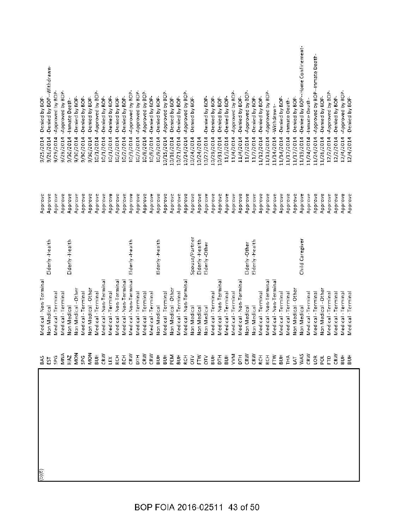BOP FOIA 2016-02511 43 of 50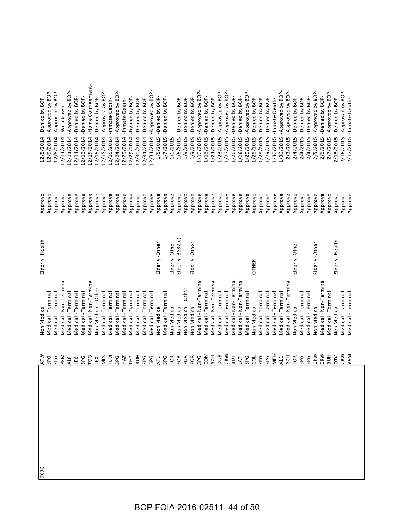| ATN            | Von Medical            | Elderly-Health     | Approve | 12/5/2014  | -Denied by BOP-           |
|----------------|------------------------|--------------------|---------|------------|---------------------------|
| <b>SPG</b>     | Medical - Termina      |                    | Approve | 12/9/2014  | -Approved by BOP-         |
| <b>SPG</b>     | Medical - Terminal     |                    | Approve | 12/9/2014  | -Approved by BOP-         |
| PEM            | Medical - Non-Terminal |                    | Approve | 12/11/2014 | -Withdrawn-               |
| $41$ F         | Medical - Terminal     |                    | Approve | 12/11/2014 | -Approved by BOP-         |
| ĚX             | Medical - Terminal     |                    | Approve | 12/11/2014 | -Denied by BOP-           |
| <b>SPG</b>     | Medical - Terminal     |                    | Approve | 12/12/2014 | -Denied by BOP-           |
| ρg             | Vedical - Non-Terminal |                    | Approve | 12/15/2014 | -Home Confinement-        |
| ĚX             | Non Medical - Other    |                    | Approve | 12/15/2014 | -Denied by BOP-           |
| ŠΙ             | Medical - Terminal     |                    | Approve | 12/15/2014 | -Approved by BOP-         |
| ELM            | Medical - Terminal     |                    | Approve | 12/16/2014 | -Inmate Death-            |
| <b>SPG</b>     | Medical - Terminal     |                    | Approve | 12/24/2014 | -Approved by BOP-         |
| HAZ            | Medical - Terminal     |                    | Approve | 12/29/2014 | -Inmate Death-            |
| $E^2$          | Medical - Terminal     |                    | Approve | 12/29/2014 | -Denied by BOP-           |
| HUB            | Medical - Terminal     |                    | Approve | 12/30/2014 | -Denied by BOP-           |
| <b>SPG</b>     | Medical - Terminal     |                    | Approve | 12/31/2014 | -Denied by BOP-           |
| <b>SPG</b>     | Medical - Termina      |                    | Approve | 12/31/2014 | Approved by BOP-          |
| ĄΤ             | Non Medical            | Elderly-Other      | Approve | 1/5/2015   | -Denied by BOP-           |
| <b>SPG</b>     | Medical - Terminal     |                    | Approve | 1/7/2015   | -Denied by BOP-           |
| FOR            | Non Medical            | Elderly-Other      | Approve | 1/9/2015   |                           |
| $E_{\text{D}}$ | Non Medical            | $E$ Iderly-3582(c) | Approve | 1/9/2015   | -Denied by BOP-           |
| $\tilde{5}$    | Non Medical - Other    |                    | Approve | 1/9/2015   | -Denied by BOP-           |
| FOR            | Non Medical            | Elderly-Other      | Approve | 1/9/2015   | -Denied by BOP-           |
| <b>SPG</b>     | Medical - Non-Terminal |                    | Approve | /12/2015   | -Approved by BOP-         |
| COM            | Medical - Terminal     |                    | Approve | 1/16/2015  | -Denied by BOP-           |
| <b>ECH</b>     | Medical - Non-Terminal |                    | Approve | 1/21/2015  | -Denied by BOP-           |
| aug            | Medical-Terminal       |                    | Approve | 1/23/2015  | -Approved by BOP-         |
| CRW            | Medical - Terminal     |                    | Approve | 1/23/2015  | Approved by BOP-          |
| БUТ            | Medical - Non-Terminal |                    | Approve | 1/26/2015  | -Denied by BOP-           |
| ЪŃ,            | Medical - Non-Terminal |                    | Approve | 1/28/2015  | -Denied by BOP-           |
| SPG            | Medical - Terminal     |                    | Approve | 1/29/2015  | Approved by BOP-          |
| $\vec{e}$      | Non Medical            | OTHER              | Approve | 1/29/2015  | -Denied by BOP-           |
| SPG            | Medical - Terminal     |                    | Approve | 1/29/2015  | -Denied by BOP-           |
| 5PG            | Medical - Terminal     |                    | Approve | 1/29/2015  | -Denied by BOP-           |
| MEM            | Medical-Terminal       |                    | Approve | 1/30/2015  | -Inmate Death-            |
| $\frac{1}{2}$  | Medical - Terminal     |                    | Approve | 1/30/2015  | -Approved by BOP-         |
| FCH            | Medical - Non-Terminal |                    | Approve | 2/3/2015   | -Approved by BOP-         |
| EOR            | <b>Von Medical</b>     | Elderly-Other      | Approve | 2/4/2015   | -Denied by BOP-           |
| <b>SPG</b>     | Medical - Termina      |                    | Approve | 2/4/2015   | -Denied by BOP-           |
| <b>SPG</b>     | Medical - Termina      |                    | Approve | 2/4/2015   | -Denied by BOP-           |
| CRW            | Non Medical            | Elderly-Other      | Approve | 2/5/2015   | -Approved by BOP-         |
| CRW            | Medical - Non-Terminal |                    | Approve | 2/6/2015   | -Denied by BOP-           |
| <b>HUR</b>     | Medical-Terminal       |                    | Approve | 2/7/2015   | -Approved by BOP-         |
| $\vec{5}$      | Non Medical            | Eiderly-Health     | Approve | 2/15/2015  | -Denied by BOP-           |
| CRW            | Medical - Terminal     |                    | Approve | 2/16/2015  | Approved by BOP-          |
| ξ              | Medical - Terminal     |                    | Approve |            | 2/17/2015 - Inmate Death- |
|                |                        |                    |         |            |                           |
|                |                        |                    |         |            |                           |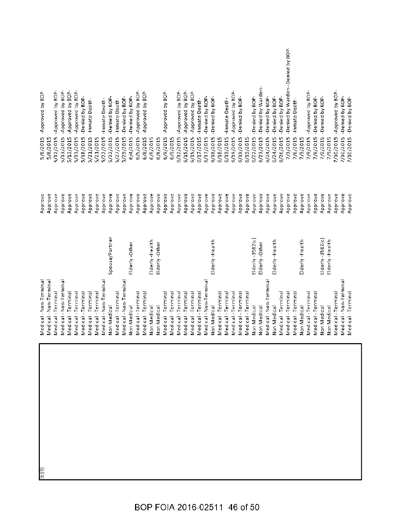| -Denied by Warden-<br>-Approved by BOP-<br>6/15/2015 - Approved by BOP-<br>-Approved by BOP-<br>-Approved by BOP-<br>-Approved by BOP-<br>-Approved by BOP-<br>-Approved by BOP-<br>-Approved by BOP-<br>6/15/2015 - Approved by BOP-<br>7/10/2015 - Approved by BOP-<br>-Approved by BOP-<br>-Approved by BOP-<br>-Approved by BOP-<br>-Approved by BOP-<br>5/18/2015 - Denied by BOP-<br>-Denied by BOP-<br>7/10/2015 - Denied by BOP-<br>6/17/2015 - Denied by BOP-<br>-Denied by BOP-<br>-Denied by BOP-<br>5/22/2015 - Denied by BOP-<br>-Denied by BOP-<br>7/10/2015 -Denied by BOP-<br>-Denied by BOP<br>-Denied by BOP-<br>-Denied by BOP-<br>5/24/2015 - Denied by BOP-<br>6/26/2015 - Denied by BOP<br>-Denied by BOP<br>6/19/2015 - Inmate Death-<br>5/27/2015 - Inmate Death-<br>-Inmate Death-<br>-Inmate Death-<br>-Inmate Death-<br>-Inmate Death-<br>5/12/2015<br>5/13/2015<br>5/21/2015<br>5/22/2015<br>5/22/2015<br>6/5/2015<br>6/17/2015<br>6/23/2015<br>7/6/2015<br>7/9/2015<br>5/13/2015<br>5/13/2015<br>5/29/2015<br>6/8/2015<br>6/12/2015<br>6/18/2015<br>6/19/2015<br>6/19/2015<br>6/24/2015<br>7/9/2015<br>7/9/2015<br>6/9/2015<br>5/8/2015<br>6/4/2015<br>7/9/2015<br>5/8/2015<br>5/21/2015<br>6/8/2015<br>6/18/2015<br>6/19/2015<br>7/9/2015<br>6/8/2015<br>6/9/2015<br>Approve<br>Approve<br>Approve<br>Approve<br>Approve<br>Approve<br>Approve<br>Approve<br>Approve<br>Approve<br>Approve<br>Approve<br>Approve<br>Approve<br>Approve<br>Approve<br>Approve<br>Approve<br>Approve<br>Approve<br>Approve<br>Approve<br>Approve<br>Approve<br>Approve<br>Approve<br>Approve<br>Approve<br>Approve<br>Approve<br>Approve<br>Approve<br>Approve<br>Approve<br>Approve<br>Approve<br>Approve<br>Approve<br>Approve<br>Approve<br>Approve<br>Approve<br>Approve<br>Approve<br>Approve<br>Spouse/Partner<br>$E$ lderly-3582(c)<br>$E$ lderly-3582(c)<br>Elderly-Health<br>Elderly-Health<br>Elderly-Health<br>Elderly-Health<br>Elderly-Health<br>Elderly-Other<br>Elderly-Other<br>Elderly-Other<br>Medical - Non-Terminal<br>Medical - Non-Terminal<br>Medical - Non-Terminal<br>Medical - Non-Terminal<br>Medical - Non-Terminal<br>Medical - Non-Terminal<br>Medical - Non-Terminal<br>Medical - Non-Termina<br>Medical -Terminal<br>Medical - Terminal<br>Medical - Terminal<br>Medical - Terminal<br>Medical - Terminal<br>Medical - Terminal<br>Medical-Terminal<br>Medical - Terminal<br>Medical - Terminal<br>Medical - Terminal<br>Medical - Terminal<br>Medical - Terminal<br>Medical - Terminal<br>Medical - Terminal<br>Medical - Terminal<br>Medical-Terminal<br>Medical - Terminal<br>Medical - Terminal<br>Medical-Terminal<br>Medical - Terminal<br>Medical - Terminal<br>Medical - Terminal<br>Medical - Termina<br>Medical - Terminal<br>Medical - Termina<br>Medical - Termina<br>Non Medical<br>Non Medical<br>Non Medical<br>Non Medical<br>Non Medical<br>Non Medical<br>Non Medical<br>Non Medical<br>Non Medical<br>Non Medical<br>Non Medical |                    |         |                                            |
|-------------------------------------------------------------------------------------------------------------------------------------------------------------------------------------------------------------------------------------------------------------------------------------------------------------------------------------------------------------------------------------------------------------------------------------------------------------------------------------------------------------------------------------------------------------------------------------------------------------------------------------------------------------------------------------------------------------------------------------------------------------------------------------------------------------------------------------------------------------------------------------------------------------------------------------------------------------------------------------------------------------------------------------------------------------------------------------------------------------------------------------------------------------------------------------------------------------------------------------------------------------------------------------------------------------------------------------------------------------------------------------------------------------------------------------------------------------------------------------------------------------------------------------------------------------------------------------------------------------------------------------------------------------------------------------------------------------------------------------------------------------------------------------------------------------------------------------------------------------------------------------------------------------------------------------------------------------------------------------------------------------------------------------------------------------------------------------------------------------------------------------------------------------------------------------------------------------------------------------------------------------------------------------------------------------------------------------------------------------------------------------------------------------------------------------------------------------------------------------------------------------------------------------------------------------------------------------------------------------------------------------------------------------------------------------------------------------------------------------------------------------------------------------------------------------------------------------------------------------------------------------------------------------------------------------------------------------------------------------------------|--------------------|---------|--------------------------------------------|
|                                                                                                                                                                                                                                                                                                                                                                                                                                                                                                                                                                                                                                                                                                                                                                                                                                                                                                                                                                                                                                                                                                                                                                                                                                                                                                                                                                                                                                                                                                                                                                                                                                                                                                                                                                                                                                                                                                                                                                                                                                                                                                                                                                                                                                                                                                                                                                                                                                                                                                                                                                                                                                                                                                                                                                                                                                                                                                                                                                                                 |                    |         |                                            |
|                                                                                                                                                                                                                                                                                                                                                                                                                                                                                                                                                                                                                                                                                                                                                                                                                                                                                                                                                                                                                                                                                                                                                                                                                                                                                                                                                                                                                                                                                                                                                                                                                                                                                                                                                                                                                                                                                                                                                                                                                                                                                                                                                                                                                                                                                                                                                                                                                                                                                                                                                                                                                                                                                                                                                                                                                                                                                                                                                                                                 |                    |         |                                            |
|                                                                                                                                                                                                                                                                                                                                                                                                                                                                                                                                                                                                                                                                                                                                                                                                                                                                                                                                                                                                                                                                                                                                                                                                                                                                                                                                                                                                                                                                                                                                                                                                                                                                                                                                                                                                                                                                                                                                                                                                                                                                                                                                                                                                                                                                                                                                                                                                                                                                                                                                                                                                                                                                                                                                                                                                                                                                                                                                                                                                 |                    |         |                                            |
|                                                                                                                                                                                                                                                                                                                                                                                                                                                                                                                                                                                                                                                                                                                                                                                                                                                                                                                                                                                                                                                                                                                                                                                                                                                                                                                                                                                                                                                                                                                                                                                                                                                                                                                                                                                                                                                                                                                                                                                                                                                                                                                                                                                                                                                                                                                                                                                                                                                                                                                                                                                                                                                                                                                                                                                                                                                                                                                                                                                                 |                    |         |                                            |
|                                                                                                                                                                                                                                                                                                                                                                                                                                                                                                                                                                                                                                                                                                                                                                                                                                                                                                                                                                                                                                                                                                                                                                                                                                                                                                                                                                                                                                                                                                                                                                                                                                                                                                                                                                                                                                                                                                                                                                                                                                                                                                                                                                                                                                                                                                                                                                                                                                                                                                                                                                                                                                                                                                                                                                                                                                                                                                                                                                                                 |                    |         |                                            |
|                                                                                                                                                                                                                                                                                                                                                                                                                                                                                                                                                                                                                                                                                                                                                                                                                                                                                                                                                                                                                                                                                                                                                                                                                                                                                                                                                                                                                                                                                                                                                                                                                                                                                                                                                                                                                                                                                                                                                                                                                                                                                                                                                                                                                                                                                                                                                                                                                                                                                                                                                                                                                                                                                                                                                                                                                                                                                                                                                                                                 |                    |         |                                            |
|                                                                                                                                                                                                                                                                                                                                                                                                                                                                                                                                                                                                                                                                                                                                                                                                                                                                                                                                                                                                                                                                                                                                                                                                                                                                                                                                                                                                                                                                                                                                                                                                                                                                                                                                                                                                                                                                                                                                                                                                                                                                                                                                                                                                                                                                                                                                                                                                                                                                                                                                                                                                                                                                                                                                                                                                                                                                                                                                                                                                 |                    |         |                                            |
|                                                                                                                                                                                                                                                                                                                                                                                                                                                                                                                                                                                                                                                                                                                                                                                                                                                                                                                                                                                                                                                                                                                                                                                                                                                                                                                                                                                                                                                                                                                                                                                                                                                                                                                                                                                                                                                                                                                                                                                                                                                                                                                                                                                                                                                                                                                                                                                                                                                                                                                                                                                                                                                                                                                                                                                                                                                                                                                                                                                                 |                    |         |                                            |
|                                                                                                                                                                                                                                                                                                                                                                                                                                                                                                                                                                                                                                                                                                                                                                                                                                                                                                                                                                                                                                                                                                                                                                                                                                                                                                                                                                                                                                                                                                                                                                                                                                                                                                                                                                                                                                                                                                                                                                                                                                                                                                                                                                                                                                                                                                                                                                                                                                                                                                                                                                                                                                                                                                                                                                                                                                                                                                                                                                                                 |                    |         |                                            |
|                                                                                                                                                                                                                                                                                                                                                                                                                                                                                                                                                                                                                                                                                                                                                                                                                                                                                                                                                                                                                                                                                                                                                                                                                                                                                                                                                                                                                                                                                                                                                                                                                                                                                                                                                                                                                                                                                                                                                                                                                                                                                                                                                                                                                                                                                                                                                                                                                                                                                                                                                                                                                                                                                                                                                                                                                                                                                                                                                                                                 |                    |         |                                            |
|                                                                                                                                                                                                                                                                                                                                                                                                                                                                                                                                                                                                                                                                                                                                                                                                                                                                                                                                                                                                                                                                                                                                                                                                                                                                                                                                                                                                                                                                                                                                                                                                                                                                                                                                                                                                                                                                                                                                                                                                                                                                                                                                                                                                                                                                                                                                                                                                                                                                                                                                                                                                                                                                                                                                                                                                                                                                                                                                                                                                 |                    |         |                                            |
|                                                                                                                                                                                                                                                                                                                                                                                                                                                                                                                                                                                                                                                                                                                                                                                                                                                                                                                                                                                                                                                                                                                                                                                                                                                                                                                                                                                                                                                                                                                                                                                                                                                                                                                                                                                                                                                                                                                                                                                                                                                                                                                                                                                                                                                                                                                                                                                                                                                                                                                                                                                                                                                                                                                                                                                                                                                                                                                                                                                                 |                    |         |                                            |
|                                                                                                                                                                                                                                                                                                                                                                                                                                                                                                                                                                                                                                                                                                                                                                                                                                                                                                                                                                                                                                                                                                                                                                                                                                                                                                                                                                                                                                                                                                                                                                                                                                                                                                                                                                                                                                                                                                                                                                                                                                                                                                                                                                                                                                                                                                                                                                                                                                                                                                                                                                                                                                                                                                                                                                                                                                                                                                                                                                                                 |                    |         |                                            |
|                                                                                                                                                                                                                                                                                                                                                                                                                                                                                                                                                                                                                                                                                                                                                                                                                                                                                                                                                                                                                                                                                                                                                                                                                                                                                                                                                                                                                                                                                                                                                                                                                                                                                                                                                                                                                                                                                                                                                                                                                                                                                                                                                                                                                                                                                                                                                                                                                                                                                                                                                                                                                                                                                                                                                                                                                                                                                                                                                                                                 |                    |         |                                            |
|                                                                                                                                                                                                                                                                                                                                                                                                                                                                                                                                                                                                                                                                                                                                                                                                                                                                                                                                                                                                                                                                                                                                                                                                                                                                                                                                                                                                                                                                                                                                                                                                                                                                                                                                                                                                                                                                                                                                                                                                                                                                                                                                                                                                                                                                                                                                                                                                                                                                                                                                                                                                                                                                                                                                                                                                                                                                                                                                                                                                 |                    |         |                                            |
|                                                                                                                                                                                                                                                                                                                                                                                                                                                                                                                                                                                                                                                                                                                                                                                                                                                                                                                                                                                                                                                                                                                                                                                                                                                                                                                                                                                                                                                                                                                                                                                                                                                                                                                                                                                                                                                                                                                                                                                                                                                                                                                                                                                                                                                                                                                                                                                                                                                                                                                                                                                                                                                                                                                                                                                                                                                                                                                                                                                                 |                    |         |                                            |
|                                                                                                                                                                                                                                                                                                                                                                                                                                                                                                                                                                                                                                                                                                                                                                                                                                                                                                                                                                                                                                                                                                                                                                                                                                                                                                                                                                                                                                                                                                                                                                                                                                                                                                                                                                                                                                                                                                                                                                                                                                                                                                                                                                                                                                                                                                                                                                                                                                                                                                                                                                                                                                                                                                                                                                                                                                                                                                                                                                                                 |                    |         |                                            |
|                                                                                                                                                                                                                                                                                                                                                                                                                                                                                                                                                                                                                                                                                                                                                                                                                                                                                                                                                                                                                                                                                                                                                                                                                                                                                                                                                                                                                                                                                                                                                                                                                                                                                                                                                                                                                                                                                                                                                                                                                                                                                                                                                                                                                                                                                                                                                                                                                                                                                                                                                                                                                                                                                                                                                                                                                                                                                                                                                                                                 |                    |         |                                            |
|                                                                                                                                                                                                                                                                                                                                                                                                                                                                                                                                                                                                                                                                                                                                                                                                                                                                                                                                                                                                                                                                                                                                                                                                                                                                                                                                                                                                                                                                                                                                                                                                                                                                                                                                                                                                                                                                                                                                                                                                                                                                                                                                                                                                                                                                                                                                                                                                                                                                                                                                                                                                                                                                                                                                                                                                                                                                                                                                                                                                 |                    |         |                                            |
|                                                                                                                                                                                                                                                                                                                                                                                                                                                                                                                                                                                                                                                                                                                                                                                                                                                                                                                                                                                                                                                                                                                                                                                                                                                                                                                                                                                                                                                                                                                                                                                                                                                                                                                                                                                                                                                                                                                                                                                                                                                                                                                                                                                                                                                                                                                                                                                                                                                                                                                                                                                                                                                                                                                                                                                                                                                                                                                                                                                                 |                    |         |                                            |
|                                                                                                                                                                                                                                                                                                                                                                                                                                                                                                                                                                                                                                                                                                                                                                                                                                                                                                                                                                                                                                                                                                                                                                                                                                                                                                                                                                                                                                                                                                                                                                                                                                                                                                                                                                                                                                                                                                                                                                                                                                                                                                                                                                                                                                                                                                                                                                                                                                                                                                                                                                                                                                                                                                                                                                                                                                                                                                                                                                                                 |                    |         |                                            |
|                                                                                                                                                                                                                                                                                                                                                                                                                                                                                                                                                                                                                                                                                                                                                                                                                                                                                                                                                                                                                                                                                                                                                                                                                                                                                                                                                                                                                                                                                                                                                                                                                                                                                                                                                                                                                                                                                                                                                                                                                                                                                                                                                                                                                                                                                                                                                                                                                                                                                                                                                                                                                                                                                                                                                                                                                                                                                                                                                                                                 |                    |         |                                            |
|                                                                                                                                                                                                                                                                                                                                                                                                                                                                                                                                                                                                                                                                                                                                                                                                                                                                                                                                                                                                                                                                                                                                                                                                                                                                                                                                                                                                                                                                                                                                                                                                                                                                                                                                                                                                                                                                                                                                                                                                                                                                                                                                                                                                                                                                                                                                                                                                                                                                                                                                                                                                                                                                                                                                                                                                                                                                                                                                                                                                 |                    |         |                                            |
|                                                                                                                                                                                                                                                                                                                                                                                                                                                                                                                                                                                                                                                                                                                                                                                                                                                                                                                                                                                                                                                                                                                                                                                                                                                                                                                                                                                                                                                                                                                                                                                                                                                                                                                                                                                                                                                                                                                                                                                                                                                                                                                                                                                                                                                                                                                                                                                                                                                                                                                                                                                                                                                                                                                                                                                                                                                                                                                                                                                                 |                    |         |                                            |
|                                                                                                                                                                                                                                                                                                                                                                                                                                                                                                                                                                                                                                                                                                                                                                                                                                                                                                                                                                                                                                                                                                                                                                                                                                                                                                                                                                                                                                                                                                                                                                                                                                                                                                                                                                                                                                                                                                                                                                                                                                                                                                                                                                                                                                                                                                                                                                                                                                                                                                                                                                                                                                                                                                                                                                                                                                                                                                                                                                                                 |                    |         |                                            |
|                                                                                                                                                                                                                                                                                                                                                                                                                                                                                                                                                                                                                                                                                                                                                                                                                                                                                                                                                                                                                                                                                                                                                                                                                                                                                                                                                                                                                                                                                                                                                                                                                                                                                                                                                                                                                                                                                                                                                                                                                                                                                                                                                                                                                                                                                                                                                                                                                                                                                                                                                                                                                                                                                                                                                                                                                                                                                                                                                                                                 |                    |         |                                            |
|                                                                                                                                                                                                                                                                                                                                                                                                                                                                                                                                                                                                                                                                                                                                                                                                                                                                                                                                                                                                                                                                                                                                                                                                                                                                                                                                                                                                                                                                                                                                                                                                                                                                                                                                                                                                                                                                                                                                                                                                                                                                                                                                                                                                                                                                                                                                                                                                                                                                                                                                                                                                                                                                                                                                                                                                                                                                                                                                                                                                 |                    |         |                                            |
|                                                                                                                                                                                                                                                                                                                                                                                                                                                                                                                                                                                                                                                                                                                                                                                                                                                                                                                                                                                                                                                                                                                                                                                                                                                                                                                                                                                                                                                                                                                                                                                                                                                                                                                                                                                                                                                                                                                                                                                                                                                                                                                                                                                                                                                                                                                                                                                                                                                                                                                                                                                                                                                                                                                                                                                                                                                                                                                                                                                                 |                    |         |                                            |
|                                                                                                                                                                                                                                                                                                                                                                                                                                                                                                                                                                                                                                                                                                                                                                                                                                                                                                                                                                                                                                                                                                                                                                                                                                                                                                                                                                                                                                                                                                                                                                                                                                                                                                                                                                                                                                                                                                                                                                                                                                                                                                                                                                                                                                                                                                                                                                                                                                                                                                                                                                                                                                                                                                                                                                                                                                                                                                                                                                                                 |                    |         |                                            |
|                                                                                                                                                                                                                                                                                                                                                                                                                                                                                                                                                                                                                                                                                                                                                                                                                                                                                                                                                                                                                                                                                                                                                                                                                                                                                                                                                                                                                                                                                                                                                                                                                                                                                                                                                                                                                                                                                                                                                                                                                                                                                                                                                                                                                                                                                                                                                                                                                                                                                                                                                                                                                                                                                                                                                                                                                                                                                                                                                                                                 |                    |         |                                            |
|                                                                                                                                                                                                                                                                                                                                                                                                                                                                                                                                                                                                                                                                                                                                                                                                                                                                                                                                                                                                                                                                                                                                                                                                                                                                                                                                                                                                                                                                                                                                                                                                                                                                                                                                                                                                                                                                                                                                                                                                                                                                                                                                                                                                                                                                                                                                                                                                                                                                                                                                                                                                                                                                                                                                                                                                                                                                                                                                                                                                 |                    |         |                                            |
|                                                                                                                                                                                                                                                                                                                                                                                                                                                                                                                                                                                                                                                                                                                                                                                                                                                                                                                                                                                                                                                                                                                                                                                                                                                                                                                                                                                                                                                                                                                                                                                                                                                                                                                                                                                                                                                                                                                                                                                                                                                                                                                                                                                                                                                                                                                                                                                                                                                                                                                                                                                                                                                                                                                                                                                                                                                                                                                                                                                                 |                    |         |                                            |
|                                                                                                                                                                                                                                                                                                                                                                                                                                                                                                                                                                                                                                                                                                                                                                                                                                                                                                                                                                                                                                                                                                                                                                                                                                                                                                                                                                                                                                                                                                                                                                                                                                                                                                                                                                                                                                                                                                                                                                                                                                                                                                                                                                                                                                                                                                                                                                                                                                                                                                                                                                                                                                                                                                                                                                                                                                                                                                                                                                                                 |                    |         |                                            |
|                                                                                                                                                                                                                                                                                                                                                                                                                                                                                                                                                                                                                                                                                                                                                                                                                                                                                                                                                                                                                                                                                                                                                                                                                                                                                                                                                                                                                                                                                                                                                                                                                                                                                                                                                                                                                                                                                                                                                                                                                                                                                                                                                                                                                                                                                                                                                                                                                                                                                                                                                                                                                                                                                                                                                                                                                                                                                                                                                                                                 |                    |         |                                            |
|                                                                                                                                                                                                                                                                                                                                                                                                                                                                                                                                                                                                                                                                                                                                                                                                                                                                                                                                                                                                                                                                                                                                                                                                                                                                                                                                                                                                                                                                                                                                                                                                                                                                                                                                                                                                                                                                                                                                                                                                                                                                                                                                                                                                                                                                                                                                                                                                                                                                                                                                                                                                                                                                                                                                                                                                                                                                                                                                                                                                 |                    |         |                                            |
|                                                                                                                                                                                                                                                                                                                                                                                                                                                                                                                                                                                                                                                                                                                                                                                                                                                                                                                                                                                                                                                                                                                                                                                                                                                                                                                                                                                                                                                                                                                                                                                                                                                                                                                                                                                                                                                                                                                                                                                                                                                                                                                                                                                                                                                                                                                                                                                                                                                                                                                                                                                                                                                                                                                                                                                                                                                                                                                                                                                                 |                    |         |                                            |
|                                                                                                                                                                                                                                                                                                                                                                                                                                                                                                                                                                                                                                                                                                                                                                                                                                                                                                                                                                                                                                                                                                                                                                                                                                                                                                                                                                                                                                                                                                                                                                                                                                                                                                                                                                                                                                                                                                                                                                                                                                                                                                                                                                                                                                                                                                                                                                                                                                                                                                                                                                                                                                                                                                                                                                                                                                                                                                                                                                                                 |                    |         | 7/3/2015 -Denied by Warden--Denied by BOP- |
|                                                                                                                                                                                                                                                                                                                                                                                                                                                                                                                                                                                                                                                                                                                                                                                                                                                                                                                                                                                                                                                                                                                                                                                                                                                                                                                                                                                                                                                                                                                                                                                                                                                                                                                                                                                                                                                                                                                                                                                                                                                                                                                                                                                                                                                                                                                                                                                                                                                                                                                                                                                                                                                                                                                                                                                                                                                                                                                                                                                                 |                    |         |                                            |
|                                                                                                                                                                                                                                                                                                                                                                                                                                                                                                                                                                                                                                                                                                                                                                                                                                                                                                                                                                                                                                                                                                                                                                                                                                                                                                                                                                                                                                                                                                                                                                                                                                                                                                                                                                                                                                                                                                                                                                                                                                                                                                                                                                                                                                                                                                                                                                                                                                                                                                                                                                                                                                                                                                                                                                                                                                                                                                                                                                                                 |                    |         |                                            |
|                                                                                                                                                                                                                                                                                                                                                                                                                                                                                                                                                                                                                                                                                                                                                                                                                                                                                                                                                                                                                                                                                                                                                                                                                                                                                                                                                                                                                                                                                                                                                                                                                                                                                                                                                                                                                                                                                                                                                                                                                                                                                                                                                                                                                                                                                                                                                                                                                                                                                                                                                                                                                                                                                                                                                                                                                                                                                                                                                                                                 |                    |         |                                            |
|                                                                                                                                                                                                                                                                                                                                                                                                                                                                                                                                                                                                                                                                                                                                                                                                                                                                                                                                                                                                                                                                                                                                                                                                                                                                                                                                                                                                                                                                                                                                                                                                                                                                                                                                                                                                                                                                                                                                                                                                                                                                                                                                                                                                                                                                                                                                                                                                                                                                                                                                                                                                                                                                                                                                                                                                                                                                                                                                                                                                 |                    |         |                                            |
|                                                                                                                                                                                                                                                                                                                                                                                                                                                                                                                                                                                                                                                                                                                                                                                                                                                                                                                                                                                                                                                                                                                                                                                                                                                                                                                                                                                                                                                                                                                                                                                                                                                                                                                                                                                                                                                                                                                                                                                                                                                                                                                                                                                                                                                                                                                                                                                                                                                                                                                                                                                                                                                                                                                                                                                                                                                                                                                                                                                                 |                    |         |                                            |
|                                                                                                                                                                                                                                                                                                                                                                                                                                                                                                                                                                                                                                                                                                                                                                                                                                                                                                                                                                                                                                                                                                                                                                                                                                                                                                                                                                                                                                                                                                                                                                                                                                                                                                                                                                                                                                                                                                                                                                                                                                                                                                                                                                                                                                                                                                                                                                                                                                                                                                                                                                                                                                                                                                                                                                                                                                                                                                                                                                                                 |                    |         |                                            |
|                                                                                                                                                                                                                                                                                                                                                                                                                                                                                                                                                                                                                                                                                                                                                                                                                                                                                                                                                                                                                                                                                                                                                                                                                                                                                                                                                                                                                                                                                                                                                                                                                                                                                                                                                                                                                                                                                                                                                                                                                                                                                                                                                                                                                                                                                                                                                                                                                                                                                                                                                                                                                                                                                                                                                                                                                                                                                                                                                                                                 |                    |         |                                            |
|                                                                                                                                                                                                                                                                                                                                                                                                                                                                                                                                                                                                                                                                                                                                                                                                                                                                                                                                                                                                                                                                                                                                                                                                                                                                                                                                                                                                                                                                                                                                                                                                                                                                                                                                                                                                                                                                                                                                                                                                                                                                                                                                                                                                                                                                                                                                                                                                                                                                                                                                                                                                                                                                                                                                                                                                                                                                                                                                                                                                 |                    |         |                                            |
|                                                                                                                                                                                                                                                                                                                                                                                                                                                                                                                                                                                                                                                                                                                                                                                                                                                                                                                                                                                                                                                                                                                                                                                                                                                                                                                                                                                                                                                                                                                                                                                                                                                                                                                                                                                                                                                                                                                                                                                                                                                                                                                                                                                                                                                                                                                                                                                                                                                                                                                                                                                                                                                                                                                                                                                                                                                                                                                                                                                                 | Medical - Terminal | Approve |                                            |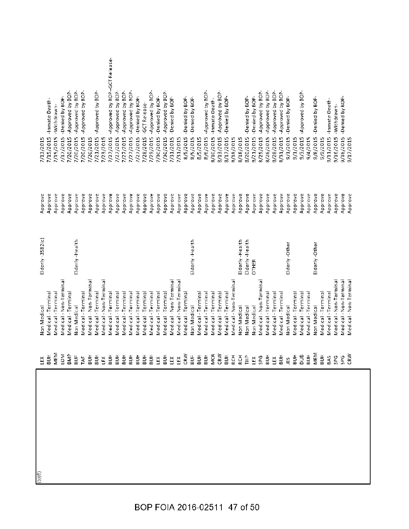| ĽĚX             |                                   |                    |                    | 7/13/2015                   |                                |
|-----------------|-----------------------------------|--------------------|--------------------|-----------------------------|--------------------------------|
| $\frac{1}{2}$   | Medical - Terminal<br>Non Medical | $E$ lderly-3582(c) | Approve<br>Approve | 7/15/2015                   | -Inmate Death-                 |
|                 | Medical - Terminal                |                    | Approve            | -Withdrawn-<br>7/15/2015    |                                |
| MEM<br>LOM      | Medical - Non-Terminal            |                    | Approve            | 7/17/2015                   | -Denied by BOP-                |
| <b>SMP</b>      | Medical - Termina                 |                    | Approve            | 7/20/2015                   | -Approved by BOP-              |
| BUF             | Non Medical                       | Elderly-Health     | Approve            | 7/20/2015                   | -Approved by BOP-              |
| TAF             | Medical-Terminal                  |                    | Approve            | 7/20/2015                   | -Approved by BOP-              |
| $\frac{1}{2}$   | Medical - Non-Terminal            |                    | Approve            | 7/20/2015                   |                                |
| БUН             | Medical - Terminal                |                    | Approve            | 7/21/2015                   | -Approved by BOP-              |
| Ľ               | Medical - Non-Terminal            |                    | Approve            | 7/23/2015                   |                                |
| $\frac{1}{2}$   | Medical - Terminal                |                    | Approve            | 7/27/2015                   | -Approved by BOP--GCT Release- |
| FПB             | Medical - Terminal                |                    | Approve            | 7/27/2015                   | -Approved by BOP-              |
| $\frac{1}{2}$   | Medical - Terminal                |                    | Approve            | 7/27/2015                   | -Approved by BOP-              |
| ĦПВ             | Medical - Terminal                |                    | Approve            | 7/27/2015                   | Approved by BOP-               |
| ВUН             | Medical - Termina                 |                    | Approve            | 7/27/2015                   | -Denied by BOP                 |
| $\frac{1}{5}$   | Medical - Termina                 |                    | Approve            | -GCT Release-<br>7/28/2015  |                                |
| $\frac{1}{2}$   | Medical - Terminal                |                    | Approve            | 7/29/2015                   | Approved by BOP-               |
| ĽĔX             | Medical - Terminal                |                    | Approve            | 7/30/2015                   | -Denied by BOP-                |
| $\frac{1}{2}$   | Medical - Terminal                |                    | Approve            | 7/30/2015                   | -Approved by BOP-              |
| LEX             | Medical - Non-Terminal            |                    | Approve            | 7/31/2015                   | -Denied by BOP-                |
| LEX             | Medical - Non-Terminal            |                    | Approve            | 7/31/2015                   |                                |
| CRW             | Medical - Terminal                |                    | Approve            | 8/5/2015                    | -Denied by BOP-                |
| $\frac{1}{2}$   | Non Medical                       | Elderly-Health     | Approve            | 8/5/2015                    | -Denied by BOP-                |
| $\frac{1}{5}$   | Medical - Terminal                |                    | Approve            | 8/5/2015                    |                                |
| БUН             | Medical - Termina                 |                    | Approve            | 8/6/2015                    | Approved by BOP-               |
| MCR             | Medical - Terminal                |                    | Approve            | 8/10/2015                   | -Inmate Death-                 |
| CRW             | Medical - Terminal                |                    | Approve            | 8/13/2015                   | -Approved by BOP-              |
| $\frac{1}{2}$   | Medical - Terminal                |                    | Approve            | 8/17/2015                   | Denied by BOP-                 |
| <b>RCH</b>      | Medical - Non-Terminal            |                    | Approve            | 8/18/2015                   |                                |
| <b>RCH</b>      | Non Medical                       | Eiderly-Health     | Approve            | 8/18/2015                   |                                |
| $E^2$           | Non Medical                       | Elderly-Health     | Approve            | 8/20/2015                   | Denied by BOP-                 |
| ĽĚX             | Non Medical                       | <b>OTHER</b>       | Approve            | 8/21/2015                   | -Denied by BOP-                |
| <b>SPG</b>      | Medical - Non-Terminal            |                    | Approve            | 8/25/2015                   | -Approved by BOP-              |
| HПВ             | Medical - Terminal                |                    | Approve            | 8/26/2015                   | -Approved by BOP-              |
| ĽŘ              | Medical - Termina                 |                    | Approve            | 8/28/2015                   | -Approved by BOP-              |
| $\frac{1}{2}$   | Medical - Terminal                |                    | Approve            | 8/31/2015                   | -Approved by BOP-              |
| JES <sup></sup> | Non Medical                       | Elderly-Other      | Approve            | 9/1/2015                    | -Denied by BOP-                |
| НCВ             | Medical - Terminal                |                    | Approve            | 9/1/2015                    |                                |
| 500             | Medical - Terminal                |                    | Approve            | 9/3/2015                    | -Approved by BOP-              |
| БUН             | Medical - Terminal                |                    | Approve            | 9/4/2015                    |                                |
| MEM             | Non Medical                       | Elderly-Other      | Approve            | 9/8/2015                    | -Denied by BOP-                |
| $\frac{1}{2}$   | Medical - Terminal                |                    | Approve            | 9/9/2015                    |                                |
| BAS             | Medical - Terminal                |                    | Approve            | -Inmate Death-<br>9/11/2015 |                                |
| <b>SPG</b>      | Medical - Non-Terminal            |                    | Approve            | -Withdrawn-<br>9/16/2015    |                                |
| SPG             | Medical - Non-Terminal            |                    | Approve            | 9/16/2015                   | -Denied by BOP-                |
| Ğ               | Medical - Non-Terminal            |                    | Approve            | 9/17/2015                   |                                |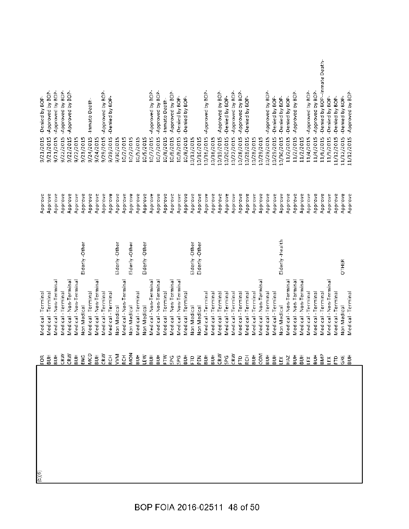| (6)(6) | Medical - Termina<br>FOR                                                                                                                                                                                                                                                                                                                                                                                                                                                              |                | Approve | -Denied by BOP<br>9/21/2015                |
|--------|---------------------------------------------------------------------------------------------------------------------------------------------------------------------------------------------------------------------------------------------------------------------------------------------------------------------------------------------------------------------------------------------------------------------------------------------------------------------------------------|----------------|---------|--------------------------------------------|
|        | Medical - Terminal                                                                                                                                                                                                                                                                                                                                                                                                                                                                    |                | Approve | -Approved by BOP-<br>9/21/2015             |
|        | Medical - Non-Terminal<br>$\frac{1}{2}$ $\frac{1}{2}$                                                                                                                                                                                                                                                                                                                                                                                                                                 |                | Approve | -Approved by BOP-<br>9/21/2015             |
|        | Medical - Terminal                                                                                                                                                                                                                                                                                                                                                                                                                                                                    |                | Approve | -Approved by BOP-<br>9/22/2015             |
|        | Medical - Non-Terminal                                                                                                                                                                                                                                                                                                                                                                                                                                                                |                | Approve | -Approved by BOP-<br>9/22/2015             |
|        | Medical - Non-Termina                                                                                                                                                                                                                                                                                                                                                                                                                                                                 |                | Approve | 9/22/2015                                  |
|        | Non Medical                                                                                                                                                                                                                                                                                                                                                                                                                                                                           | Eiderly-Other  | Approve | 9/23/2015                                  |
|        | Medical - Terminal<br>ΟD                                                                                                                                                                                                                                                                                                                                                                                                                                                              |                | Approve | -Inmate Death-<br>9/24/2015                |
|        | Medical - Non-Terminal                                                                                                                                                                                                                                                                                                                                                                                                                                                                |                | Approve | 9/24/2015                                  |
|        | Medical - Terminal                                                                                                                                                                                                                                                                                                                                                                                                                                                                    |                | Approve | -Approved by BOP-<br>9/29/2015             |
|        | Medical - Terminal                                                                                                                                                                                                                                                                                                                                                                                                                                                                    |                | Approve | -Denied by BOP-<br>9/29/2015               |
|        | Non Medical                                                                                                                                                                                                                                                                                                                                                                                                                                                                           | Elderly-Other  | Approve | 9/30/2015                                  |
|        | Medical - Non-Terminal                                                                                                                                                                                                                                                                                                                                                                                                                                                                |                | Approve | 10/2/2015                                  |
|        | Non Medical                                                                                                                                                                                                                                                                                                                                                                                                                                                                           | Elderly-Other  | Approve | 10/2/2015                                  |
|        | Medical - Terminal                                                                                                                                                                                                                                                                                                                                                                                                                                                                    |                | Approve | 10/5/2015                                  |
|        | Non Medical                                                                                                                                                                                                                                                                                                                                                                                                                                                                           | Elderly-Other  | Approve | 10/5/2015                                  |
|        | Medical - Non-Terminal                                                                                                                                                                                                                                                                                                                                                                                                                                                                |                | Approve | Approved by BOP-<br>10/7/2015              |
|        | Medical - Non-Termina                                                                                                                                                                                                                                                                                                                                                                                                                                                                 |                | Approve | -Approved by BOP-<br>10/7/2015             |
|        | Medical - Terminal                                                                                                                                                                                                                                                                                                                                                                                                                                                                    |                | Approve | -Inmate Death-<br>10/8/2015                |
|        | Medical - Non-Terminal                                                                                                                                                                                                                                                                                                                                                                                                                                                                |                | Approve | -Approved by BOP-<br>10/8/2015             |
|        | Medical - Non-Terminal                                                                                                                                                                                                                                                                                                                                                                                                                                                                |                | Approve | -Denied by BOP<br>10/8/2015                |
|        | Medical - Terminal                                                                                                                                                                                                                                                                                                                                                                                                                                                                    |                | Approve | -Denied by BOP-<br>10/8/2015               |
|        | Non Medical                                                                                                                                                                                                                                                                                                                                                                                                                                                                           | Elderly-Other  | Approve | 10/13/2015                                 |
|        | Non Medical                                                                                                                                                                                                                                                                                                                                                                                                                                                                           | Elderly-Other  | Approve | 10/16/2015                                 |
|        | Medical - Terminal                                                                                                                                                                                                                                                                                                                                                                                                                                                                    |                | Approve | Approved by BOP-<br>10/16/2015             |
|        | Medical - Terminal                                                                                                                                                                                                                                                                                                                                                                                                                                                                    |                | Approve | 10/16/2015                                 |
|        | Medical-Terminal                                                                                                                                                                                                                                                                                                                                                                                                                                                                      |                | Approve | -Approved by BOP-<br>10/19/2015            |
|        | Medical - Terminal                                                                                                                                                                                                                                                                                                                                                                                                                                                                    |                | Approve | Denied by BOP-<br>10/20/2015               |
|        | Medical - Terminal                                                                                                                                                                                                                                                                                                                                                                                                                                                                    |                | Approve | -Approved by BOP-<br>10/22/2015            |
|        | Medical-Terminal                                                                                                                                                                                                                                                                                                                                                                                                                                                                      |                | Approve | -Approved by BOP-<br>10/28/2015            |
|        | Medical - Terminal                                                                                                                                                                                                                                                                                                                                                                                                                                                                    |                | Approve | Denied by BOP-<br>10/28/2015               |
|        | Medical - Terminal                                                                                                                                                                                                                                                                                                                                                                                                                                                                    |                | Approve | 10/28/2015                                 |
|        | Medical - Non-Terminal                                                                                                                                                                                                                                                                                                                                                                                                                                                                |                | Approve | 10/29/2015                                 |
|        | Medical - Terminal                                                                                                                                                                                                                                                                                                                                                                                                                                                                    |                | Approve | -Approved by BOP-<br>10/29/2015            |
|        | Medical - Terminal                                                                                                                                                                                                                                                                                                                                                                                                                                                                    |                | Approve | -Denied by BOP-<br>10/29/2015              |
|        | Non Medical                                                                                                                                                                                                                                                                                                                                                                                                                                                                           | Elderly-Health | Approve | -Denied by BOP-<br>10/30/2015              |
|        | Medical - Non-Terminal                                                                                                                                                                                                                                                                                                                                                                                                                                                                |                | Approve | -Denied by BOP-<br>11/2/2015               |
|        | Medical - Non-Terminal<br>$\frac{1}{2} \frac{1}{6} \frac{1}{6} \frac{1}{6} \frac{1}{6} \frac{1}{6} \frac{1}{6} \frac{1}{6} \frac{1}{6} \frac{1}{6} \frac{1}{6} \frac{1}{6} \frac{1}{6} \frac{1}{6} \frac{1}{6} \frac{1}{6} \frac{1}{6} \frac{1}{6} \frac{1}{6} \frac{1}{6} \frac{1}{6} \frac{1}{6} \frac{1}{6} \frac{1}{6} \frac{1}{6} \frac{1}{6} \frac{1}{6} \frac{1}{6} \frac{1}{6} \frac{1}{6} \frac{1}{6} \frac{$                                                                |                | Approve | -Approved by BOP-<br>11/2/2015             |
|        | Medical - Non-Terminal                                                                                                                                                                                                                                                                                                                                                                                                                                                                |                | Approve | 11/2/2015                                  |
|        | Medical - Terminal<br>$\begin{array}{ccccccccc}\n\tilde{\Xi} & \tilde{\Xi} & \tilde{\Xi} & \tilde{\Xi} & \tilde{\Xi} & \tilde{\Xi} & \tilde{\Xi} & \tilde{\Xi} & \tilde{\Xi} & \tilde{\Xi} & \tilde{\Xi} & \tilde{\Xi} & \tilde{\Xi} & \tilde{\Xi} & \tilde{\Xi} & \tilde{\Xi} & \tilde{\Xi} & \tilde{\Xi} & \tilde{\Xi} & \tilde{\Xi} & \tilde{\Xi} & \tilde{\Xi} & \tilde{\Xi} & \tilde{\Xi} & \tilde{\Xi} & \tilde{\Xi} & \tilde{\Xi} & \tilde{\Xi} & \tilde{\Xi} & \tilde{\Xi} &$ |                | Approve | -Approved by BOP-<br>11/4/2015             |
|        | Medical-Terminal                                                                                                                                                                                                                                                                                                                                                                                                                                                                      |                | Approve | -Approved by BOP-<br>11/4/2015             |
|        | Medical - Terminal                                                                                                                                                                                                                                                                                                                                                                                                                                                                    |                | Approve | -Denied by BOP--Inmate Death-<br>11/6/2015 |
|        | Medical - Non-Terminal                                                                                                                                                                                                                                                                                                                                                                                                                                                                |                | Approve | -Denied by BOP-<br>11/9/2015               |
|        | Medical-Terminal                                                                                                                                                                                                                                                                                                                                                                                                                                                                      |                | Approve | -Denied by BOP-<br>11/12/2015              |
|        | Non Medical<br>GRE                                                                                                                                                                                                                                                                                                                                                                                                                                                                    | OTHER          | Approve | -Denied by BOP-<br>11/12/2015              |
|        | Medical - Terminal<br>ВUН                                                                                                                                                                                                                                                                                                                                                                                                                                                             |                | Approve | 11/12/2015 - Approved by BOP-              |
|        |                                                                                                                                                                                                                                                                                                                                                                                                                                                                                       |                |         |                                            |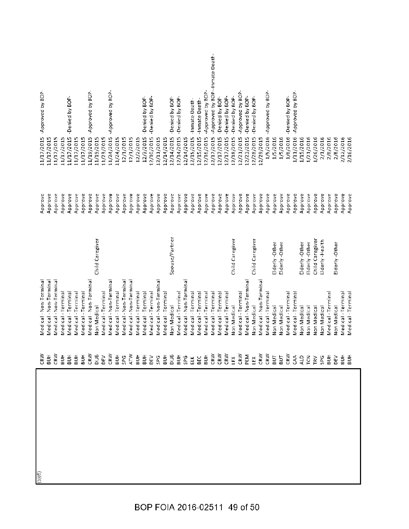| -Approved by BOP--Inmate Death-<br>Approved by BOP-<br>-Approved by BOP-<br>-Approved by BOP-<br>-Approved by BOP-<br>Approved by BOP-<br>-Approved by BOP-<br>-Denied by BOP-<br>-Denied by BOP-<br>-Denied by BOP-<br>Denied by BOP-<br>-Denied by BOP-<br>-Denied by BOP-<br>-Denied by BOP-<br>-Denied by BOP-<br>-Denied by BOP-<br>-Denied by BOP-<br>-Denied by BOP-<br>-Inmate Death-<br>-Inmate Death-<br>1/6/2016<br>12/10/2015<br>12/14/2015<br>12/15/2015<br>11/19/2015<br>12/3/2015<br>12/14/2015<br>12/15/2015<br>12/17/2015<br>12/18/2015<br>12/21/2015<br>1/5/2016<br>1/11/2016<br>11/17/2015<br>11/24/2015<br>12/16/2015<br>12/17/2015<br>12/17/2015<br>12/23/2015<br>12/28/2015<br>1/5/2016<br>1/26/2016<br>2/1/2016<br>2/8/2016<br>2/12/2016<br>2/16/2016<br>11/17/2015<br>11/17/2015<br>11/19/2015<br>11/24/2015<br>12/1/2015<br>12/1/2015<br>12/2/2015<br>12/11/2015<br>12/14/2015<br>12/14/2015<br>1/5/2016<br>1/15/2016<br>1/21/2016<br>2/8/2016<br>11/17/2015<br>11/17/2015<br>11/23/2015<br>12/29/2015<br>Approve<br>Approve<br>Approve<br>Approve<br>Approve<br>Approve<br>Approve<br>Approve<br>Approve<br>Approve<br>Approve<br>Approve<br>Approve<br>Approve<br>Approve<br>Approve<br>Approve<br>Approve<br>Approve<br>Approve<br>Approve<br>Approve<br>Approve<br>Approve<br>Approve<br>Approve<br>Approve<br>Approve<br>Approve<br>Approve<br>Approve<br>Approve<br>Approve<br>Approve<br>Approve<br>Approve<br>Approve<br>Approve<br>Approve<br>Approve<br>Approve<br>Approve<br>Approve<br>Approve<br>Spouse/Partner<br>Child Caregiver<br>Child Caregiver<br>Child Caregiver<br>Child Caregiver<br>Elderly-Health<br>Elderly-Other<br>Elderly-Other<br>Elderly-Other<br>Elderly-Other<br>Elderly-Other<br>Medical - Non-Terminal<br>Medical - Non-Terminal<br>Medical - Non-Terminal<br>Medical - Non-Terminal<br>Medical - Non-Terminal<br>Medical - Non-Terminal<br>Medical - Non-Terminal<br>Medical - Non-Terminal<br>Medical - Non-Termina<br>Medical - Terminal<br>Medical - Terminal<br>Medical - Terminal<br>Medical-Terminal<br>Medical - Terminal<br>Medical - Terminal<br>Medical - Terminal<br>Medical - Terminal<br>Medical - Terminal<br>Medical - Terminal<br>Medical - Terminal<br>Medical - Terminal<br>Medical - Terminal<br>Medical - Terminal<br>Medical - Terminal<br>Medical - Terminal<br>Medical - Terminal<br>Medical - Terminal<br>Medical - Terminal<br>Medical - Termina<br>Medical - Termina<br>Medical - Termina<br>Medical-Termina<br>Medical - Terminal<br>Non Medical<br>Non Medical<br>Non Medical<br>Non Medical<br>Non Medical<br>Non Medical<br>Non Medical<br>Non Medical<br>Non Medical<br>Non Medical<br>Non Medical<br>$\frac{1}{2}$<br>BUН<br>$\frac{1}{2}$<br>$\frac{1}{2}$<br>효품 | <b>END</b><br>BUB<br>CR <sub>M</sub> | Medical - Non-Termina<br>Medical - Non-Termina | Approve<br>Approve | 11/17/2015<br>11/17/2015 | -Approved by BOP- |
|----------------------------------------------------------------------------------------------------------------------------------------------------------------------------------------------------------------------------------------------------------------------------------------------------------------------------------------------------------------------------------------------------------------------------------------------------------------------------------------------------------------------------------------------------------------------------------------------------------------------------------------------------------------------------------------------------------------------------------------------------------------------------------------------------------------------------------------------------------------------------------------------------------------------------------------------------------------------------------------------------------------------------------------------------------------------------------------------------------------------------------------------------------------------------------------------------------------------------------------------------------------------------------------------------------------------------------------------------------------------------------------------------------------------------------------------------------------------------------------------------------------------------------------------------------------------------------------------------------------------------------------------------------------------------------------------------------------------------------------------------------------------------------------------------------------------------------------------------------------------------------------------------------------------------------------------------------------------------------------------------------------------------------------------------------------------------------------------------------------------------------------------------------------------------------------------------------------------------------------------------------------------------------------------------------------------------------------------------------------------------------------------------------------------------------------------------------------------------------------------------------------------------------------------------------------------------------------------------------------------------------------------------------------------------------------------------------------------------------------------------------------|--------------------------------------|------------------------------------------------|--------------------|--------------------------|-------------------|
|                                                                                                                                                                                                                                                                                                                                                                                                                                                                                                                                                                                                                                                                                                                                                                                                                                                                                                                                                                                                                                                                                                                                                                                                                                                                                                                                                                                                                                                                                                                                                                                                                                                                                                                                                                                                                                                                                                                                                                                                                                                                                                                                                                                                                                                                                                                                                                                                                                                                                                                                                                                                                                                                                                                                                                |                                      |                                                |                    |                          |                   |
|                                                                                                                                                                                                                                                                                                                                                                                                                                                                                                                                                                                                                                                                                                                                                                                                                                                                                                                                                                                                                                                                                                                                                                                                                                                                                                                                                                                                                                                                                                                                                                                                                                                                                                                                                                                                                                                                                                                                                                                                                                                                                                                                                                                                                                                                                                                                                                                                                                                                                                                                                                                                                                                                                                                                                                |                                      |                                                |                    |                          |                   |
|                                                                                                                                                                                                                                                                                                                                                                                                                                                                                                                                                                                                                                                                                                                                                                                                                                                                                                                                                                                                                                                                                                                                                                                                                                                                                                                                                                                                                                                                                                                                                                                                                                                                                                                                                                                                                                                                                                                                                                                                                                                                                                                                                                                                                                                                                                                                                                                                                                                                                                                                                                                                                                                                                                                                                                |                                      |                                                |                    |                          |                   |
|                                                                                                                                                                                                                                                                                                                                                                                                                                                                                                                                                                                                                                                                                                                                                                                                                                                                                                                                                                                                                                                                                                                                                                                                                                                                                                                                                                                                                                                                                                                                                                                                                                                                                                                                                                                                                                                                                                                                                                                                                                                                                                                                                                                                                                                                                                                                                                                                                                                                                                                                                                                                                                                                                                                                                                |                                      |                                                |                    |                          |                   |
|                                                                                                                                                                                                                                                                                                                                                                                                                                                                                                                                                                                                                                                                                                                                                                                                                                                                                                                                                                                                                                                                                                                                                                                                                                                                                                                                                                                                                                                                                                                                                                                                                                                                                                                                                                                                                                                                                                                                                                                                                                                                                                                                                                                                                                                                                                                                                                                                                                                                                                                                                                                                                                                                                                                                                                |                                      |                                                |                    |                          |                   |
|                                                                                                                                                                                                                                                                                                                                                                                                                                                                                                                                                                                                                                                                                                                                                                                                                                                                                                                                                                                                                                                                                                                                                                                                                                                                                                                                                                                                                                                                                                                                                                                                                                                                                                                                                                                                                                                                                                                                                                                                                                                                                                                                                                                                                                                                                                                                                                                                                                                                                                                                                                                                                                                                                                                                                                |                                      |                                                |                    |                          |                   |
|                                                                                                                                                                                                                                                                                                                                                                                                                                                                                                                                                                                                                                                                                                                                                                                                                                                                                                                                                                                                                                                                                                                                                                                                                                                                                                                                                                                                                                                                                                                                                                                                                                                                                                                                                                                                                                                                                                                                                                                                                                                                                                                                                                                                                                                                                                                                                                                                                                                                                                                                                                                                                                                                                                                                                                |                                      |                                                |                    |                          |                   |
|                                                                                                                                                                                                                                                                                                                                                                                                                                                                                                                                                                                                                                                                                                                                                                                                                                                                                                                                                                                                                                                                                                                                                                                                                                                                                                                                                                                                                                                                                                                                                                                                                                                                                                                                                                                                                                                                                                                                                                                                                                                                                                                                                                                                                                                                                                                                                                                                                                                                                                                                                                                                                                                                                                                                                                |                                      |                                                |                    |                          |                   |
|                                                                                                                                                                                                                                                                                                                                                                                                                                                                                                                                                                                                                                                                                                                                                                                                                                                                                                                                                                                                                                                                                                                                                                                                                                                                                                                                                                                                                                                                                                                                                                                                                                                                                                                                                                                                                                                                                                                                                                                                                                                                                                                                                                                                                                                                                                                                                                                                                                                                                                                                                                                                                                                                                                                                                                |                                      |                                                |                    |                          |                   |
|                                                                                                                                                                                                                                                                                                                                                                                                                                                                                                                                                                                                                                                                                                                                                                                                                                                                                                                                                                                                                                                                                                                                                                                                                                                                                                                                                                                                                                                                                                                                                                                                                                                                                                                                                                                                                                                                                                                                                                                                                                                                                                                                                                                                                                                                                                                                                                                                                                                                                                                                                                                                                                                                                                                                                                |                                      |                                                |                    |                          |                   |
|                                                                                                                                                                                                                                                                                                                                                                                                                                                                                                                                                                                                                                                                                                                                                                                                                                                                                                                                                                                                                                                                                                                                                                                                                                                                                                                                                                                                                                                                                                                                                                                                                                                                                                                                                                                                                                                                                                                                                                                                                                                                                                                                                                                                                                                                                                                                                                                                                                                                                                                                                                                                                                                                                                                                                                |                                      |                                                |                    |                          |                   |
|                                                                                                                                                                                                                                                                                                                                                                                                                                                                                                                                                                                                                                                                                                                                                                                                                                                                                                                                                                                                                                                                                                                                                                                                                                                                                                                                                                                                                                                                                                                                                                                                                                                                                                                                                                                                                                                                                                                                                                                                                                                                                                                                                                                                                                                                                                                                                                                                                                                                                                                                                                                                                                                                                                                                                                |                                      |                                                |                    |                          |                   |
|                                                                                                                                                                                                                                                                                                                                                                                                                                                                                                                                                                                                                                                                                                                                                                                                                                                                                                                                                                                                                                                                                                                                                                                                                                                                                                                                                                                                                                                                                                                                                                                                                                                                                                                                                                                                                                                                                                                                                                                                                                                                                                                                                                                                                                                                                                                                                                                                                                                                                                                                                                                                                                                                                                                                                                |                                      |                                                |                    |                          |                   |
|                                                                                                                                                                                                                                                                                                                                                                                                                                                                                                                                                                                                                                                                                                                                                                                                                                                                                                                                                                                                                                                                                                                                                                                                                                                                                                                                                                                                                                                                                                                                                                                                                                                                                                                                                                                                                                                                                                                                                                                                                                                                                                                                                                                                                                                                                                                                                                                                                                                                                                                                                                                                                                                                                                                                                                |                                      |                                                |                    |                          |                   |
|                                                                                                                                                                                                                                                                                                                                                                                                                                                                                                                                                                                                                                                                                                                                                                                                                                                                                                                                                                                                                                                                                                                                                                                                                                                                                                                                                                                                                                                                                                                                                                                                                                                                                                                                                                                                                                                                                                                                                                                                                                                                                                                                                                                                                                                                                                                                                                                                                                                                                                                                                                                                                                                                                                                                                                |                                      |                                                |                    |                          |                   |
|                                                                                                                                                                                                                                                                                                                                                                                                                                                                                                                                                                                                                                                                                                                                                                                                                                                                                                                                                                                                                                                                                                                                                                                                                                                                                                                                                                                                                                                                                                                                                                                                                                                                                                                                                                                                                                                                                                                                                                                                                                                                                                                                                                                                                                                                                                                                                                                                                                                                                                                                                                                                                                                                                                                                                                |                                      |                                                |                    |                          |                   |
|                                                                                                                                                                                                                                                                                                                                                                                                                                                                                                                                                                                                                                                                                                                                                                                                                                                                                                                                                                                                                                                                                                                                                                                                                                                                                                                                                                                                                                                                                                                                                                                                                                                                                                                                                                                                                                                                                                                                                                                                                                                                                                                                                                                                                                                                                                                                                                                                                                                                                                                                                                                                                                                                                                                                                                |                                      |                                                |                    |                          |                   |
|                                                                                                                                                                                                                                                                                                                                                                                                                                                                                                                                                                                                                                                                                                                                                                                                                                                                                                                                                                                                                                                                                                                                                                                                                                                                                                                                                                                                                                                                                                                                                                                                                                                                                                                                                                                                                                                                                                                                                                                                                                                                                                                                                                                                                                                                                                                                                                                                                                                                                                                                                                                                                                                                                                                                                                |                                      |                                                |                    |                          |                   |
|                                                                                                                                                                                                                                                                                                                                                                                                                                                                                                                                                                                                                                                                                                                                                                                                                                                                                                                                                                                                                                                                                                                                                                                                                                                                                                                                                                                                                                                                                                                                                                                                                                                                                                                                                                                                                                                                                                                                                                                                                                                                                                                                                                                                                                                                                                                                                                                                                                                                                                                                                                                                                                                                                                                                                                |                                      |                                                |                    |                          |                   |
|                                                                                                                                                                                                                                                                                                                                                                                                                                                                                                                                                                                                                                                                                                                                                                                                                                                                                                                                                                                                                                                                                                                                                                                                                                                                                                                                                                                                                                                                                                                                                                                                                                                                                                                                                                                                                                                                                                                                                                                                                                                                                                                                                                                                                                                                                                                                                                                                                                                                                                                                                                                                                                                                                                                                                                |                                      |                                                |                    |                          |                   |
|                                                                                                                                                                                                                                                                                                                                                                                                                                                                                                                                                                                                                                                                                                                                                                                                                                                                                                                                                                                                                                                                                                                                                                                                                                                                                                                                                                                                                                                                                                                                                                                                                                                                                                                                                                                                                                                                                                                                                                                                                                                                                                                                                                                                                                                                                                                                                                                                                                                                                                                                                                                                                                                                                                                                                                |                                      |                                                |                    |                          |                   |
|                                                                                                                                                                                                                                                                                                                                                                                                                                                                                                                                                                                                                                                                                                                                                                                                                                                                                                                                                                                                                                                                                                                                                                                                                                                                                                                                                                                                                                                                                                                                                                                                                                                                                                                                                                                                                                                                                                                                                                                                                                                                                                                                                                                                                                                                                                                                                                                                                                                                                                                                                                                                                                                                                                                                                                |                                      |                                                |                    |                          |                   |
|                                                                                                                                                                                                                                                                                                                                                                                                                                                                                                                                                                                                                                                                                                                                                                                                                                                                                                                                                                                                                                                                                                                                                                                                                                                                                                                                                                                                                                                                                                                                                                                                                                                                                                                                                                                                                                                                                                                                                                                                                                                                                                                                                                                                                                                                                                                                                                                                                                                                                                                                                                                                                                                                                                                                                                |                                      |                                                |                    |                          |                   |
|                                                                                                                                                                                                                                                                                                                                                                                                                                                                                                                                                                                                                                                                                                                                                                                                                                                                                                                                                                                                                                                                                                                                                                                                                                                                                                                                                                                                                                                                                                                                                                                                                                                                                                                                                                                                                                                                                                                                                                                                                                                                                                                                                                                                                                                                                                                                                                                                                                                                                                                                                                                                                                                                                                                                                                |                                      |                                                |                    |                          |                   |
|                                                                                                                                                                                                                                                                                                                                                                                                                                                                                                                                                                                                                                                                                                                                                                                                                                                                                                                                                                                                                                                                                                                                                                                                                                                                                                                                                                                                                                                                                                                                                                                                                                                                                                                                                                                                                                                                                                                                                                                                                                                                                                                                                                                                                                                                                                                                                                                                                                                                                                                                                                                                                                                                                                                                                                |                                      |                                                |                    |                          |                   |
|                                                                                                                                                                                                                                                                                                                                                                                                                                                                                                                                                                                                                                                                                                                                                                                                                                                                                                                                                                                                                                                                                                                                                                                                                                                                                                                                                                                                                                                                                                                                                                                                                                                                                                                                                                                                                                                                                                                                                                                                                                                                                                                                                                                                                                                                                                                                                                                                                                                                                                                                                                                                                                                                                                                                                                |                                      |                                                |                    |                          |                   |
|                                                                                                                                                                                                                                                                                                                                                                                                                                                                                                                                                                                                                                                                                                                                                                                                                                                                                                                                                                                                                                                                                                                                                                                                                                                                                                                                                                                                                                                                                                                                                                                                                                                                                                                                                                                                                                                                                                                                                                                                                                                                                                                                                                                                                                                                                                                                                                                                                                                                                                                                                                                                                                                                                                                                                                |                                      |                                                |                    |                          |                   |
|                                                                                                                                                                                                                                                                                                                                                                                                                                                                                                                                                                                                                                                                                                                                                                                                                                                                                                                                                                                                                                                                                                                                                                                                                                                                                                                                                                                                                                                                                                                                                                                                                                                                                                                                                                                                                                                                                                                                                                                                                                                                                                                                                                                                                                                                                                                                                                                                                                                                                                                                                                                                                                                                                                                                                                |                                      |                                                |                    |                          |                   |
|                                                                                                                                                                                                                                                                                                                                                                                                                                                                                                                                                                                                                                                                                                                                                                                                                                                                                                                                                                                                                                                                                                                                                                                                                                                                                                                                                                                                                                                                                                                                                                                                                                                                                                                                                                                                                                                                                                                                                                                                                                                                                                                                                                                                                                                                                                                                                                                                                                                                                                                                                                                                                                                                                                                                                                |                                      |                                                |                    |                          |                   |
|                                                                                                                                                                                                                                                                                                                                                                                                                                                                                                                                                                                                                                                                                                                                                                                                                                                                                                                                                                                                                                                                                                                                                                                                                                                                                                                                                                                                                                                                                                                                                                                                                                                                                                                                                                                                                                                                                                                                                                                                                                                                                                                                                                                                                                                                                                                                                                                                                                                                                                                                                                                                                                                                                                                                                                |                                      |                                                |                    |                          |                   |
|                                                                                                                                                                                                                                                                                                                                                                                                                                                                                                                                                                                                                                                                                                                                                                                                                                                                                                                                                                                                                                                                                                                                                                                                                                                                                                                                                                                                                                                                                                                                                                                                                                                                                                                                                                                                                                                                                                                                                                                                                                                                                                                                                                                                                                                                                                                                                                                                                                                                                                                                                                                                                                                                                                                                                                |                                      |                                                |                    |                          |                   |
|                                                                                                                                                                                                                                                                                                                                                                                                                                                                                                                                                                                                                                                                                                                                                                                                                                                                                                                                                                                                                                                                                                                                                                                                                                                                                                                                                                                                                                                                                                                                                                                                                                                                                                                                                                                                                                                                                                                                                                                                                                                                                                                                                                                                                                                                                                                                                                                                                                                                                                                                                                                                                                                                                                                                                                |                                      |                                                |                    |                          |                   |
|                                                                                                                                                                                                                                                                                                                                                                                                                                                                                                                                                                                                                                                                                                                                                                                                                                                                                                                                                                                                                                                                                                                                                                                                                                                                                                                                                                                                                                                                                                                                                                                                                                                                                                                                                                                                                                                                                                                                                                                                                                                                                                                                                                                                                                                                                                                                                                                                                                                                                                                                                                                                                                                                                                                                                                |                                      |                                                |                    |                          |                   |
|                                                                                                                                                                                                                                                                                                                                                                                                                                                                                                                                                                                                                                                                                                                                                                                                                                                                                                                                                                                                                                                                                                                                                                                                                                                                                                                                                                                                                                                                                                                                                                                                                                                                                                                                                                                                                                                                                                                                                                                                                                                                                                                                                                                                                                                                                                                                                                                                                                                                                                                                                                                                                                                                                                                                                                |                                      |                                                |                    |                          |                   |
|                                                                                                                                                                                                                                                                                                                                                                                                                                                                                                                                                                                                                                                                                                                                                                                                                                                                                                                                                                                                                                                                                                                                                                                                                                                                                                                                                                                                                                                                                                                                                                                                                                                                                                                                                                                                                                                                                                                                                                                                                                                                                                                                                                                                                                                                                                                                                                                                                                                                                                                                                                                                                                                                                                                                                                |                                      |                                                |                    |                          |                   |
|                                                                                                                                                                                                                                                                                                                                                                                                                                                                                                                                                                                                                                                                                                                                                                                                                                                                                                                                                                                                                                                                                                                                                                                                                                                                                                                                                                                                                                                                                                                                                                                                                                                                                                                                                                                                                                                                                                                                                                                                                                                                                                                                                                                                                                                                                                                                                                                                                                                                                                                                                                                                                                                                                                                                                                |                                      |                                                |                    |                          |                   |
|                                                                                                                                                                                                                                                                                                                                                                                                                                                                                                                                                                                                                                                                                                                                                                                                                                                                                                                                                                                                                                                                                                                                                                                                                                                                                                                                                                                                                                                                                                                                                                                                                                                                                                                                                                                                                                                                                                                                                                                                                                                                                                                                                                                                                                                                                                                                                                                                                                                                                                                                                                                                                                                                                                                                                                |                                      |                                                |                    |                          |                   |
|                                                                                                                                                                                                                                                                                                                                                                                                                                                                                                                                                                                                                                                                                                                                                                                                                                                                                                                                                                                                                                                                                                                                                                                                                                                                                                                                                                                                                                                                                                                                                                                                                                                                                                                                                                                                                                                                                                                                                                                                                                                                                                                                                                                                                                                                                                                                                                                                                                                                                                                                                                                                                                                                                                                                                                |                                      |                                                |                    |                          |                   |
|                                                                                                                                                                                                                                                                                                                                                                                                                                                                                                                                                                                                                                                                                                                                                                                                                                                                                                                                                                                                                                                                                                                                                                                                                                                                                                                                                                                                                                                                                                                                                                                                                                                                                                                                                                                                                                                                                                                                                                                                                                                                                                                                                                                                                                                                                                                                                                                                                                                                                                                                                                                                                                                                                                                                                                |                                      |                                                |                    |                          |                   |
|                                                                                                                                                                                                                                                                                                                                                                                                                                                                                                                                                                                                                                                                                                                                                                                                                                                                                                                                                                                                                                                                                                                                                                                                                                                                                                                                                                                                                                                                                                                                                                                                                                                                                                                                                                                                                                                                                                                                                                                                                                                                                                                                                                                                                                                                                                                                                                                                                                                                                                                                                                                                                                                                                                                                                                |                                      |                                                |                    |                          |                   |
|                                                                                                                                                                                                                                                                                                                                                                                                                                                                                                                                                                                                                                                                                                                                                                                                                                                                                                                                                                                                                                                                                                                                                                                                                                                                                                                                                                                                                                                                                                                                                                                                                                                                                                                                                                                                                                                                                                                                                                                                                                                                                                                                                                                                                                                                                                                                                                                                                                                                                                                                                                                                                                                                                                                                                                |                                      |                                                |                    |                          |                   |
|                                                                                                                                                                                                                                                                                                                                                                                                                                                                                                                                                                                                                                                                                                                                                                                                                                                                                                                                                                                                                                                                                                                                                                                                                                                                                                                                                                                                                                                                                                                                                                                                                                                                                                                                                                                                                                                                                                                                                                                                                                                                                                                                                                                                                                                                                                                                                                                                                                                                                                                                                                                                                                                                                                                                                                |                                      |                                                |                    |                          |                   |
|                                                                                                                                                                                                                                                                                                                                                                                                                                                                                                                                                                                                                                                                                                                                                                                                                                                                                                                                                                                                                                                                                                                                                                                                                                                                                                                                                                                                                                                                                                                                                                                                                                                                                                                                                                                                                                                                                                                                                                                                                                                                                                                                                                                                                                                                                                                                                                                                                                                                                                                                                                                                                                                                                                                                                                |                                      |                                                |                    |                          |                   |
|                                                                                                                                                                                                                                                                                                                                                                                                                                                                                                                                                                                                                                                                                                                                                                                                                                                                                                                                                                                                                                                                                                                                                                                                                                                                                                                                                                                                                                                                                                                                                                                                                                                                                                                                                                                                                                                                                                                                                                                                                                                                                                                                                                                                                                                                                                                                                                                                                                                                                                                                                                                                                                                                                                                                                                |                                      |                                                |                    |                          |                   |